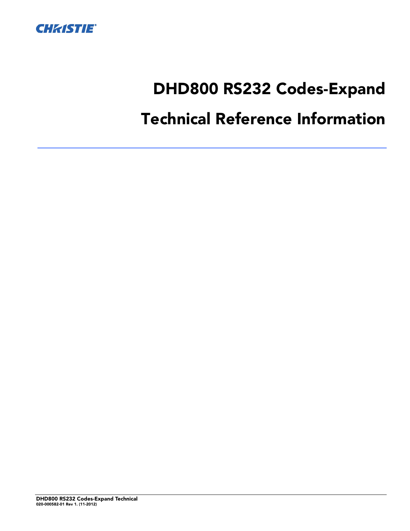

# DHD800 RS232 Codes-Expand

# Technical Reference Information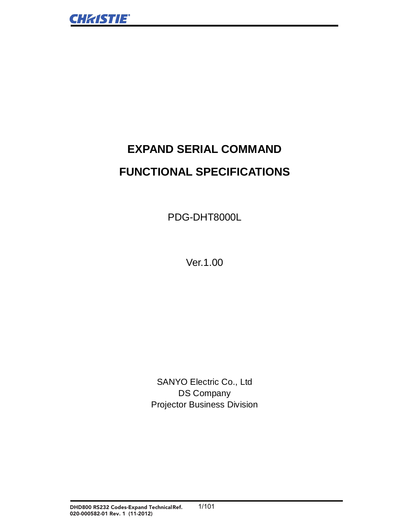# **EXPAND SERIAL COMMAND FUNCTIONAL SPECIFICATIONS**

PDG-DHT8000L

Ver. 1.00

SANYO Electric Co., Ltd **DS Company Projector Business Division**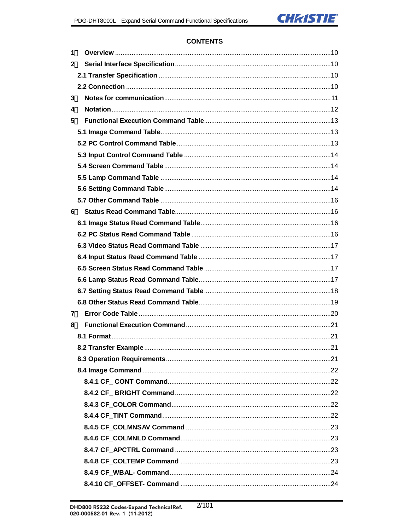

# **CONTENTS**

| 1 |                      |  |
|---|----------------------|--|
| 2 |                      |  |
|   |                      |  |
|   |                      |  |
| 3 |                      |  |
| 4 |                      |  |
| 5 |                      |  |
|   |                      |  |
|   |                      |  |
|   |                      |  |
|   |                      |  |
|   |                      |  |
|   |                      |  |
|   |                      |  |
| 6 |                      |  |
|   |                      |  |
|   |                      |  |
|   |                      |  |
|   |                      |  |
|   |                      |  |
|   |                      |  |
|   |                      |  |
|   |                      |  |
| 7 |                      |  |
| 8 |                      |  |
|   |                      |  |
|   | 8.2 Transfer Example |  |
|   |                      |  |
|   |                      |  |
|   |                      |  |
|   |                      |  |
|   |                      |  |
|   |                      |  |
|   |                      |  |
|   |                      |  |
|   |                      |  |
|   |                      |  |
|   |                      |  |
|   |                      |  |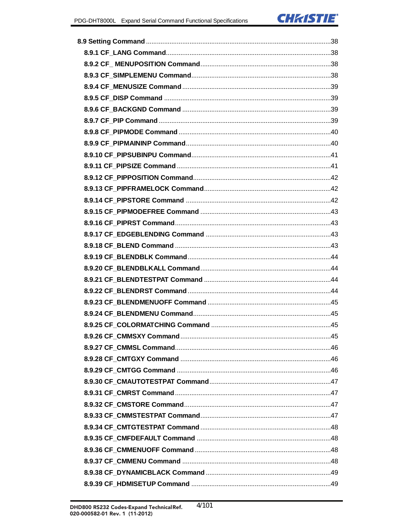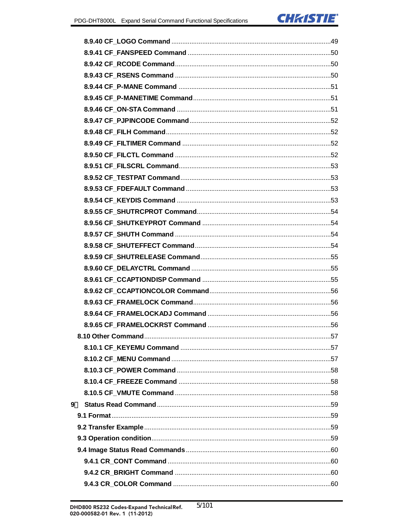| 9 |  |
|---|--|
|   |  |
|   |  |
|   |  |
|   |  |
|   |  |
|   |  |
|   |  |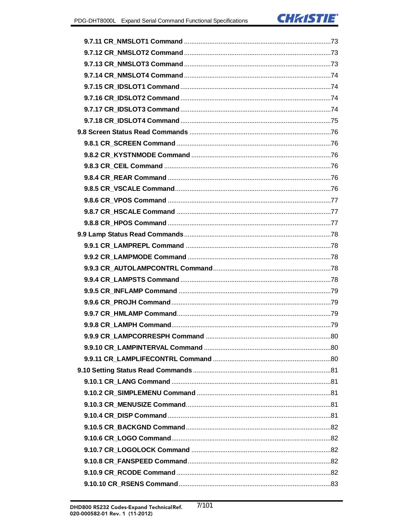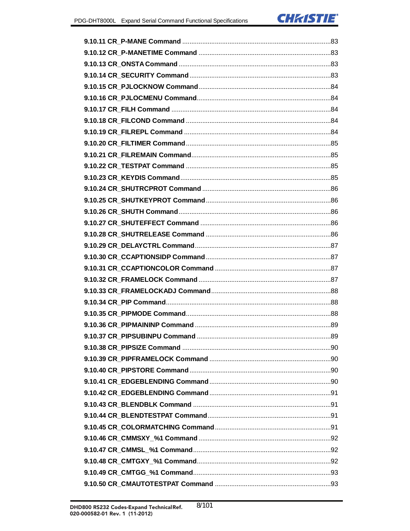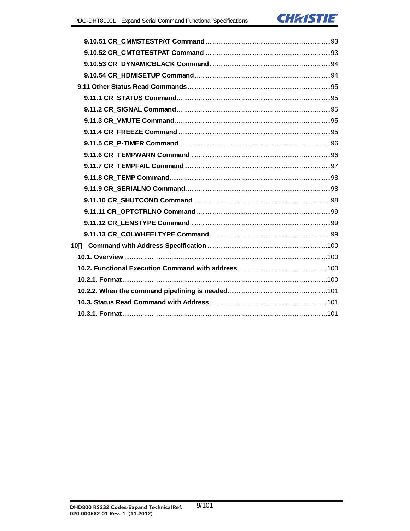

| 10 <sup>°</sup> |  |
|-----------------|--|
|                 |  |
|                 |  |
|                 |  |
|                 |  |
|                 |  |
|                 |  |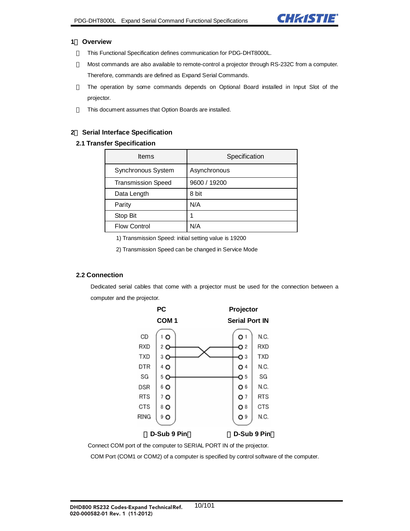

#### **1**. **Overview**

This Functional Specification defines communication for PDG-DHT8000L.

Most commands are also available to remote-control a projector through RS-232C from a computer.

Therefore, commands are defined as Expand Serial Commands.

The operation by some commands depends on Optional Board installed in Input Slot of the projector.

This document assumes that Option Boards are installed.

#### **2**. **Serial Interface Specification**

#### **2.1 Transfer Specification**

| <b>Items</b>              | Specification |
|---------------------------|---------------|
| Synchronous System        | Asynchronous  |
| <b>Transmission Speed</b> | 9600 / 19200  |
| Data Length               | 8 bit         |
| Parity                    | N/A           |
| Stop Bit                  |               |
| <b>Flow Control</b>       | N/A           |

1) Transmission Speed: initial setting value is 19200

2) Transmission Speed can be changed in Service Mode

#### **2.2 Connection**

Dedicated serial cables that come with a projector must be used for the connection between a computer and the projector.



Connect COM port of the computer to SERIAL PORT IN of the projector.

COM Port (COM1 or COM2) of a computer is specified by control software of the computer.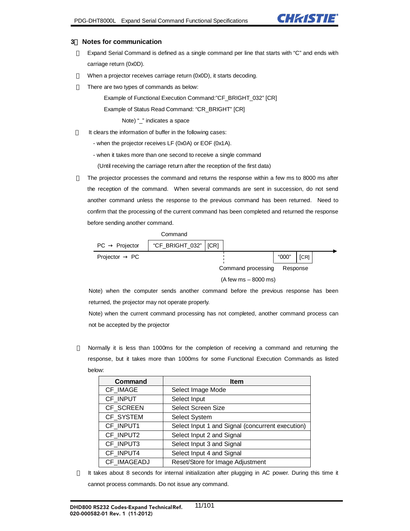

#### **3**. **Notes for communication**

Expand Serial Command is defined as a single command per line that starts with "C" and ends with carriage return (0x0D).

When a projector receives carriage return (0x0D), it starts decoding.

There are two types of commands as below:

Example of Functional Execution Command:"CF\_BRIGHT\_032" [CR]

Example of Status Read Command: "CR\_BRIGHT" [CR]

Note) "\_" indicates a space

It clears the information of buffer in the following cases:

- when the projector receives LF (0x0A) or EOF (0x1A).

- when it takes more than one second to receive a single command

(Until receiving the carriage return after the reception of the first data)

The projector processes the command and returns the response within a few ms to 8000 ms after the reception of the command. When several commands are sent in succession, do not send another command unless the response to the previous command has been returned. Need to confirm that the processing of the current command has been completed and returned the response before sending another command.

|           |           | Command                |                        |          |      |
|-----------|-----------|------------------------|------------------------|----------|------|
| PC.       | Projector | "CF_BRIGHT_032"   [CR] |                        |          |      |
| Projector | PC.       |                        |                        | "000"    | [CR] |
|           |           |                        | Command processing     | Response |      |
|           |           |                        | $(A few ms - 8000 ms)$ |          |      |

Note) when the computer sends another command before the previous response has been returned, the projector may not operate properly.

Note) when the current command processing has not completed, another command process can not be accepted by the projector

Normally it is less than 1000ms for the completion of receiving a command and returning the response, but it takes more than 1000ms for some Functional Execution Commands as listed below:

| <b>Command</b> | <b>Item</b>                                      |
|----------------|--------------------------------------------------|
| CF_IMAGE       | Select Image Mode                                |
| CF_INPUT       | Select Input                                     |
| CF_SCREEN      | <b>Select Screen Size</b>                        |
| CF_SYSTEM      | Select System                                    |
| CF_INPUT1      | Select Input 1 and Signal (concurrent execution) |
| CF_INPUT2      | Select Input 2 and Signal                        |
| CF_INPUT3      | Select Input 3 and Signal                        |
| CF_INPUT4      | Select Input 4 and Signal                        |
| CF_IMAGEADJ    | Reset/Store for Image Adjustment                 |

It takes about 8 seconds for internal initialization after plugging in AC power. During this time it cannot process commands. Do not issue any command.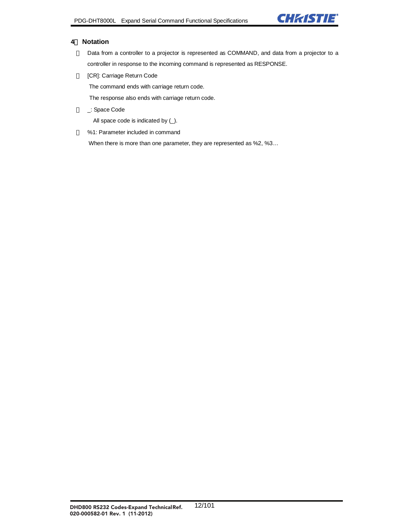

#### **4**. **Notation**

Data from a controller to a projector is represented as COMMAND, and data from a projector to a controller in response to the incoming command is represented as RESPONSE.

[CR]: Carriage Return Code

The command ends with carriage return code.

The response also ends with carriage return code.

\_: Space Code

All space code is indicated by (\_).

%1: Parameter included in command

When there is more than one parameter, they are represented as %2, %3…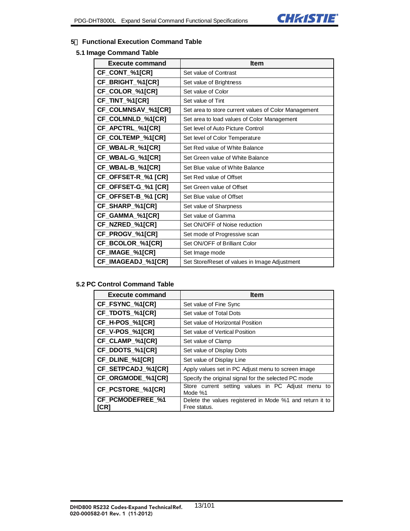

#### **5**. **Functional Execution Command Table**

#### **5.1 Image Command Table**

| <b>Execute command</b>     | <b>Item</b>                                          |
|----------------------------|------------------------------------------------------|
| CF_CONT_%1[CR]             | Set value of Contrast                                |
| CF_BRIGHT_%1[CR]           | Set value of Brightness                              |
| CF_COLOR_%1[CR]            | Set value of Color                                   |
| CF_TINT_%1[CR]             | Set value of Tint                                    |
| CF_COLMNSAV_%1[CR]         | Set area to store current values of Color Management |
| CF_COLMNLD_%1[CR]          | Set area to load values of Color Management          |
| CF_APCTRL_%1[CR]           | Set level of Auto Picture Control                    |
| CF_COLTEMP_%1[CR]          | Set level of Color Temperature                       |
| CF_WBAL-R_%1[CR]           | Set Red value of White Balance                       |
| CF_WBAL-G_%1[CR]           | Set Green value of White Balance                     |
| CF_WBAL-B_%1[CR]           | Set Blue value of White Balance                      |
| CF_OFFSET-R_%1 [CR]        | Set Red value of Offset                              |
| CF_OFFSET-G_%1 [CR]        | Set Green value of Offset                            |
| <b>CF_OFFSET-B_%1 [CR]</b> | Set Blue value of Offset                             |
| CF_SHARP_%1[CR]            | Set value of Sharpness                               |
| CF_GAMMA_%1[CR]            | Set value of Gamma                                   |
| CF_NZRED_%1[CR]            | Set ON/OFF of Noise reduction                        |
| CF_PROGV_%1[CR]            | Set mode of Progressive scan                         |
| CF_BCOLOR_%1[CR]           | Set ON/OFF of Brilliant Color                        |
| CF_IMAGE_%1[CR]            | Set Image mode                                       |
| CF_IMAGEADJ_%1[CR]         | Set Store/Reset of values in Image Adjustment        |

# **5.2 PC Control Command Table**

| <b>Execute command</b>   | <b>Item</b>                                                              |  |
|--------------------------|--------------------------------------------------------------------------|--|
| CF_FSYNC_%1[CR]          | Set value of Fine Sync                                                   |  |
| CF_TDOTS_%1[CR]          | Set value of Total Dots                                                  |  |
| CF_H-POS_%1[CR]          | Set value of Horizontal Position                                         |  |
| CF_V-POS_%1[CR]          | Set value of Vertical Position                                           |  |
| CF_CLAMP_%1[CR]          | Set value of Clamp                                                       |  |
| CF_DDOTS_%1[CR]          | Set value of Display Dots                                                |  |
| CF_DLINE_%1[CR]          | Set value of Display Line                                                |  |
| CF_SETPCADJ_%1[CR]       | Apply values set in PC Adjust menu to screen image                       |  |
| CF_ORGMODE_%1[CR]        | Specify the original signal for the selected PC mode                     |  |
| CF_PCSTORE_%1[CR]        | Store current setting values in PC Adjust menu to<br>Mode %1             |  |
| CF_PCMODEFREE_%1<br>[CR] | Delete the values registered in Mode %1 and return it to<br>Free status. |  |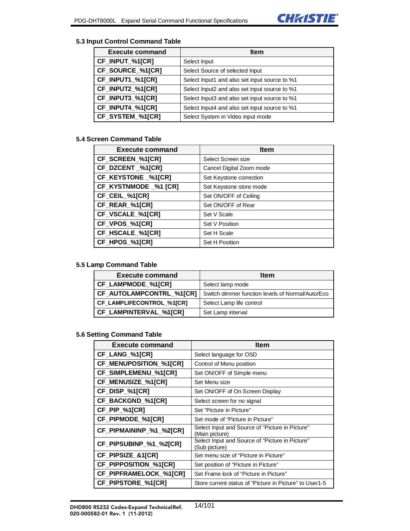

# **5.3 Input Control Command Table**

| <b>Execute command</b> | <b>Item</b>                                   |  |
|------------------------|-----------------------------------------------|--|
| CF_INPUT_%1[CR]        | Select Input                                  |  |
| CF_SOURCE_%1[CR]       | Select Source of selected Input               |  |
| CF_INPUT1_%1[CR]       | Select Input1 and also set input source to %1 |  |
| CF_INPUT2_%1[CR]       | Select Input2 and also set input source to %1 |  |
| CF_INPUT3_%1[CR]       | Select Input3 and also set input source to %1 |  |
| CF_INPUT4_%1[CR]       | Select Input4 and also set input source to %1 |  |
| CF_SYSTEM_%1[CR]       | Select System in Video input mode             |  |

#### **5.4 Screen Command Table**

| <b>Execute command</b> | <b>Item</b>              |  |
|------------------------|--------------------------|--|
| CF_SCREEN_%1[CR]       | Select Screen size       |  |
| CF_DZCENT_%1[CR]       | Cancel Digital Zoom mode |  |
| CF_KEYSTONE _%1[CR]    | Set Keystone correction  |  |
| CF_KYSTNMODE _%1 [CR]  | Set Keystone store mode  |  |
| CF_CEIL_%1[CR]         | Set ON/OFF of Ceiling    |  |
| CF_REAR_%1[CR]         | Set ON/OFF of Rear       |  |
| CF_VSCALE_%1[CR]       | Set V Scale              |  |
| CF_VPOS_%1[CR]         | Set V Position           |  |
| CF HSCALE %1[CR]       | Set H Scale              |  |
| CF_HPOS_%1[CR]         | Set H Position           |  |

#### **5.5 Lamp Command Table**

| <b>Execute command</b>           | <b>Item</b>                                      |  |
|----------------------------------|--------------------------------------------------|--|
| CF LAMPMODE %1[CR]               | Select lamp mode                                 |  |
| CF_AUTOLAMPCONTRL_%1[CR]         | Switch dimmer function levels of Normal/Auto/Eco |  |
| <b>CF LAMPLIFECONTROL %1[CR]</b> | Select Lamp life control                         |  |
| CF LAMPINTERVAL %1[CR]           | Set Lamp interval                                |  |

#### **5.6 Setting Command Table**

| <b>Execute command</b>  | <b>Item</b>                                                       |  |
|-------------------------|-------------------------------------------------------------------|--|
| CF_LANG_%1[CR]          | Select language for OSD                                           |  |
| CF_MENUPOSITION_%1[CR]  | Control of Menu position                                          |  |
| CF_SIMPLEMENU_%1[CR]    | Set ON/OFF of Simple menu                                         |  |
| CF_MENUSIZE_%1[CR]      | Set Menu size                                                     |  |
| CF_DISP_%1[CR]          | Set ON/OFF of On Screen Display                                   |  |
| CF_BACKGND_%1[CR]       | Select screen for no signal                                       |  |
| CF_PIP_%1[CR]           | Set "Picture in Picture"                                          |  |
| CF_PIPMODE_%1[CR]       | Set mode of "Picture in Picture"                                  |  |
| CF_PIPMAININP_%1_%2[CR] | Select Input and Source of "Picture in Picture"<br>(Main picture) |  |
| CF_PIPSUBINP_%1_%2[CR]  | Select Input and Source of "Picture in Picture"<br>(Sub picture)  |  |
| CF_PIPSIZE_&1[CR]       | Set menu size of "Picture in Picture"                             |  |
| CF_PIPPOSITION_%1[CR]   | Set position of "Picture in Picture"                              |  |
| CF_PIPFRAMELOCK_%1[CR]  | Set Frame lock of "Picture in Picture"                            |  |
| CF_PIPSTORE_%1[CR]      | Store current status of "Picture in Picture" to User1-5           |  |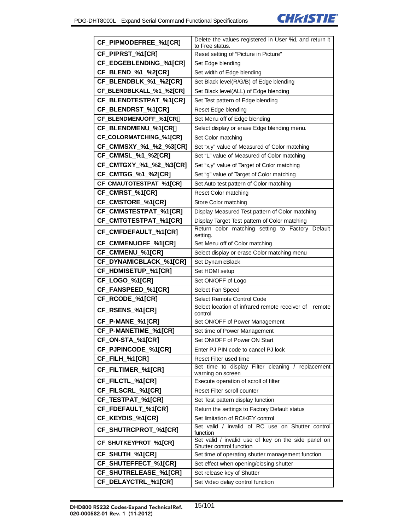

| CF_PIPMODEFREE_%1[CR]        | Delete the values registered in User %1 and return it                           |  |  |
|------------------------------|---------------------------------------------------------------------------------|--|--|
|                              | to Free status.                                                                 |  |  |
| CF_PIPRST_%1[CR]             | Reset setting of "Picture in Picture"                                           |  |  |
| CF_EDGEBLENDING_%1[CR]       | Set Edge blending                                                               |  |  |
| CF_BLEND_%1_%2[CR]           | Set width of Edge blending                                                      |  |  |
| CF_BLENDBLK_%1_%2[CR]        | Set Black level(R/G/B) of Edge blending                                         |  |  |
| CF_BLENDBLKALL_%1_%2[CR]     | Set Black level(ALL) of Edge blending                                           |  |  |
| CF_BLENDTESTPAT_%1[CR]       | Set Test pattern of Edge blending                                               |  |  |
| CF_BLENDRST_%1[CR]           | Reset Edge blending                                                             |  |  |
| CF_BLENDMENUOFF_%1[CR        | Set Menu off of Edge blending                                                   |  |  |
| CF_BLENDMENU_%1[CR           | Select display or erase Edge blending menu.                                     |  |  |
| CF_COLORMATCHING_%1[CR]      | Set Color matching                                                              |  |  |
| CF_CMMSXY_%1_%2_%3[CR]       | Set "x,y" value of Measured of Color matching                                   |  |  |
| CF_CMMSL_%1_%2[CR]           | Set "L" value of Measured of Color matching                                     |  |  |
| CF_CMTGXY_%1_%2_%3[CR]       | Set "x,y" value of Target of Color matching                                     |  |  |
| CF_CMTGG_%1_%2[CR]           | Set "g" value of Target of Color matching                                       |  |  |
| CF_CMAUTOTESTPAT_%1[CR]      | Set Auto test pattern of Color matching                                         |  |  |
| CF_CMRST_%1[CR]              | Reset Color matching                                                            |  |  |
| CF_CMSTORE_%1[CR]            | Store Color matching                                                            |  |  |
| CF_CMMSTESTPAT_%1[CR]        | Display Measured Test pattern of Color matching                                 |  |  |
| CF_CMTGTESTPAT_%1[CR]        | Display Target Test pattern of Color matching                                   |  |  |
| <b>CF_CMFDEFAULT_%1[CR]</b>  | Return color matching setting to Factory Default<br>setting.                    |  |  |
| CF_CMMENUOFF_%1[CR]          | Set Menu off of Color matching                                                  |  |  |
| CF_CMMENU_%1[CR]             | Select display or erase Color matching menu                                     |  |  |
| CF_DYNAMICBLACK_%1[CR]       | Set DynamicBlack                                                                |  |  |
| CF_HDMISETUP_%1[CR]          | Set HDMI setup                                                                  |  |  |
| CF_LOGO_%1[CR]               | Set ON/OFF of Logo                                                              |  |  |
| CF_FANSPEED_%1[CR]           | Select Fan Speed                                                                |  |  |
| CF_RCODE_%1[CR]              | Select Remote Control Code                                                      |  |  |
| CF_RSENS_%1[CR]              | Select location of infrared remote receiver of<br>remote<br>control             |  |  |
| CF_P-MANE_%1[CR]             | Set ON/OFF of Power Management                                                  |  |  |
| CF_P-MANETIME_%1[CR]         | Set time of Power Management                                                    |  |  |
| CF_ON-STA_%1[CR]             | Set ON/OFF of Power ON Start                                                    |  |  |
| CF_PJPINCODE_%1[CR]          | Enter PJ PIN code to cancel PJ lock                                             |  |  |
| CF_FILH_%1[CR]               | Reset Filter used time                                                          |  |  |
| CF_FILTIMER_%1[CR]           | Set time to display Filter cleaning / replacement<br>warning on screen          |  |  |
| CF_FILCTL_%1[CR]             | Execute operation of scroll of filter                                           |  |  |
| CF_FILSCRL_%1[CR]            | Reset Filter scroll counter                                                     |  |  |
| <b>CF_TESTPAT_%1[CR]</b>     | Set Test pattern display function                                               |  |  |
| CF_FDEFAULT_%1[CR]           | Return the settings to Factory Default status                                   |  |  |
| CF_KEYDIS_%1[CR]             | Set limitation of RC/KEY control                                                |  |  |
| CF_SHUTRCPROT_%1[CR]         | Set valid / invalid of RC use on Shutter control<br>function                    |  |  |
| CF_SHUTKEYPROT_%1[CR]        | Set valid / invalid use of key on the side panel on<br>Shutter control function |  |  |
| CF_SHUTH_%1[CR]              | Set time of operating shutter management function                               |  |  |
| CF_SHUTEFFECT_%1[CR]         | Set effect when opening/closing shutter                                         |  |  |
| <b>CF_SHUTRELEASE_%1[CR]</b> | Set release key of Shutter                                                      |  |  |
| CF_DELAYCTRL_%1[CR]          | Set Video delay control function                                                |  |  |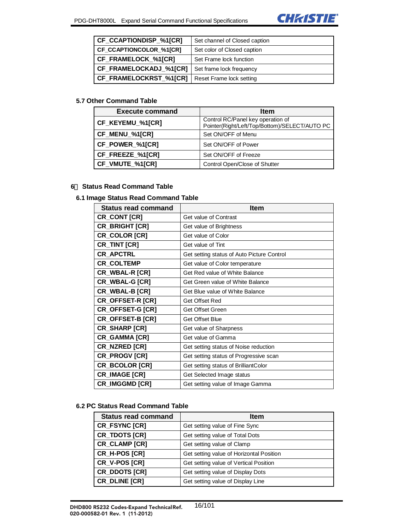

| CF_CCAPTIONDISP_%1[CR]  | Set channel of Closed caption |
|-------------------------|-------------------------------|
| CF_CCAPTIONCOLOR_%1[CR] | Set color of Closed caption   |
| CF FRAMELOCK %1[CR]     | Set Frame lock function       |
| CF_FRAMELOCKADJ_%1[CR]  | Set frame lock frequency      |
| CF_FRAMELOCKRST_%1[CR]  | Reset Frame lock setting      |

### **5.7 Other Command Table**

| <b>Execute command</b> | <b>Item</b>                                                                        |
|------------------------|------------------------------------------------------------------------------------|
| CF_KEYEMU_%1[CR]       | Control RC/Panel key operation of<br>Pointer(Right/Left/Top/Bottom)/SELECT/AUTO PC |
| CF_MENU_%1[CR]         | Set ON/OFF of Menu                                                                 |
| CF_POWER_%1[CR]        | Set ON/OFF of Power                                                                |
| CF_FREEZE_%1[CR]       | Set ON/OFF of Freeze                                                               |
| CF_VMUTE_%1[CR]        | Control Open/Close of Shutter                                                      |

#### **6**. **Status Read Command Table**

#### **6.1 Image Status Read Command Table**

| <b>Status read command</b> | <b>Item</b>                                |  |
|----------------------------|--------------------------------------------|--|
| CR_CONT [CR]               | Get value of Contrast                      |  |
| <b>CR BRIGHT [CR]</b>      | Get value of Brightness                    |  |
| CR_COLOR [CR]              | Get value of Color                         |  |
| <b>CR_TINT [CR]</b>        | Get value of Tint                          |  |
| <b>CR APCTRL</b>           | Get setting status of Auto Picture Control |  |
| <b>CR_COLTEMP</b>          | Get value of Color temperature             |  |
| CR_WBAL-R [CR]             | Get Red value of White Balance             |  |
| CR_WBAL-G [CR]             | Get Green value of White Balance           |  |
| CR_WBAL-B [CR]             | Get Blue value of White Balance            |  |
| <b>CR_OFFSET-R [CR]</b>    | Get Offset Red                             |  |
| <b>CR_OFFSET-G [CR]</b>    | Get Offset Green                           |  |
| CR_OFFSET-B [CR]           | <b>Get Offset Blue</b>                     |  |
| CR_SHARP [CR]              | Get value of Sharpness                     |  |
| CR_GAMMA [CR]              | Get value of Gamma                         |  |
| CR_NZRED [CR]              | Get setting status of Noise reduction      |  |
| CR_PROGV [CR]              | Get setting status of Progressive scan     |  |
| CR_BCOLOR [CR]             | Get setting status of BrilliantColor       |  |
| CR_IMAGE [CR]              | Get Selected Image status                  |  |
| <b>CR IMGGMD [CR]</b>      | Get setting value of Image Gamma           |  |

# **6.2 PC Status Read Command Table**

| <b>Status read command</b> | <b>Item</b>                              |  |
|----------------------------|------------------------------------------|--|
| CR_FSYNC [CR]              | Get setting value of Fine Sync           |  |
| <b>CR_TDOTS [CR]</b>       | Get setting value of Total Dots          |  |
| CR_CLAMP [CR]              | Get setting value of Clamp               |  |
| CR H-POS [CR]              | Get setting value of Horizontal Position |  |
| CR_V-POS [CR]              | Get setting value of Vertical Position   |  |
| <b>CR_DDOTS [CR]</b>       | Get setting value of Display Dots        |  |
| CR DLINE [CR]              | Get setting value of Display Line        |  |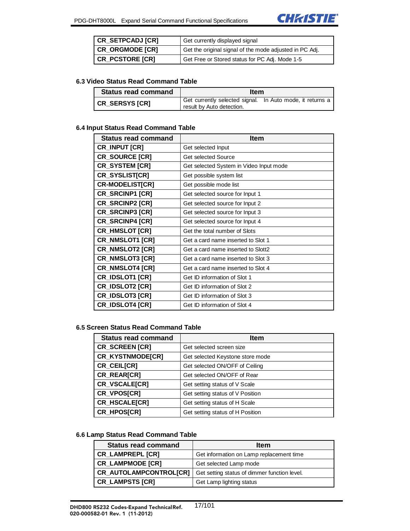

| <b>CR SETPCADJ [CR]</b> | Get currently displayed signal                          |  |
|-------------------------|---------------------------------------------------------|--|
| CR ORGMODE [CR]         | Get the original signal of the mode adjusted in PC Adj. |  |
| <b>CR PCSTORE [CR]</b>  | Get Free or Stored status for PC Adj. Mode 1-5          |  |

#### **6.3 Video Status Read Command Table**

| <b>Status read command</b> | <b>Item</b>                                                                            |  |
|----------------------------|----------------------------------------------------------------------------------------|--|
| <b>CR SERSYS [CR]</b>      | Get currently selected signal. In Auto mode, it returns a<br>result by Auto detection. |  |

#### **6.4 Input Status Read Command Table**

| <b>Status read command</b> | <b>Item</b>                             |
|----------------------------|-----------------------------------------|
| <b>CR_INPUT [CR]</b>       | Get selected Input                      |
| CR_SOURCE [CR]             | Get selected Source                     |
| <b>CR_SYSTEM [CR]</b>      | Get selected System in Video Input mode |
| <b>CR_SYSLIST[CR]</b>      | Get possible system list                |
| <b>CR-MODELIST[CR]</b>     | Get possible mode list                  |
| CR_SRCINP1 [CR]            | Get selected source for Input 1         |
| CR_SRCINP2 [CR]            | Get selected source for Input 2         |
| <b>CR_SRCINP3 [CR]</b>     | Get selected source for Input 3         |
| <b>CR_SRCINP4 [CR]</b>     | Get selected source for Input 4         |
| <b>CR_HMSLOT [CR]</b>      | Get the total number of Slots           |
| CR_NMSLOT1 [CR]            | Get a card name inserted to Slot 1      |
| <b>CR_NMSLOT2 [CR]</b>     | Get a card name inserted to Slott2      |
| <b>CR_NMSLOT3 [CR]</b>     | Get a card name inserted to Slot 3      |
| <b>CR_NMSLOT4 [CR]</b>     | Get a card name inserted to Slot 4      |
| <b>CR_IDSLOT1 [CR]</b>     | Get ID information of Slot 1            |
| <b>CR_IDSLOT2 [CR]</b>     | Get ID information of Slot 2            |
| <b>CR_IDSLOT3 [CR]</b>     | Get ID information of Slot 3            |
| <b>CR_IDSLOT4 [CR]</b>     | Get ID information of Slot 4            |

#### **6.5 Screen Status Read Command Table**

| <b>Status read command</b> | <b>Item</b>                      |
|----------------------------|----------------------------------|
| CR_SCREEN [CR]             | Get selected screen size         |
| CR_KYSTNMODE[CR]           | Get selected Keystone store mode |
| CR_CEIL[CR]                | Get selected ON/OFF of Ceiling   |
| CR_REAR[CR]                | Get selected ON/OFF of Rear      |
| CR_VSCALE[CR]              | Get setting status of V Scale    |
| CR_VPOS[CR]                | Get setting status of V Position |
| CR HSCALE[CR]              | Get setting status of H Scale    |
| CR_HPOS[CR]                | Get setting status of H Position |

#### **6.6 Lamp Status Read Command Table**

| <b>Status read command</b> | <b>Item</b>                                  |
|----------------------------|----------------------------------------------|
| <b>CR_LAMPREPL [CR]</b>    | Get information on Lamp replacement time     |
| <b>CR_LAMPMODE [CR]</b>    | Get selected Lamp mode                       |
| CR AUTOLAMPCONTROLICRI     | Get setting status of dimmer function level. |
| <b>CR_LAMPSTS [CR]</b>     | Get Lamp lighting status                     |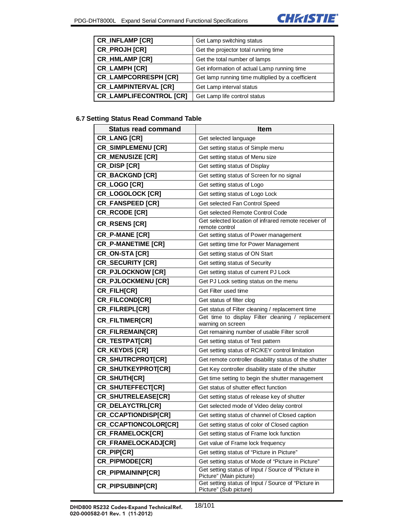

| <b>CR INFLAMP [CR]</b>         | Get Lamp switching status                         |
|--------------------------------|---------------------------------------------------|
| CR_PROJH [CR]                  | Get the projector total running time              |
| <b>CR_HMLAMP [CR]</b>          | Get the total number of lamps                     |
| <b>CR_LAMPH [CR]</b>           | Get information of actual Lamp running time       |
| <b>CR_LAMPCORRESPH [CR]</b>    | Get lamp running time multiplied by a coefficient |
| <b>CR_LAMPINTERVAL [CR]</b>    | Get Lamp interval status                          |
| <b>CR_LAMPLIFECONTROL [CR]</b> | Get Lamp life control status                      |

# **6.7 Setting Status Read Command Table**

| <b>Status read command</b> | <b>Item</b>                                                                    |
|----------------------------|--------------------------------------------------------------------------------|
| <b>CR_LANG [CR]</b>        | Get selected language                                                          |
| <b>CR_SIMPLEMENU [CR]</b>  | Get setting status of Simple menu                                              |
| <b>CR_MENUSIZE [CR]</b>    | Get setting status of Menu size                                                |
| <b>CR_DISP [CR]</b>        | Get setting status of Display                                                  |
| <b>CR_BACKGND [CR]</b>     | Get setting status of Screen for no signal                                     |
| CR_LOGO [CR]               | Get setting status of Logo                                                     |
| <b>CR_LOGOLOCK [CR]</b>    | Get setting status of Logo Lock                                                |
| <b>CR_FANSPEED [CR]</b>    | Get selected Fan Control Speed                                                 |
| CR_RCODE [CR]              | Get selected Remote Control Code                                               |
| <b>CR_RSENS [CR]</b>       | Get selected location of infrared remote receiver of<br>remote control         |
| CR_P-MANE [CR]             | Get setting status of Power management                                         |
| <b>CR_P-MANETIME [CR]</b>  | Get setting time for Power Management                                          |
| CR_ON-STA [CR]             | Get setting status of ON Start                                                 |
| <b>CR_SECURITY [CR]</b>    | Get setting status of Security                                                 |
| <b>CR_PJLOCKNOW [CR]</b>   | Get setting status of current PJ Lock                                          |
| <b>CR_PJLOCKMENU [CR]</b>  | Get PJ Lock setting status on the menu                                         |
| CR_FILH[CR]                | Get Filter used time                                                           |
| CR_FILCOND[CR]             | Get status of filter clog                                                      |
| CR_FILREPL[CR]             | Get status of Filter cleaning / replacement time                               |
| CR_FILTIMER[CR]            | Get time to display Filter cleaning / replacement<br>warning on screen         |
| <b>CR_FILREMAIN[CR]</b>    | Get remaining number of usable Filter scroll                                   |
| CR_TESTPAT[CR]             | Get setting status of Test pattern                                             |
| <b>CR_KEYDIS [CR]</b>      | Get setting status of RC/KEY control limitation                                |
| CR_SHUTRCPROT[CR]          | Get remote controller disability status of the shutter                         |
| CR_SHUTKEYPROT[CR]         | Get Key controller disability state of the shutter                             |
| CR_SHUTH[CR]               | Get time setting to begin the shutter management                               |
| CR_SHUTEFFECT[CR]          | Get status of shutter effect function                                          |
| CR_SHUTRELEASE[CR]         | Get setting status of release key of shutter                                   |
| CR_DELAYCTRL[CR]           | Get selected mode of Video delay control                                       |
| CR_CCAPTIONDISP[CR]        | Get setting status of channel of Closed caption                                |
| CR_CCAPTIONCOLOR[CR]       | Get setting status of color of Closed caption                                  |
| CR_FRAMELOCK[CR]           | Get setting status of Frame lock function                                      |
| CR_FRAMELOCKADJ[CR]        | Get value of Frame lock frequency                                              |
| CR_PIP[CR]                 | Get setting status of "Picture in Picture"                                     |
| CR_PIPMODE[CR]             | Get setting status of Mode of "Picture in Picture"                             |
| CR_PIPMAININP[CR]          | Get setting status of Input / Source of "Picture in<br>Picture" (Main picture) |
| <b>CR_PIPSUBINP[CR]</b>    | Get setting status of Input / Source of "Picture in<br>Picture" (Sub picture)  |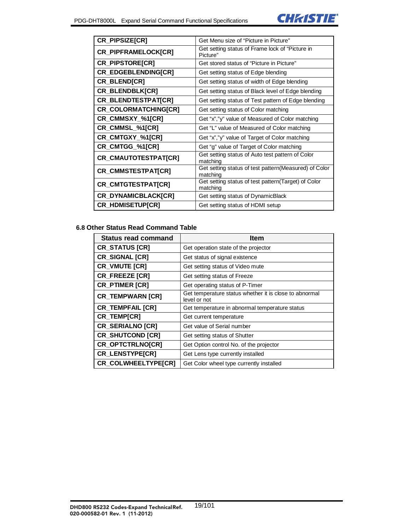

| CR_PIPSIZE[CR]              | Get Menu size of "Picture in Picture"                              |
|-----------------------------|--------------------------------------------------------------------|
| CR_PIPFRAMELOCK[CR]         | Get setting status of Frame lock of "Picture in<br>Picture"        |
| <b>CR_PIPSTORE[CR]</b>      | Get stored status of "Picture in Picture"                          |
| <b>CR_EDGEBLENDING[CR]</b>  | Get setting status of Edge blending                                |
| CR_BLEND[CR]                | Get setting status of width of Edge blending                       |
| CR_BLENDBLK[CR]             | Get setting status of Black level of Edge blending                 |
| CR_BLENDTESTPAT[CR]         | Get setting status of Test pattern of Edge blending                |
| CR_COLORMATCHING[CR]        | Get setting status of Color matching                               |
| CR_CMMSXY_%1[CR]            | Get "x","y" value of Measured of Color matching                    |
| CR_CMMSL_%1[CR]             | Get "L" value of Measured of Color matching                        |
| CR_CMTGXY_%1[CR]            | Get "x","y" value of Target of Color matching                      |
| CR_CMTGG_%1[CR]             | Get "g" value of Target of Color matching                          |
| <b>CR_CMAUTOTESTPAT[CR]</b> | Get setting status of Auto test pattern of Color<br>matching       |
| CR_CMMSTESTPAT[CR]          | Get setting status of test pattern (Measured) of Color<br>matching |
| <b>CR_CMTGTESTPAT[CR]</b>   | Get setting status of test pattern (Target) of Color<br>matching   |
| CR_DYNAMICBLACK[CR]         | Get setting status of DynamicBlack                                 |
| <b>CR_HDMISETUP[CR]</b>     | Get setting status of HDMI setup                                   |

# **6.8 Other Status Read Command Table**

| <b>Status read command</b> | <b>Item</b>                                                            |
|----------------------------|------------------------------------------------------------------------|
| <b>CR_STATUS [CR]</b>      | Get operation state of the projector                                   |
| <b>CR SIGNAL [CR]</b>      | Get status of signal existence                                         |
| CR_VMUTE [CR]              | Get setting status of Video mute                                       |
| <b>CR FREEZE [CR]</b>      | Get setting status of Freeze                                           |
| <b>CR_PTIMER [CR]</b>      | Get operating status of P-Timer                                        |
| <b>CR_TEMPWARN [CR]</b>    | Get temperature status whether it is close to abnormal<br>level or not |
| <b>CR TEMPFAIL [CR]</b>    | Get temperature in abnormal temperature status                         |
| <b>CR_TEMP[CR]</b>         | Get current temperature                                                |
| <b>CR_SERIALNO [CR]</b>    | Get value of Serial number                                             |
| <b>CR_SHUTCOND [CR]</b>    | Get setting status of Shutter                                          |
| <b>CR_OPTCTRLNO[CR]</b>    | Get Option control No. of the projector                                |
| <b>CR_LENSTYPE[CR]</b>     | Get Lens type currently installed                                      |
| <b>CR COLWHEELTYPE[CR]</b> | Get Color wheel type currently installed                               |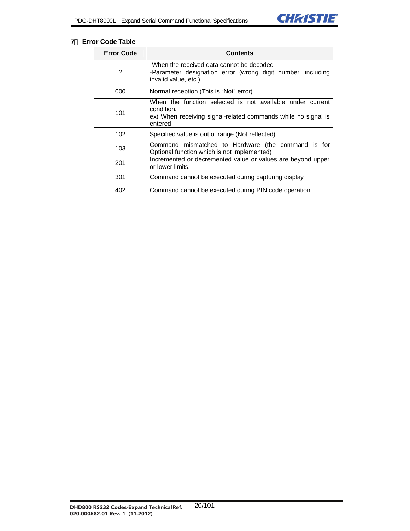

#### **7**. **Error Code Table**

| <b>Error Code</b> | Contents                                                                                                                                            |
|-------------------|-----------------------------------------------------------------------------------------------------------------------------------------------------|
| ?                 | -When the received data cannot be decoded<br>-Parameter designation error (wrong digit number, including<br>invalid value, etc.)                    |
| 000               | Normal reception (This is "Not" error)                                                                                                              |
| 101               | When the function selected is not available under current<br>condition.<br>ex) When receiving signal-related commands while no signal is<br>entered |
| 102               | Specified value is out of range (Not reflected)                                                                                                     |
| 103               | Command mismatched to Hardware (the command is for<br>Optional function which is not implemented)                                                   |
| 201               | Incremented or decremented value or values are beyond upper<br>or lower limits.                                                                     |
| 301               | Command cannot be executed during capturing display.                                                                                                |
| 402               | Command cannot be executed during PIN code operation.                                                                                               |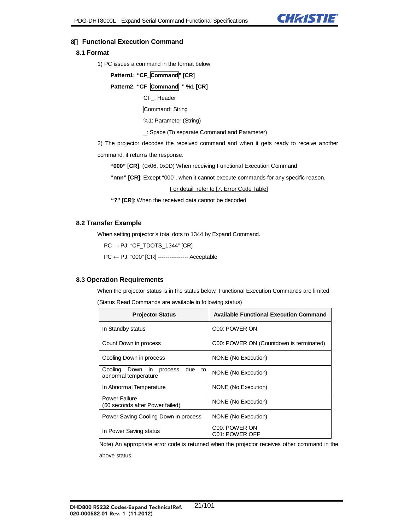

#### **8**. **Functional Execution Command**

#### **8.1 Format**

1) PC issues a command in the format below:

```
Pattern1: "CF_Command" [CR]
```
**Pattern2: "CF\_Command\_" %1 [CR]** 

CF\_: Header

Command: String

%1: Parameter (String)

\_: Space (To separate Command and Parameter)

2) The projector decodes the received command and when it gets ready to receive another

command, it returns the response.

**"000" [CR]**: (0x06, 0x0D) When receiving Functional Execution Command

**"nnn" [CR]**: Except "000", when it cannot execute commands for any specific reason.

For detail, refer to [7. Error Code Table]

**"?" [CR]**: When the received data cannot be decoded

#### **8.2 Transfer Example**

When setting projector's total dots to 1344 by Expand Command.

PC → PJ: "CF\_TDOTS\_1344" [CR]

PC ← PJ: "000" [CR] ---------------- Acceptable

#### **8.3 Operation Requirements**

When the projector status is in the status below, Functional Execution Commands are limited (Status Read Commands are available in following status)

| <b>Projector Status</b>                                            | <b>Available Functional Execution Command</b> |
|--------------------------------------------------------------------|-----------------------------------------------|
| In Standby status                                                  | C <sub>00</sub> : POWER ON                    |
| Count Down in process                                              | C00: POWER ON (Countdown is terminated)       |
| Cooling Down in process                                            | NONE (No Execution)                           |
| due<br>Cooling Down<br>in<br>process<br>to<br>abnormal temperature | NONE (No Execution)                           |
| In Abnormal Temperature                                            | NONE (No Execution)                           |
| Power Failure<br>(60 seconds after Power failed)                   | NONE (No Execution)                           |
| Power Saving Cooling Down in process                               | NONE (No Execution)                           |
| In Power Saving status                                             | C <sub>00</sub> : POWER ON<br>C01: POWER OFF  |

Note) An appropriate error code is returned when the projector receives other command in the above status.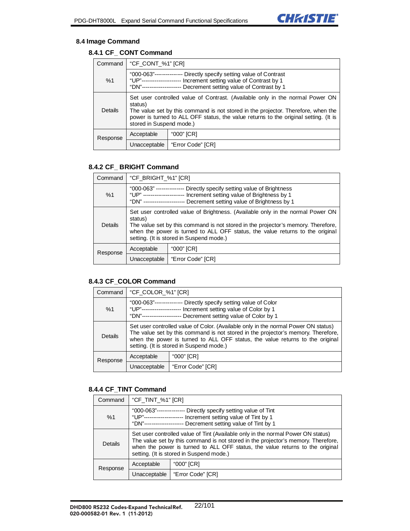

#### **8.4 Image Command**

# **8.4.1 CF\_ CONT Command**

| Command  | "CF_CONT_%1" [CR]                                                                                                                                                                                                                                                                                 |                   |
|----------|---------------------------------------------------------------------------------------------------------------------------------------------------------------------------------------------------------------------------------------------------------------------------------------------------|-------------------|
| %1       | "000-063"-------------<br>-- Directly specify setting value of Contrast<br>"[ JP"----------------------<br>Increment setting value of Contrast by 1<br>"DN"-------------------<br>Decrement setting value of Contrast by 1                                                                        |                   |
| Details  | Set user controlled value of Contrast. (Available only in the normal Power ON<br>status)<br>The value set by this command is not stored in the projector. Therefore, when the<br>power is turned to ALL OFF status, the value returns to the original setting. (It is<br>stored in Suspend mode.) |                   |
| Response | Acceptable                                                                                                                                                                                                                                                                                        | "000" [CR]        |
|          | Unacceptable                                                                                                                                                                                                                                                                                      | "Error Code" [CR] |

#### **8.4.2 CF\_ BRIGHT Command**

| Command        | "CF_BRIGHT_%1" [CR]                                                                                                                                                                                                                                                                                          |                   |
|----------------|--------------------------------------------------------------------------------------------------------------------------------------------------------------------------------------------------------------------------------------------------------------------------------------------------------------|-------------------|
| %1             | "000-063" ---------------<br>Directly specify setting value of Brightness<br>"UP" -------------------- Increment setting value of Brightness by 1<br>Decrement setting value of Brightness by 1<br>"DN" -----------------------                                                                              |                   |
| <b>Details</b> | Set user controlled value of Brightness. (Available only in the normal Power ON<br>status)<br>The value set by this command is not stored in the projector's memory. Therefore,<br>when the power is turned to ALL OFF status, the value returns to the original<br>setting. (It is stored in Suspend mode.) |                   |
| Response       | Acceptable                                                                                                                                                                                                                                                                                                   | "000" [CR]        |
|                | Unacceptable                                                                                                                                                                                                                                                                                                 | "Error Code" [CR] |

#### **8.4.3 CF\_COLOR Command**

| Command  | "CF_COLOR_%1" [CR]                                                                                                                                                                                                                                                                                   |                   |
|----------|------------------------------------------------------------------------------------------------------------------------------------------------------------------------------------------------------------------------------------------------------------------------------------------------------|-------------------|
| %1       | "000-063"-------------<br>Directly specify setting value of Color<br>Increment setting value of Color by 1<br>"UP"------------------<br>"DN"------------------<br>Decrement setting value of Color by 1                                                                                              |                   |
| Details  | Set user controlled value of Color. (Available only in the normal Power ON status)<br>The value set by this command is not stored in the projector's memory. Therefore,<br>when the power is turned to ALL OFF status, the value returns to the original<br>setting. (It is stored in Suspend mode.) |                   |
| Response | Acceptable                                                                                                                                                                                                                                                                                           | "000" [CR]        |
|          | Unacceptable                                                                                                                                                                                                                                                                                         | "Error Code" [CR] |

#### **8.4.4 CF\_TINT Command**

| Command  | "CF_TINT_%1" [CR]                                                                                                                                                                                                                                                                                  |                   |
|----------|----------------------------------------------------------------------------------------------------------------------------------------------------------------------------------------------------------------------------------------------------------------------------------------------------|-------------------|
| %1       | "000-063"--------------- Directly specify setting value of Tint<br>"UP"--------------------- Increment setting value of Tint by 1<br>"DN"-------------------- Decrement setting value of Tint by 1                                                                                                 |                   |
| Details  | Set user controlled value of Tint (Available only in the normal Power ON status)<br>The value set by this command is not stored in the projector's memory. Therefore,<br>when the power is turned to ALL OFF status, the value returns to the original<br>setting. (It is stored in Suspend mode.) |                   |
| Response | "000" [CR]<br>Acceptable                                                                                                                                                                                                                                                                           |                   |
|          | Unacceptable                                                                                                                                                                                                                                                                                       | "Error Code" [CR] |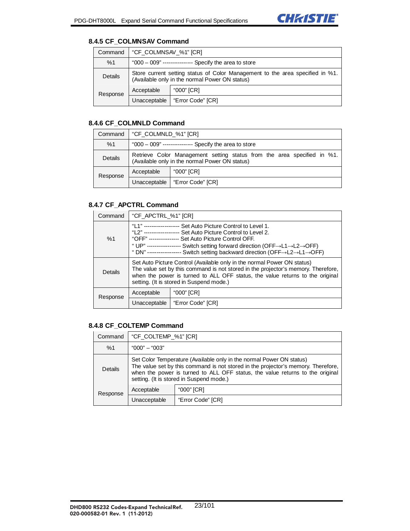

#### **8.4.5 CF\_COLMNSAV Command**

| Command  | "CF_COLMNSAV_%1" [CR]                                                                                                           |                   |
|----------|---------------------------------------------------------------------------------------------------------------------------------|-------------------|
| %1       | "000 – 009" ---------------- Specify the area to store                                                                          |                   |
| Details  | Store current setting status of Color Management to the area specified in %1.<br>(Available only in the normal Power ON status) |                   |
| Response | Acceptable                                                                                                                      | "000" [CR]        |
|          | Unacceptable                                                                                                                    | "Error Code" [CR] |

#### **8.4.6 CF\_COLMNLD Command**

| Command  | l "CF COLMNLD %1" [CR]                                                                                                    |                   |
|----------|---------------------------------------------------------------------------------------------------------------------------|-------------------|
| %1       | "000 – 009" ---------------- Specify the area to store                                                                    |                   |
| Details  | Retrieve Color Management setting status from the area specified in %1.<br>(Available only in the normal Power ON status) |                   |
| Response | Acceptable                                                                                                                | "000" [CR]        |
|          | Unacceptable                                                                                                              | "Error Code" [CR] |

#### **8.4.7 CF\_APCTRL Command**

| Command  | "CF_APCTRL_%1" [CR]                                                                                                                                                                                                                                                                                                                                                                         |                   |
|----------|---------------------------------------------------------------------------------------------------------------------------------------------------------------------------------------------------------------------------------------------------------------------------------------------------------------------------------------------------------------------------------------------|-------------------|
| %1       | "I 1" --------------------<br>Set Auto Picture Control to Level 1.<br>"L2" ------------------ Set Auto Picture Control to Level 2.<br>"OFF" --------------- Set Auto Picture Control OFF.<br>"UP" ----------------- Switch setting forward direction (OFF→L1→L2→OFF)<br>" DN" ----------------- Switch setting backward direction (OFF $\rightarrow$ L2 $\rightarrow$ L1 $\rightarrow$ OFF) |                   |
| Details  | Set Auto Picture Control (Available only in the normal Power ON status)<br>The value set by this command is not stored in the projector's memory. Therefore,<br>when the power is turned to ALL OFF status, the value returns to the original<br>setting. (It is stored in Suspend mode.)                                                                                                   |                   |
| Response | Acceptable                                                                                                                                                                                                                                                                                                                                                                                  | "000" [CR]        |
|          | Unacceptable                                                                                                                                                                                                                                                                                                                                                                                | "Error Code" [CR] |

# **8.4.8 CF\_COLTEMP Command**

| Command  | "CF COLTEMP %1" [CR]                                                                                                                                                                                                                                                                   |                   |
|----------|----------------------------------------------------------------------------------------------------------------------------------------------------------------------------------------------------------------------------------------------------------------------------------------|-------------------|
| %1       | $"000" - "003"$                                                                                                                                                                                                                                                                        |                   |
| Details  | Set Color Temperature (Available only in the normal Power ON status)<br>The value set by this command is not stored in the projector's memory. Therefore,<br>when the power is turned to ALL OFF status, the value returns to the original<br>setting. (It is stored in Suspend mode.) |                   |
| Response | Acceptable                                                                                                                                                                                                                                                                             | "000" [CR]        |
|          | Unacceptable                                                                                                                                                                                                                                                                           | "Error Code" [CR] |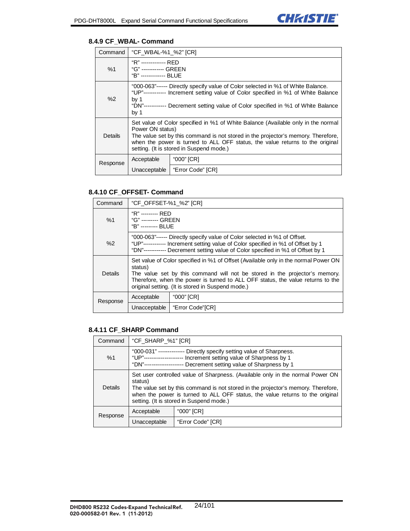

#### **8.4.9 CF\_WBAL- Command**

| Command        | "CF_WBAL-%1_%2" [CR]                                                                                                                                                                                                                                                                                                    |                   |  |
|----------------|-------------------------------------------------------------------------------------------------------------------------------------------------------------------------------------------------------------------------------------------------------------------------------------------------------------------------|-------------------|--|
| %1             | "R" ------------- RFD<br>"G" ------------ GREEN<br>"B" ------------- BLUE                                                                                                                                                                                                                                               |                   |  |
| %2             | "000-063"------ Directly specify value of Color selected in %1 of White Balance.<br>"UP"------------ Increment setting value of Color specified in %1 of White Balance<br>by $1$<br>"DN"------------ Decrement setting value of Color specified in %1 of White Balance<br>by $1$                                        |                   |  |
| <b>Details</b> | Set value of Color specified in %1 of White Balance (Available only in the normal<br>Power ON status)<br>The value set by this command is not stored in the projector's memory. Therefore,<br>when the power is turned to ALL OFF status, the value returns to the original<br>setting. (It is stored in Suspend mode.) |                   |  |
| Response       | Acceptable                                                                                                                                                                                                                                                                                                              | "000" [CR]        |  |
|                | Unacceptable                                                                                                                                                                                                                                                                                                            | "Error Code" [CR] |  |

#### **8.4.10 CF\_OFFSET- Command**

| Command  | "CF OFFSET-%1 %2" [CR]                                                                                                                                                                                                                                                                                                |                  |
|----------|-----------------------------------------------------------------------------------------------------------------------------------------------------------------------------------------------------------------------------------------------------------------------------------------------------------------------|------------------|
| %1       | "R" --------- RFD<br>"G" --------- GREEN<br>"B" --------- BLUF                                                                                                                                                                                                                                                        |                  |
| %2       | "000-063"------ Directly specify value of Color selected in %1 of Offset.<br>"UP"------------ Increment setting value of Color specified in %1 of Offset by 1<br>"DN"------------ Decrement setting value of Color specified in %1 of Offset by 1                                                                     |                  |
| Details  | Set value of Color specified in %1 of Offset (Available only in the normal Power ON<br>status)<br>The value set by this command will not be stored in the projector's memory.<br>Therefore, when the power is turned to ALL OFF status, the value returns to the<br>original setting. (It is stored in Suspend mode.) |                  |
| Response | Acceptable                                                                                                                                                                                                                                                                                                            | "000" [CR]       |
|          | Unacceptable                                                                                                                                                                                                                                                                                                          | "Error Code"[CR] |

#### **8.4.11 CF\_SHARP Command**

| Command  | "CF_SHARP_%1" [CR]                                                                                                                                                                                                                                                                                          |                   |
|----------|-------------------------------------------------------------------------------------------------------------------------------------------------------------------------------------------------------------------------------------------------------------------------------------------------------------|-------------------|
| %1       | "000-031" -------------- Directly specify setting value of Sharpness.<br>Increment setting value of Sharpness by 1<br>"I IP"----------------------<br>Decrement setting value of Sharpness by 1<br>"DN"--------------------                                                                                 |                   |
| Details  | Set user controlled value of Sharpness. (Available only in the normal Power ON<br>status)<br>The value set by this command is not stored in the projector's memory. Therefore,<br>when the power is turned to ALL OFF status, the value returns to the original<br>setting. (It is stored in Suspend mode.) |                   |
| Response | "000" [CR]<br>Acceptable                                                                                                                                                                                                                                                                                    |                   |
|          | Unacceptable                                                                                                                                                                                                                                                                                                | "Error Code" [CR] |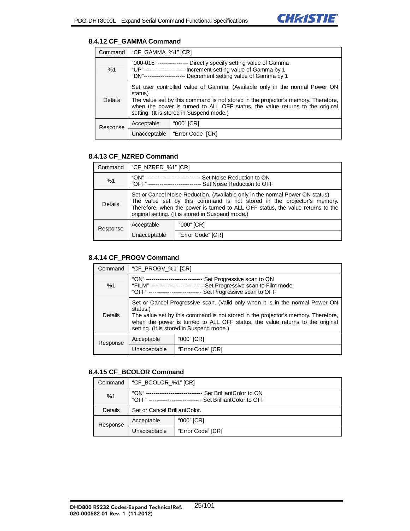

#### **8.4.12 CF\_GAMMA Command**

| Command  | "CF_GAMMA_%1" [CR]                                                                                                                                                                                                                                                                                      |                   |
|----------|---------------------------------------------------------------------------------------------------------------------------------------------------------------------------------------------------------------------------------------------------------------------------------------------------------|-------------------|
| %1       | "000-015" ---------------- Directly specify setting value of Gamma<br>"UP"---------------------- Increment setting value of Gamma by 1<br>"DN"--------------------- Decrement setting value of Gamma by 1                                                                                               |                   |
| Details  | Set user controlled value of Gamma. (Available only in the normal Power ON<br>status)<br>The value set by this command is not stored in the projector's memory. Therefore,<br>when the power is turned to ALL OFF status, the value returns to the original<br>setting. (It is stored in Suspend mode.) |                   |
| Response | Acceptable<br>"000" [CR]                                                                                                                                                                                                                                                                                |                   |
|          | Unacceptable                                                                                                                                                                                                                                                                                            | "Error Code" [CR] |

### **8.4.13 CF\_NZRED Command**

| Command  | "CF_NZRED_%1" [CR]                                                                                                                                                                                                                                                                              |                   |
|----------|-------------------------------------------------------------------------------------------------------------------------------------------------------------------------------------------------------------------------------------------------------------------------------------------------|-------------------|
| %1       | "ON" ---------------------------<br>--Set Noise Reduction to ON<br>"OFF" ---------------------------- Set Noise Reduction to OFF                                                                                                                                                                |                   |
| Details  | Set or Cancel Noise Reduction. (Available only in the normal Power ON status)<br>The value set by this command is not stored in the projector's memory.<br>Therefore, when the power is turned to ALL OFF status, the value returns to the<br>original setting. (It is stored in Suspend mode.) |                   |
| Response | Acceptable                                                                                                                                                                                                                                                                                      | "000" [CR]        |
|          | Unacceptable                                                                                                                                                                                                                                                                                    | "Error Code" [CR] |

#### **8.4.14 CF\_PROGV Command**

| Command  | "CF_PROGV_%1" [CR]                                                                                                                                                                                                                                                                                          |                   |
|----------|-------------------------------------------------------------------------------------------------------------------------------------------------------------------------------------------------------------------------------------------------------------------------------------------------------------|-------------------|
| %1       | "ON" -----<br>Set Progressive scan to ON<br>"FILM" --------------------------- Set Progressive scan to Film mode<br>Set Progressive scan to OFF<br>"OFF" ---------------------------                                                                                                                        |                   |
| Details  | Set or Cancel Progressive scan. (Valid only when it is in the normal Power ON<br>status.)<br>The value set by this command is not stored in the projector's memory. Therefore,<br>when the power is turned to ALL OFF status, the value returns to the original<br>setting. (It is stored in Suspend mode.) |                   |
| Response | "000" [CR]<br>Acceptable                                                                                                                                                                                                                                                                                    |                   |
|          | Unacceptable                                                                                                                                                                                                                                                                                                | "Error Code" [CR] |

#### **8.4.15 CF\_BCOLOR Command**

| Command  | "CF_BCOLOR_%1" [CR]                                                    |                   |
|----------|------------------------------------------------------------------------|-------------------|
| %1       | "ON"<br>Set BrilliantColor to ON<br>"OFF"<br>Set BrilliantColor to OFF |                   |
| Details  | Set or Cancel BrilliantColor.                                          |                   |
| Response | Acceptable                                                             | "000" [CR]        |
|          | Unacceptable                                                           | "Error Code" [CR] |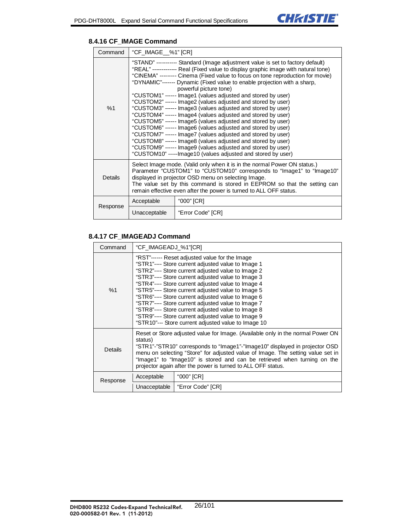

#### **8.4.16 CF\_IMAGE Command**

| Command        | "CF_IMAGE__%1" [CR]                                                                                                                                                                                                                                                                                                                                                                                                                                                                                                                                                                                                                                                                                                                                                                                                                                                                                                                                                                                                          |                   |
|----------------|------------------------------------------------------------------------------------------------------------------------------------------------------------------------------------------------------------------------------------------------------------------------------------------------------------------------------------------------------------------------------------------------------------------------------------------------------------------------------------------------------------------------------------------------------------------------------------------------------------------------------------------------------------------------------------------------------------------------------------------------------------------------------------------------------------------------------------------------------------------------------------------------------------------------------------------------------------------------------------------------------------------------------|-------------------|
| %1             | "STAND" ---------- Standard (Image adjustment value is set to factory default)<br>"REAL" ------------- Real (Fixed value to display graphic image with natural tone)<br>"CINEMA" -------- Cinema (Fixed value to focus on tone reproduction for movie)<br>"DYNAMIC"------- Dynamic (Fixed value to enable projection with a sharp,<br>powerful picture tone)<br>"CUSTOM1" ------ Image1 (values adjusted and stored by user)<br>"CUSTOM2" ------ Image2 (values adjusted and stored by user)<br>"CUSTOM3" ------ Image3 (values adjusted and stored by user)<br>"CUSTOM4" ------ Image4 (values adjusted and stored by user)<br>"CUSTOM5" ------ Image5 (values adjusted and stored by user)<br>"CUSTOM6" ------ Image6 (values adjusted and stored by user)<br>"CUSTOM7" ------ Image7 (values adjusted and stored by user)<br>"CUSTOM8" ------ Image8 (values adjusted and stored by user)<br>"CUSTOM9" ------ Image9 (values adjusted and stored by user)<br>"CUSTOM10" -----Image10 (values adjusted and stored by user) |                   |
| <b>Details</b> | Select Image mode. (Valid only when it is in the normal Power ON status.)<br>Parameter "CUSTOM1" to "CUSTOM10" corresponds to "Image1" to "Image10"<br>displayed in projector OSD menu on selecting Image.<br>The value set by this command is stored in EEPROM so that the setting can<br>remain effective even after the power is turned to ALL OFF status.                                                                                                                                                                                                                                                                                                                                                                                                                                                                                                                                                                                                                                                                |                   |
| Response       | Acceptable                                                                                                                                                                                                                                                                                                                                                                                                                                                                                                                                                                                                                                                                                                                                                                                                                                                                                                                                                                                                                   | "000" [CR]        |
|                | Unacceptable                                                                                                                                                                                                                                                                                                                                                                                                                                                                                                                                                                                                                                                                                                                                                                                                                                                                                                                                                                                                                 | "Error Code" [CR] |

# **8.4.17 CF\_IMAGEADJ Command**

| Command  | "CF_IMAGEADJ_%1"[CR]                                                                                                                                                                                                                                                                                                                                                                                                                                                                                                                                                                                        |                   |
|----------|-------------------------------------------------------------------------------------------------------------------------------------------------------------------------------------------------------------------------------------------------------------------------------------------------------------------------------------------------------------------------------------------------------------------------------------------------------------------------------------------------------------------------------------------------------------------------------------------------------------|-------------------|
| %1       | "RST"------ Reset adjusted value for the Image<br>"STR1"---- Store current adjusted value to Image 1<br>"STR2"---- Store current adjusted value to Image 2<br>"STR3"---- Store current adjusted value to Image 3<br>"STR4"---- Store current adjusted value to Image 4<br>"STR5"---- Store current adjusted value to Image 5<br>"STR6"---- Store current adjusted value to Image 6<br>"STR7"---- Store current adjusted value to Image 7<br>"STR8"---- Store current adjusted value to Image 8<br>"STR9"---- Store current adjusted value to Image 9<br>"STR10"--- Store current adjusted value to Image 10 |                   |
| Details  | Reset or Store adjusted value for Image. (Available only in the normal Power ON<br>status)<br>"STR1"-"STR10" corresponds to "Image1"-"Image10" displayed in projector OSD<br>menu on selecting "Store" for adjusted value of Image. The setting value set in<br>"Image1" to "Image10" is stored and can be retrieved when turning on the<br>projector again after the power is turned to ALL OFF status.                                                                                                                                                                                                    |                   |
| Response | "000" [CR]<br>Acceptable                                                                                                                                                                                                                                                                                                                                                                                                                                                                                                                                                                                    |                   |
|          | Unacceptable                                                                                                                                                                                                                                                                                                                                                                                                                                                                                                                                                                                                | "Error Code" [CR] |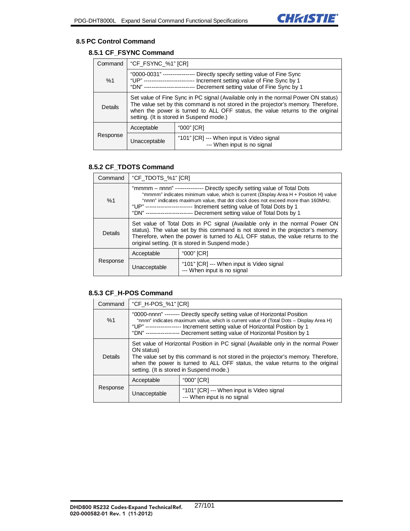

#### **8.5 PC Control Command**

# **8.5.1 CF\_FSYNC Command**

| Command  | "CF_FSYNC_%1" [CR]                                                                                                                                                                                                                                                                                   |                                                                          |
|----------|------------------------------------------------------------------------------------------------------------------------------------------------------------------------------------------------------------------------------------------------------------------------------------------------------|--------------------------------------------------------------------------|
| %1       | "0000-0031" -----------------<br>Directly specify setting value of Fine Sync<br>Increment setting value of Fine Sync by 1<br>"[ JP" ----------------------------<br>Decrement setting value of Fine Sync by 1<br>"DN" ------------------------                                                       |                                                                          |
| Details  | Set value of Fine Sync in PC signal (Available only in the normal Power ON status)<br>The value set by this command is not stored in the projector's memory. Therefore,<br>when the power is turned to ALL OFF status, the value returns to the original<br>setting. (It is stored in Suspend mode.) |                                                                          |
|          | Acceptable                                                                                                                                                                                                                                                                                           | "000" [CR]                                                               |
| Response | Unacceptable                                                                                                                                                                                                                                                                                         | "101" [CR] --- When input is Video signal<br>--- When input is no signal |

#### **8.5.2 CF\_TDOTS Command**

| Command  | "CF_TDOTS_%1" [CR]                                                                                                                                                                                                                                                                                                                                                                                             |                                                                          |
|----------|----------------------------------------------------------------------------------------------------------------------------------------------------------------------------------------------------------------------------------------------------------------------------------------------------------------------------------------------------------------------------------------------------------------|--------------------------------------------------------------------------|
| %1       | "mmmm – nnnn" --------------- Directly specify setting value of Total Dots<br>"mmmm" indicates minimum value, which is current (Display Area H + Position H) value<br>"nnnn" indicates maximum value, that dot clock does not exceed more than 160MHz.<br>"UP" ------------------------ Increment setting value of Total Dots by 1<br>"DN" ------------------------ Decrement setting value of Total Dots by 1 |                                                                          |
| Details  | Set value of Total Dots in PC signal (Available only in the normal Power ON<br>status). The value set by this command is not stored in the projector's memory.<br>Therefore, when the power is turned to ALL OFF status, the value returns to the<br>original setting. (It is stored in Suspend mode.)                                                                                                         |                                                                          |
|          | Acceptable                                                                                                                                                                                                                                                                                                                                                                                                     | "000" [CR]                                                               |
| Response | Unacceptable                                                                                                                                                                                                                                                                                                                                                                                                   | "101" [CR] --- When input is Video signal<br>--- When input is no signal |

#### **8.5.3 CF\_H-POS Command**

| Command  | "CF_H-POS_%1" [CR]                                                                                                                                                                                                                                                                                                                 |                                                                          |
|----------|------------------------------------------------------------------------------------------------------------------------------------------------------------------------------------------------------------------------------------------------------------------------------------------------------------------------------------|--------------------------------------------------------------------------|
| %1       | "0000-nnnn" -------- Directly specify setting value of Horizontal Position<br>"nnnn" indicates maximum value, which is current value of (Total Dots – Display Area H)<br>"UP" ------------------ Increment setting value of Horizontal Position by 1<br>"DN" ----------------- Decrement setting value of Horizontal Position by 1 |                                                                          |
| Details  | Set value of Horizontal Position in PC signal (Available only in the normal Power<br>ON status)<br>The value set by this command is not stored in the projector's memory. Therefore,<br>when the power is turned to ALL OFF status, the value returns to the original<br>setting. (It is stored in Suspend mode.)                  |                                                                          |
|          | Acceptable                                                                                                                                                                                                                                                                                                                         | "000" [CR]                                                               |
| Response | Unacceptable                                                                                                                                                                                                                                                                                                                       | "101" [CR] --- When input is Video signal<br>--- When input is no signal |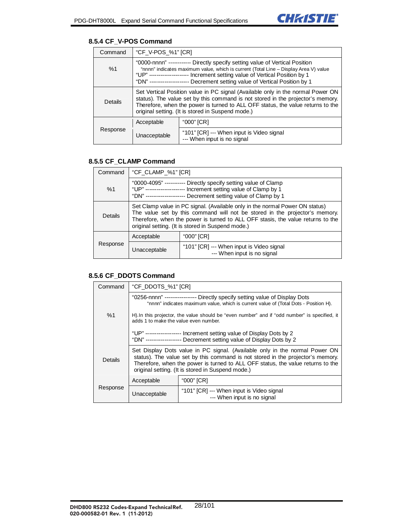

#### **8.5.4 CF\_V-POS Command**

| Command  | "CF_V-POS_%1" [CR]                                                                                                                                                                                                                                                                                                                |                                                                          |
|----------|-----------------------------------------------------------------------------------------------------------------------------------------------------------------------------------------------------------------------------------------------------------------------------------------------------------------------------------|--------------------------------------------------------------------------|
| %1       | "0000-nnnn" ----------- Directly specify setting value of Vertical Position<br>"nnnn" indicates maximum value, which is current (Total Line - Display Area V) value<br>"UP" -------------------- Increment setting value of Vertical Position by 1<br>"DN" -------------------- Decrement setting value of Vertical Position by 1 |                                                                          |
| Details  | Set Vertical Position value in PC signal (Available only in the normal Power ON<br>status). The value set by this command is not stored in the projector's memory.<br>Therefore, when the power is turned to ALL OFF status, the value returns to the<br>original setting. (It is stored in Suspend mode.)                        |                                                                          |
|          | Acceptable                                                                                                                                                                                                                                                                                                                        | "000" [CR]                                                               |
| Response | Unacceptable                                                                                                                                                                                                                                                                                                                      | "101" [CR] --- When input is Video signal<br>--- When input is no signal |

#### **8.5.5 CF\_CLAMP Command**

| Command        | "CF_CLAMP_%1" [CR]                                                                                                                                                                                                                                                                                  |                                                                          |
|----------------|-----------------------------------------------------------------------------------------------------------------------------------------------------------------------------------------------------------------------------------------------------------------------------------------------------|--------------------------------------------------------------------------|
| %1             | "0000-4095" ----------- Directly specify setting value of Clamp<br>"UP" -------------------- Increment setting value of Clamp by 1<br>"DN" --------------------- Decrement setting value of Clamp by 1                                                                                              |                                                                          |
| <b>Details</b> | Set Clamp value in PC signal. (Available only in the normal Power ON status)<br>The value set by this command will not be stored in the projector's memory.<br>Therefore, when the power is turned to ALL OFF stasis, the value returns to the<br>original setting. (It is stored in Suspend mode.) |                                                                          |
|                | Acceptable                                                                                                                                                                                                                                                                                          | "000" [CR]                                                               |
| Response       | Unacceptable                                                                                                                                                                                                                                                                                        | "101" [CR] --- When input is Video signal<br>--- When input is no signal |

#### **8.5.6 CF\_DDOTS Command**

| Command  | "CF_DDOTS_%1" [CR]                                                                                                                                                                                                                                                                                            |                                                                                                                                              |
|----------|---------------------------------------------------------------------------------------------------------------------------------------------------------------------------------------------------------------------------------------------------------------------------------------------------------------|----------------------------------------------------------------------------------------------------------------------------------------------|
|          | "0256-nnnn" ---------------- Directly specify setting value of Display Dots<br>"nnnn" indicates maximum value, which is current value of (Total Dots - Position H).<br>H). In this projector, the value should be "even number" and if "odd number" is specified, it<br>adds 1 to make the value even number. |                                                                                                                                              |
| %1       |                                                                                                                                                                                                                                                                                                               |                                                                                                                                              |
|          |                                                                                                                                                                                                                                                                                                               | "UP" ------------------ Increment setting value of Display Dots by 2<br>"DN" ------------------ Decrement setting value of Display Dots by 2 |
| Details  | Set Display Dots value in PC signal. (Available only in the normal Power ON<br>status). The value set by this command is not stored in the projector's memory.<br>Therefore, when the power is turned to ALL OFF status, the value returns to the<br>original setting. (It is stored in Suspend mode.)        |                                                                                                                                              |
|          | Acceptable                                                                                                                                                                                                                                                                                                    | "000" [CR]                                                                                                                                   |
| Response | Unacceptable                                                                                                                                                                                                                                                                                                  | "101" [CR] --- When input is Video signal<br>--- When input is no signal                                                                     |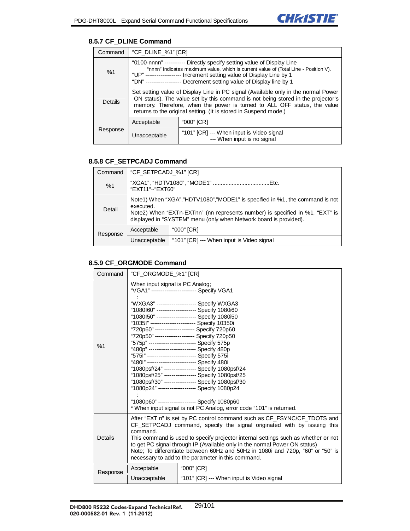### **8.5.7 CF\_DLINE Command**

| Command  | "CF_DLINE_%1" [CR]                                                                                                                                                                                                                                                                                                     |                                                                          |
|----------|------------------------------------------------------------------------------------------------------------------------------------------------------------------------------------------------------------------------------------------------------------------------------------------------------------------------|--------------------------------------------------------------------------|
| %1       | "0100-nnnn" ----------- Directly specify setting value of Display Line<br>"nnnn" indicates maximum value, which is current value of (Total Line - Position V).<br>"UP" ------------------ Increment setting value of Display Line by 1<br>"DN" ------------------ Decrement setting value of Display line by 1         |                                                                          |
| Details  | Set setting value of Display Line in PC signal (Available only in the normal Power<br>ON status). The value set by this command is not being stored in the projector's<br>memory. Therefore, when the power is turned to ALL OFF status, the value<br>returns to the original setting. (It is stored in Suspend mode.) |                                                                          |
|          | Acceptable                                                                                                                                                                                                                                                                                                             | "000" [CR]                                                               |
| Response | Unacceptable                                                                                                                                                                                                                                                                                                           | "101" [CR] --- When input is Video signal<br>--- When input is no signal |

### **8.5.8 CF\_SETPCADJ Command**

| Command  | "CF_SETPCADJ_%1" [CR]                                                                                                                                                                                                                         |                                           |
|----------|-----------------------------------------------------------------------------------------------------------------------------------------------------------------------------------------------------------------------------------------------|-------------------------------------------|
| %1       | "EXT11"~"EXT60"                                                                                                                                                                                                                               |                                           |
| Detail   | Note1) When "XGA","HDTV1080","MODE1" is specified in %1, the command is not<br>executed.<br>Note2) When "EXTn-EXTnn" (nn represents number) is specified in %1, "EXT" is<br>displayed in "SYSTEM" menu (only when Network board is provided). |                                           |
| Response | Acceptable<br>"000" [CR]                                                                                                                                                                                                                      |                                           |
|          | Unacceptable                                                                                                                                                                                                                                  | "101" [CR] --- When input is Video signal |

### **8.5.9 CF\_ORGMODE Command**

| Command                                                                                                                                                                                                                                                                                                                                                                                                                                                                                                                                                                                                                                                                                                                                                                        | "CF_ORGMODE_%1" [CR]                                                                                                                                                                                                                                                                                                                                                                                                                                                         |                                                                     |
|--------------------------------------------------------------------------------------------------------------------------------------------------------------------------------------------------------------------------------------------------------------------------------------------------------------------------------------------------------------------------------------------------------------------------------------------------------------------------------------------------------------------------------------------------------------------------------------------------------------------------------------------------------------------------------------------------------------------------------------------------------------------------------|------------------------------------------------------------------------------------------------------------------------------------------------------------------------------------------------------------------------------------------------------------------------------------------------------------------------------------------------------------------------------------------------------------------------------------------------------------------------------|---------------------------------------------------------------------|
|                                                                                                                                                                                                                                                                                                                                                                                                                                                                                                                                                                                                                                                                                                                                                                                | When input signal is PC Analog;                                                                                                                                                                                                                                                                                                                                                                                                                                              | "VGA1" ------------------------ Specify VGA1                        |
| "WXGA3" -------------------- Specify WXGA3<br>"1080I60" --------------------- Specify 1080i60<br>"1080I50" --------------------- Specify 1080i50<br>"1035l" ----------------------- Specify 10350i<br>"720p60" --------------------- Specify 720p60<br>"720p50" --------------------- Specify 720p50<br>"575p" ------------------------- Specify 575p<br>%1<br>"480p" ------------------------- Specify 480p<br>"5751" -------------------------- Specify 575i<br>"480l" -------------------------- Specify 480i<br>"1080psf/24" ---------------- Specify 1080psf/24<br>"1080psf/25" ---------------- Specify 1080psf/25<br>"1080psf/30" ---------------- Specify 1080psf/30<br>"1080p24" ------------------- Specify 1080p24<br>"1080p60" ------------------- Specify 1080p60 |                                                                                                                                                                                                                                                                                                                                                                                                                                                                              | * When input signal is not PC Analog, error code "101" is returned. |
| Details                                                                                                                                                                                                                                                                                                                                                                                                                                                                                                                                                                                                                                                                                                                                                                        | After "EXT n" is set by PC control command such as CF_FSYNC/CF_TDOTS and<br>CF SETPCADJ command, specify the signal originated with by issuing this<br>command.<br>This command is used to specify projector internal settings such as whether or not<br>to get PC signal through IP (Available only in the normal Power ON status)<br>Note; To differentiate between 60Hz and 50Hz in 1080i and 720p, "60" or "50" is<br>necessary to add to the parameter in this command. |                                                                     |
| Response                                                                                                                                                                                                                                                                                                                                                                                                                                                                                                                                                                                                                                                                                                                                                                       | Acceptable                                                                                                                                                                                                                                                                                                                                                                                                                                                                   | "000" [CR]                                                          |
|                                                                                                                                                                                                                                                                                                                                                                                                                                                                                                                                                                                                                                                                                                                                                                                | Unacceptable                                                                                                                                                                                                                                                                                                                                                                                                                                                                 | "101" [CR] --- When input is Video signal                           |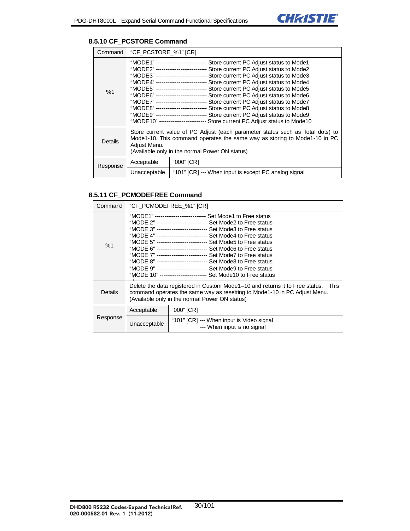

#### **8.5.10 CF\_PCSTORE Command**

| Command  | "CF_PCSTORE_%1" [CR]                                                                                                                                                                                                                                                                                                                                                                                                                                                                                                                                                                                                                                                                                                                                                                                      |                                                      |  |
|----------|-----------------------------------------------------------------------------------------------------------------------------------------------------------------------------------------------------------------------------------------------------------------------------------------------------------------------------------------------------------------------------------------------------------------------------------------------------------------------------------------------------------------------------------------------------------------------------------------------------------------------------------------------------------------------------------------------------------------------------------------------------------------------------------------------------------|------------------------------------------------------|--|
| %1       | "MODE1" -------------------------- Store current PC Adjust status to Mode1<br>"MODE2" --------------------------- Store current PC Adjust status to Mode2<br>"MODE3" -------------------------- Store current PC Adjust status to Mode3<br>"MODE4" -------------------------- Store current PC Adjust status to Mode4<br>"MODE5" -------------------------- Store current PC Adjust status to Mode5<br>"MODE6" -------------------------- Store current PC Adjust status to Mode6<br>"MODE7" -------------------------- Store current PC Adjust status to Mode7<br>"MODE8" -------------------------- Store current PC Adjust status to Mode8<br>"MODE9" -------------------------- Store current PC Adjust status to Mode9<br>"MODE10" ------------------------ Store current PC Adjust status to Mode10 |                                                      |  |
| Details  | Store current value of PC Adjust (each parameter status such as Total dots) to<br>Mode1-10. This command operates the same way as storing to Mode1-10 in PC<br>Adjust Menu.<br>(Available only in the normal Power ON status)                                                                                                                                                                                                                                                                                                                                                                                                                                                                                                                                                                             |                                                      |  |
| Response | Acceptable                                                                                                                                                                                                                                                                                                                                                                                                                                                                                                                                                                                                                                                                                                                                                                                                | "000" [CR]                                           |  |
|          | Unacceptable                                                                                                                                                                                                                                                                                                                                                                                                                                                                                                                                                                                                                                                                                                                                                                                              | "101" [CR] --- When input is except PC analog signal |  |

#### **8.5.11 CF\_PCMODEFREE Command**

| Command  | "CF PCMODEFREE %1" [CR]                                                                                                                                                                                                                                                                                                                                                                                                                                                                                                                                                                                                                                            |                                                                          |  |
|----------|--------------------------------------------------------------------------------------------------------------------------------------------------------------------------------------------------------------------------------------------------------------------------------------------------------------------------------------------------------------------------------------------------------------------------------------------------------------------------------------------------------------------------------------------------------------------------------------------------------------------------------------------------------------------|--------------------------------------------------------------------------|--|
| %1       | "MODE1" --------------------------- Set Mode1 to Free status<br>"MODE 2" -------------------------- Set Mode2 to Free status<br>"MODE 3" --------------------------- Set Mode3 to Free status<br>"MODE 4" -------------------------- Set Mode4 to Free status<br>"MODE 5" --------------------------- Set Mode5 to Free status<br>"MODE 6" --------------------------- Set Mode6 to Free status<br>"MODE 7" -------------------------- Set Mode7 to Free status<br>"MODE 8" --------------------------- Set Mode8 to Free status<br>"MODE 9" --------------------------- Set Mode9 to Free status<br>"MODE 10" ------------------------- Set Mode10 to Free status |                                                                          |  |
| Details  | Delete the data registered in Custom Mode1-10 and returns it to Free status. This<br>command operates the same way as resetting to Mode1-10 in PC Adjust Menu.<br>(Available only in the normal Power ON status)                                                                                                                                                                                                                                                                                                                                                                                                                                                   |                                                                          |  |
| Response | Acceptable                                                                                                                                                                                                                                                                                                                                                                                                                                                                                                                                                                                                                                                         | "000" [CR]                                                               |  |
|          | Unacceptable                                                                                                                                                                                                                                                                                                                                                                                                                                                                                                                                                                                                                                                       | "101" [CR] --- When input is Video signal<br>--- When input is no signal |  |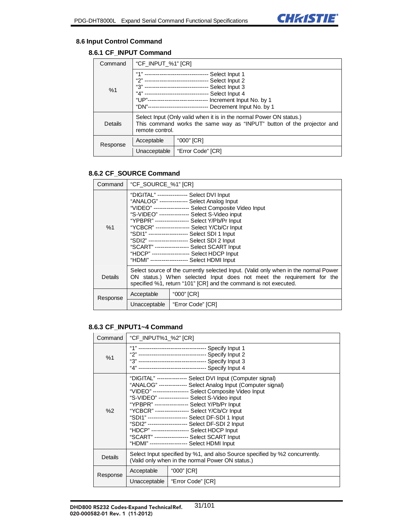

#### **8.6 Input Control Command**

### **8.6.1 CF\_INPUT Command**

| Command  | "CF_INPUT_%1" [CR]                                                                                                                                                                                                                                                                                                   |                                  |
|----------|----------------------------------------------------------------------------------------------------------------------------------------------------------------------------------------------------------------------------------------------------------------------------------------------------------------------|----------------------------------|
| %1       | "1"<br>--------------------------------    Select Input 1<br>"2" ---------------------------------    Select Input 2<br>Select Input 4<br>"4" ----------------------------------<br>"UP"------------------------------- Increment Input No. by 1<br>"DN"--------------------------------<br>Decrement Input No. by 1 |                                  |
| Details  | Select Input (Only valid when it is in the normal Power ON status.)<br>This command works the same way as "INPUT" button of the projector and<br>remote control.                                                                                                                                                     |                                  |
| Response | Acceptable                                                                                                                                                                                                                                                                                                           | "000" [CR]                       |
|          |                                                                                                                                                                                                                                                                                                                      | Unacceptable   "Error Code" [CR] |

#### **8.6.2 CF\_SOURCE Command**

| Command        | "CF SOURCE %1" [CR]                                                                                                                                                                                                                                                                                                                                                                                                       |                   |  |
|----------------|---------------------------------------------------------------------------------------------------------------------------------------------------------------------------------------------------------------------------------------------------------------------------------------------------------------------------------------------------------------------------------------------------------------------------|-------------------|--|
| %1             | "DIGITAL" --------------- Select DVI Input<br>"ANALOG" -------------- Select Analog Input<br>"VIDEO" ------------------ Select Composite Video Input<br>"S-VIDEO" --------------- Select S-Video input<br>"YCBCR" -----------------    Select Y/Cb/Cr    Input<br>"SCART" ------------------    Select SCART Input<br>"HDCP" --------------------    Select HDCP Input<br>"HDMI" -------------------    Select HDMI Input |                   |  |
| <b>Details</b> | Select source of the currently selected Input. (Valid only when in the normal Power<br>ON status.) When selected Input does not meet the requirement for the<br>specified %1, return "101" [CR] and the command is not executed.                                                                                                                                                                                          |                   |  |
| Response       | Acceptable                                                                                                                                                                                                                                                                                                                                                                                                                | "000" [CR]        |  |
|                | Unacceptable                                                                                                                                                                                                                                                                                                                                                                                                              | "Error Code" [CR] |  |

#### **8.6.3 CF\_INPUT1~4 Command**

| Command  | "CF_INPUT%1_%2" [CR]                                                                                                                                                                                                                                                                                                                                                                                                                                                                                                  |                   |  |
|----------|-----------------------------------------------------------------------------------------------------------------------------------------------------------------------------------------------------------------------------------------------------------------------------------------------------------------------------------------------------------------------------------------------------------------------------------------------------------------------------------------------------------------------|-------------------|--|
| %1       |                                                                                                                                                                                                                                                                                                                                                                                                                                                                                                                       |                   |  |
| %2       | "DIGITAL" --------------- Select DVI Input (Computer signal)<br>"ANALOG" --------------- Select Analog Input (Computer signal)<br>"VIDEO" ------------------ Select Composite Video Input<br>"S-VIDEO" ---------------- Select S-Video input<br>"YPBPR" -----------------    Select Y/Pb/Pr Input<br>"YCBCR" ------------------    Select Y/Cb/Cr    Input<br>"HDCP" --------------------    Select HDCP Input<br>"SCART" ------------------    Select SCART Input<br>"HDMI" -------------------    Select HDMI Input |                   |  |
| Details  | Select Input specified by %1, and also Source specified by %2 concurrently.<br>(Valid only when in the normal Power ON status.)                                                                                                                                                                                                                                                                                                                                                                                       |                   |  |
| Response | Acceptable                                                                                                                                                                                                                                                                                                                                                                                                                                                                                                            | "000" [CR]        |  |
|          | Unacceptable                                                                                                                                                                                                                                                                                                                                                                                                                                                                                                          | "Error Code" [CR] |  |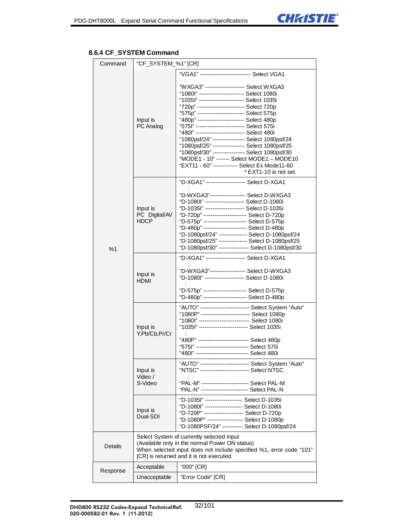# **8.6.4 CF\_SYSTEM Command**

| Command        | "CF_SYSTEM_%1" [CR]                                                                                                                                                                                            |                                                                                                                                                                                                                                                                                                                                                                                                                                                                                                                                                                                      |  |
|----------------|----------------------------------------------------------------------------------------------------------------------------------------------------------------------------------------------------------------|--------------------------------------------------------------------------------------------------------------------------------------------------------------------------------------------------------------------------------------------------------------------------------------------------------------------------------------------------------------------------------------------------------------------------------------------------------------------------------------------------------------------------------------------------------------------------------------|--|
|                |                                                                                                                                                                                                                |                                                                                                                                                                                                                                                                                                                                                                                                                                                                                                                                                                                      |  |
|                | Input is<br>PC Analog                                                                                                                                                                                          | "1080l" ------------------------ Select 1080i<br>"1035l" ----------------------- Select 1035i<br>"720p" ------------------------- Select 720p<br>"480p" ------------------------- Select 480p<br>"575l" ------------------------- Select 575i<br>"480l" ------------------------- Select 480i<br>"1080psf/24" ----------------    Select 1080psf/24<br>"1080psf/25" ----------------- Select 1080psf/25<br>"1080psf/30" ----------------- Select 1080psf/30<br>"MODE1 - 10" ------- Select MODE1 - MODE10<br>"EXT11 - 60" ------------- Select Ex Mode11-60<br>* EXT1-10 is not set. |  |
|                |                                                                                                                                                                                                                |                                                                                                                                                                                                                                                                                                                                                                                                                                                                                                                                                                                      |  |
| %1             | Input is<br>PC Digital/AV<br>HDCP                                                                                                                                                                              | "D-1080l" --------------------- Select D-1080i<br>"D-720p" ---------------------- Select D-720p<br>"D-480p" ---------------------- Select D-480p                                                                                                                                                                                                                                                                                                                                                                                                                                     |  |
|                |                                                                                                                                                                                                                |                                                                                                                                                                                                                                                                                                                                                                                                                                                                                                                                                                                      |  |
|                | Input is<br>HDMI                                                                                                                                                                                               | "D-1080l" --------------------- Select D-1080i                                                                                                                                                                                                                                                                                                                                                                                                                                                                                                                                       |  |
|                | Input is<br>Y,Pb/Cb,Pr/Cr                                                                                                                                                                                      | "AUTO" -------------------------- Select System "Auto"<br>"1080P" -------------------------- Select 1080p<br>"1080l" --------------------------- Select 1080i<br>"1035l" -------------------------- Select 1035i<br>"575l" --------------------------- Select 575i<br>"480l" --------------------------- Select 480i                                                                                                                                                                                                                                                                 |  |
|                | Input is<br>Video /<br>S-Video                                                                                                                                                                                 | "AUTO" -------------------------- Select System "Auto"<br>"PAL-N" ------------------------- Select PAL-N                                                                                                                                                                                                                                                                                                                                                                                                                                                                             |  |
|                | Input is<br>Dual-SDI                                                                                                                                                                                           | "D-1035l" -------------------- Select D-1035i<br>"D-1080l" -------------------- Select D-1080i<br>"D-1080P" ------------------ Select D-1080p<br>"D-1080PSF/24" ---------- Select D-1080psf/24                                                                                                                                                                                                                                                                                                                                                                                       |  |
| <b>Details</b> | Select System of currently selected Input<br>(Available only in the normal Power ON status)<br>When selected input does not include specified %1, error code "101"<br>[CR] is returned and it is not executed. |                                                                                                                                                                                                                                                                                                                                                                                                                                                                                                                                                                                      |  |
| Response       | Acceptable                                                                                                                                                                                                     | "000" [CR]                                                                                                                                                                                                                                                                                                                                                                                                                                                                                                                                                                           |  |
|                | Unacceptable                                                                                                                                                                                                   | "Error Code" [CR]                                                                                                                                                                                                                                                                                                                                                                                                                                                                                                                                                                    |  |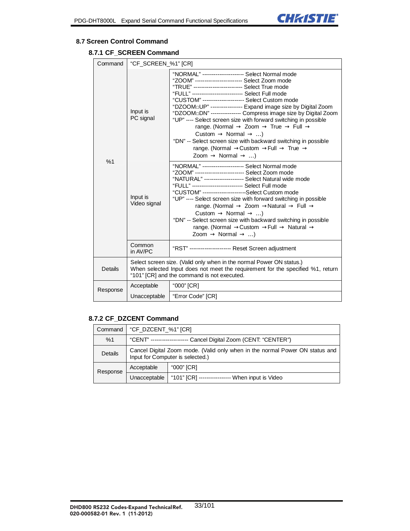

#### **8.7 Screen Control Command**

# **8.7.1 CF\_SCREEN Command**

| Command        | "CF_SCREEN_%1" [CR]                                                                                                                                                                                   |                                                                                                                                                                                                                                                                                                                                                                                                                                                                                                                                                                                    |
|----------------|-------------------------------------------------------------------------------------------------------------------------------------------------------------------------------------------------------|------------------------------------------------------------------------------------------------------------------------------------------------------------------------------------------------------------------------------------------------------------------------------------------------------------------------------------------------------------------------------------------------------------------------------------------------------------------------------------------------------------------------------------------------------------------------------------|
| %1             | Input is<br>PC signal                                                                                                                                                                                 | "NORMAL" --------------------- Select Normal mode<br>"ZOOM" ------------------------ Select Zoom mode<br>"CUSTOM" ---------------------- Select Custom mode<br>"DZOOMoUP" ---------------- Expand image size by Digital Zoom<br>"DZOOMoDN" ---------------- Compress image size by Digital Zoom<br>"UP" ---- Select screen size with forward switching in possible<br>range. (Normal<br>Zoom<br>True<br>Full<br>Custom<br>Normal<br>$\ldots$<br>"DN" -- Select screen size with backward switching in possible<br>range. (Normal Custom Full<br>True<br>Zoom<br>Normal<br>$\ldots$ |
|                | Input is<br>Video signal                                                                                                                                                                              | "NORMAL" --------------------- Select Normal mode<br>"NATURAL" --------------------- Select Natural wide mode<br>"FULL" -------------------------- Select Full mode<br>"CUSTOM" -----------------------Select Custom mode<br>"UP" ---- Select screen size with forward switching in possible<br>range. (Normal<br>Zoom<br>Natural<br>Full<br>Normal<br>Custom<br>$\ldots$<br>"DN" -- Select screen size with backward switching in possible<br>range. (Normal Custom Full<br>Natural<br>Zoom<br>Normal<br>$\ldots$                                                                 |
|                | Common<br>in AV/PC                                                                                                                                                                                    | "RST" --------------------- Reset Screen adjustment                                                                                                                                                                                                                                                                                                                                                                                                                                                                                                                                |
| <b>Details</b> | Select screen size. (Valid only when in the normal Power ON status.)<br>When selected Input does not meet the requirement for the specified %1, return<br>"101" [CR] and the command is not executed. |                                                                                                                                                                                                                                                                                                                                                                                                                                                                                                                                                                                    |
| Response       | Acceptable                                                                                                                                                                                            | "000" [CR]                                                                                                                                                                                                                                                                                                                                                                                                                                                                                                                                                                         |
|                | Unacceptable                                                                                                                                                                                          | "Error Code" [CR]                                                                                                                                                                                                                                                                                                                                                                                                                                                                                                                                                                  |

#### **8.7.2 CF\_DZCENT Command**

| Command  | "CF DZCENT %1" [CR]                                                                                              |                                                 |
|----------|------------------------------------------------------------------------------------------------------------------|-------------------------------------------------|
| %1       | "CENT" ------------------- Cancel Digital Zoom (CENT: "CENTER")                                                  |                                                 |
| Details  | Cancel Digital Zoom mode. (Valid only when in the normal Power ON status and<br>Input for Computer is selected.) |                                                 |
| Response | Acceptable                                                                                                       | "000" [CR]                                      |
|          | Unacceptable                                                                                                     | "101" [CR] ---------------- When input is Video |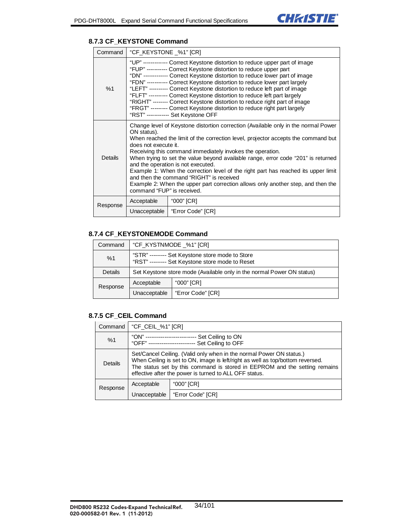#### **8.7.3 CF\_KEYSTONE Command**

| Command  | "CF KEYSTONE %1" [CR]                                                                                                                                                                                                                                                                                                                                                                                                                                                                                                                                                                                                                                                    |                   |  |
|----------|--------------------------------------------------------------------------------------------------------------------------------------------------------------------------------------------------------------------------------------------------------------------------------------------------------------------------------------------------------------------------------------------------------------------------------------------------------------------------------------------------------------------------------------------------------------------------------------------------------------------------------------------------------------------------|-------------------|--|
| %1       | "UP" ------------ Correct Keystone distortion to reduce upper part of image<br>"FUP" ---------- Correct Keystone distortion to reduce upper part<br>"DN" ------------ Correct Keystone distortion to reduce lower part of image<br>"FDN" ----------- Correct Keystone distortion to reduce lower part largely<br>"LEFT" --------- Correct Keystone distortion to reduce left part of image<br>"FLFT" ---------- Correct Keystone distortion to reduce left part largely<br>"RIGHT" -------- Correct Keystone distortion to reduce right part of image<br>"FRGT" -------- Correct Keystone distortion to reduce right part largely<br>"RST" ------------ Set Keystone OFF |                   |  |
| Details  | Change level of Keystone distortion correction (Available only in the normal Power<br>ON status).<br>When reached the limit of the correction level, projector accepts the command but<br>does not execute it.<br>Receiving this command immediately invokes the operation.<br>When trying to set the value beyond available range, error code "201" is returned<br>and the operation is not executed.<br>Example 1: When the correction level of the right part has reached its upper limit<br>and then the command "RIGHT" is received<br>Example 2: When the upper part correction allows only another step, and then the<br>command "FUP" is received.               |                   |  |
| Response | Acceptable                                                                                                                                                                                                                                                                                                                                                                                                                                                                                                                                                                                                                                                               | "000" [CR]        |  |
|          | Unacceptable                                                                                                                                                                                                                                                                                                                                                                                                                                                                                                                                                                                                                                                             | "Error Code" [CR] |  |

# **8.7.4 CF\_KEYSTONEMODE Command**

| Command  | "CF_KYSTNMODE _%1" [CR]                                                                             |                   |
|----------|-----------------------------------------------------------------------------------------------------|-------------------|
| %1       | "STR" -------- Set Keystone store mode to Store<br>"RST" --------- Set Keystone store mode to Reset |                   |
| Details  | Set Keystone store mode (Available only in the normal Power ON status)                              |                   |
| Response | Acceptable                                                                                          | "000" [CR]        |
|          | Unacceptable                                                                                        | "Error Code" [CR] |

#### **8.7.5 CF\_CEIL Command**

| Command        | "CF_CEIL_%1" [CR]                                                                                                                                                                                                                                                                              |                   |
|----------------|------------------------------------------------------------------------------------------------------------------------------------------------------------------------------------------------------------------------------------------------------------------------------------------------|-------------------|
| %1             | "ON" -----------------------<br>Set Ceiling to ON<br>"OFF" ------------------------- Set Ceiling to OFF                                                                                                                                                                                        |                   |
| <b>Details</b> | Set/Cancel Ceiling. (Valid only when in the normal Power ON status.)<br>When Ceiling is set to ON, image is left/right as well as top/bottom reversed.<br>The status set by this command is stored in EEPROM and the setting remains<br>effective after the power is turned to ALL OFF status. |                   |
| Response       | Acceptable                                                                                                                                                                                                                                                                                     | "000" [CR]        |
|                | Unacceptable                                                                                                                                                                                                                                                                                   | "Error Code" [CR] |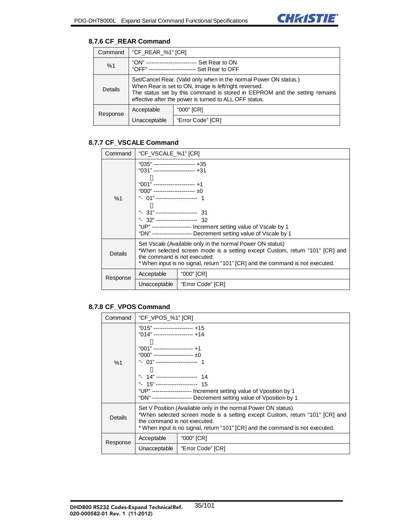# **8.7.6 CF\_REAR Command**

| Command        | "CF_REAR_%1" [CR]                                                                                                                                                                                                                                                  |                   |
|----------------|--------------------------------------------------------------------------------------------------------------------------------------------------------------------------------------------------------------------------------------------------------------------|-------------------|
| %1             | "ON" -----------------------<br>-- Set Rear to ON<br>"OFF" ------------------------- Set Rear to OFF                                                                                                                                                               |                   |
| <b>Details</b> | Set/Cancel Rear. (Valid only when in the normal Power ON status.)<br>When Rear is set to ON, image is left/right reversed.<br>The status set by this command is stored in EEPROM and the setting remains<br>effective after the power is turned to ALL OFF status. |                   |
| Response       | Acceptable                                                                                                                                                                                                                                                         | "000" [CR]        |
|                | Unacceptable                                                                                                                                                                                                                                                       | "Error Code" [CR] |

# **8.7.7 CF\_VSCALE Command**

| Command  | "CF_VSCALE_%1" [CR]                                                                                                                                                                                                                                                                                                                                                                                   |                   |  |
|----------|-------------------------------------------------------------------------------------------------------------------------------------------------------------------------------------------------------------------------------------------------------------------------------------------------------------------------------------------------------------------------------------------------------|-------------------|--|
| %1       | "035" ---------------------- +35<br>"031" ----------------------- +31<br>$"001"$ ------------------------ +1<br>"000" ----------------------- $\pm 0$<br>" 01"--------------------- 1<br>$"31"$ ---------------------- 31<br>$"32"$ ----------------------- 32<br>"UP" ------------------- Increment setting value of Vscale by 1<br>"DN" -------------------- Decrement setting value of Vscale by 1 |                   |  |
| Details  | Set Vscale (Available only in the normal Power ON status)<br>*When selected screen mode is a setting except Custom, return "101" [CR] and<br>the command is not executed.<br>* When input is no signal, return "101" [CR] and the command is not executed.                                                                                                                                            |                   |  |
| Response | Acceptable                                                                                                                                                                                                                                                                                                                                                                                            | "000" [CR]        |  |
|          | Unacceptable                                                                                                                                                                                                                                                                                                                                                                                          | "Error Code" [CR] |  |

# **8.7.8 CF\_VPOS Command**

|  | Command  | "CF VPOS %1" [CR]                                                                                                                                                                                                                                              |                   |
|--|----------|----------------------------------------------------------------------------------------------------------------------------------------------------------------------------------------------------------------------------------------------------------------|-------------------|
|  | %1       | $"015"$ ---------------------- +15<br>"014" --------------------- +14<br>"001" ---------------------- +1                                                                                                                                                       |                   |
|  |          | "000" ----------------------- $\pm 0$                                                                                                                                                                                                                          |                   |
|  |          | " 01" ---------------------- 1                                                                                                                                                                                                                                 |                   |
|  |          | $" 14"$ ----------------------- 14<br>"UP" ------------------- Increment setting value of Vposition by 1<br>"DN" -------------------- Decrement setting value of Vposition by 1                                                                                |                   |
|  | Details  | Set V Position (Available only in the normal Power ON status)<br>*When selected screen mode is a setting except Custom, return "101" [CR] and<br>the command is not executed.<br>* When input is no signal, return "101" [CR] and the command is not executed. |                   |
|  | Response | Acceptable                                                                                                                                                                                                                                                     | "000" [CR]        |
|  |          | Unacceptable                                                                                                                                                                                                                                                   | "Error Code" [CR] |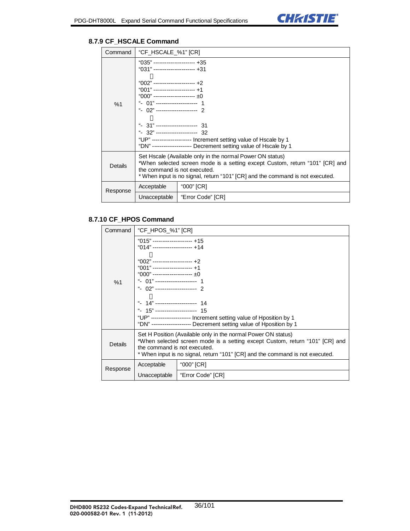

## **8.7.9 CF\_HSCALE Command**

| Command  | "CF_HSCALE_%1" [CR]                                                                                                                                                                                                                                                                                                                                                                                                                   |                   |  |
|----------|---------------------------------------------------------------------------------------------------------------------------------------------------------------------------------------------------------------------------------------------------------------------------------------------------------------------------------------------------------------------------------------------------------------------------------------|-------------------|--|
| %1       | "035" ---------------------- +35<br>"031" ----------------------- +31<br>"002" ---------------------- +2<br>"001" ---------------------- +1<br>"000" ----------------------- $\pm 0$<br>" 01" ----------------------<br>$" 31"$ ---------------------- 31<br>$"32"$ ----------------------- 32<br>"UP" ------------------- Increment setting value of Hscale by 1<br>"DN" -------------------- Decrement setting value of Hscale by 1 |                   |  |
| Details  | Set Hscale (Available only in the normal Power ON status)<br>*When selected screen mode is a setting except Custom, return "101" [CR] and<br>the command is not executed.<br>* When input is no signal, return "101" [CR] and the command is not executed.                                                                                                                                                                            |                   |  |
| Response | Acceptable                                                                                                                                                                                                                                                                                                                                                                                                                            | "000" [CR]        |  |
|          | Unacceptable                                                                                                                                                                                                                                                                                                                                                                                                                          | "Error Code" [CR] |  |

# **8.7.10 CF\_HPOS Command**

| Command  | "CF_HPOS_%1" [CR]                                                                                                                                                                                                                                                                                                                                                                                                                                |                   |  |
|----------|--------------------------------------------------------------------------------------------------------------------------------------------------------------------------------------------------------------------------------------------------------------------------------------------------------------------------------------------------------------------------------------------------------------------------------------------------|-------------------|--|
| %1       | $"015"$ ---------------------- +15<br>$"014"$ ---------------------- +14<br>"002" --------------------- +2<br>"001" --------------------- +1<br>"000" ----------------------- $\pm 0$<br>$"$ 01" ----------------------<br>$"$ 02" ---------------------- 2<br>$" 15"$ ------------------------ 15<br>"UP" -------------------- Increment setting value of Hposition by 1<br>"DN" -------------------- Decrement setting value of Hposition by 1 |                   |  |
| Details  | Set H Position (Available only in the normal Power ON status)<br>*When selected screen mode is a setting except Custom, return "101" [CR] and<br>the command is not executed.<br>* When input is no signal, return "101" [CR] and the command is not executed.                                                                                                                                                                                   |                   |  |
| Response | Acceptable                                                                                                                                                                                                                                                                                                                                                                                                                                       | "000" [CR]        |  |
|          | Unacceptable                                                                                                                                                                                                                                                                                                                                                                                                                                     | "Error Code" [CR] |  |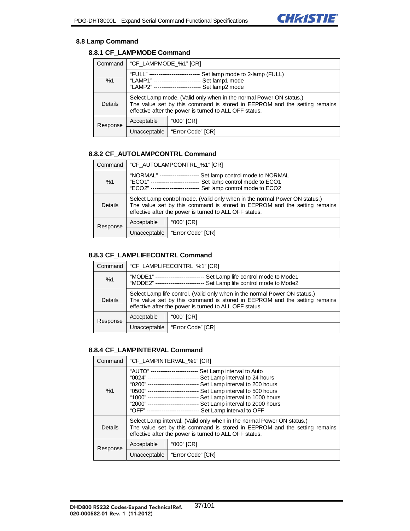

#### **8.8 Lamp Command**

# **8.8.1 CF\_LAMPMODE Command**

| Command  | "CF_LAMPMODE_%1" [CR]                                                                                                                                                                                     |                  |
|----------|-----------------------------------------------------------------------------------------------------------------------------------------------------------------------------------------------------------|------------------|
| %1       | "FULL" ---------------------<br>Set lamp mode to 2-lamp (FULL)<br>"LAMP1" -----------------------<br>Set lamp1 mode<br>"LAMP2" -----------------------<br>Set lamp2 mode                                  |                  |
| Details  | Select Lamp mode. (Valid only when in the normal Power ON status.)<br>The value set by this command is stored in EEPROM and the setting remains<br>effective after the power is turned to ALL OFF status. |                  |
| Response | "000" [CR]<br>Acceptable                                                                                                                                                                                  |                  |
|          | Unacceptable                                                                                                                                                                                              | Error Code" [CR] |

### **8.8.2 CF\_AUTOLAMPCONTRL Command**

| Command        | "CF AUTOLAMPCONTRL %1" [CR]                                                                                                                                                                                       |                   |
|----------------|-------------------------------------------------------------------------------------------------------------------------------------------------------------------------------------------------------------------|-------------------|
| %1             | "NORMAL" -------------<br>Set lamp control mode to NORMAL<br>Set lamp control mode to ECO1<br>"ECO1" -----<br>--------------------<br>Set lamp control mode to ECO2<br>"ECO2" -----------------------             |                   |
| <b>Details</b> | Select Lamp control mode. (Valid only when in the normal Power ON status.)<br>The value set by this command is stored in EEPROM and the setting remains<br>effective after the power is turned to ALL OFF status. |                   |
| Response       | "000" [CR]<br>Acceptable                                                                                                                                                                                          |                   |
|                | Unacceptable                                                                                                                                                                                                      | "Error Code" [CR] |

#### **8.8.3 CF\_LAMPLIFECONTRL Command**

| Command  | "CF LAMPLIFECONTRL %1" [CR]                                                                                                                                                                                       |                   |
|----------|-------------------------------------------------------------------------------------------------------------------------------------------------------------------------------------------------------------------|-------------------|
| %1       | "MODE1" ------------------<br>Set Lamp life control mode to Mode1<br>"MODE2" -----------------------<br>Set Lamp life control mode to Mode2                                                                       |                   |
| Details  | Select Lamp life control. (Valid only when in the normal Power ON status.)<br>The value set by this command is stored in EEPROM and the setting remains<br>effective after the power is turned to ALL OFF status. |                   |
| Response | Acceptable                                                                                                                                                                                                        | "000" [CR]        |
|          | Unacceptable                                                                                                                                                                                                      | "Error Code" [CR] |

#### **8.8.4 CF\_LAMPINTERVAL Command**

| Command  | "CF_LAMPINTERVAL_%1" [CR]                                                                                                                                                                                                                                                                                                                                                                                                                                                        |                   |
|----------|----------------------------------------------------------------------------------------------------------------------------------------------------------------------------------------------------------------------------------------------------------------------------------------------------------------------------------------------------------------------------------------------------------------------------------------------------------------------------------|-------------------|
| %1       | "AUTO" ------------------------- Set Lamp interval to Auto<br>"0024" -------------------------- Set Lamp interval to 24 hours<br>"0200" --------------------------- Set Lamp interval to 200 hours<br>"0500" --------------------------- Set Lamp interval to 500 hours<br>"1000" -------------------------- Set Lamp interval to 1000 hours<br>"2000" -------------------------- Set Lamp interval to 2000 hours<br>"OFF" ---------------------------- Set Lamp interval to OFF |                   |
| Details  | Select Lamp interval. (Valid only when in the normal Power ON status.)<br>The value set by this command is stored in EEPROM and the setting remains<br>effective after the power is turned to ALL OFF status.                                                                                                                                                                                                                                                                    |                   |
| Response | "000" [CR]<br>Acceptable                                                                                                                                                                                                                                                                                                                                                                                                                                                         |                   |
|          | Unacceptable                                                                                                                                                                                                                                                                                                                                                                                                                                                                     | "Error Code" [CR] |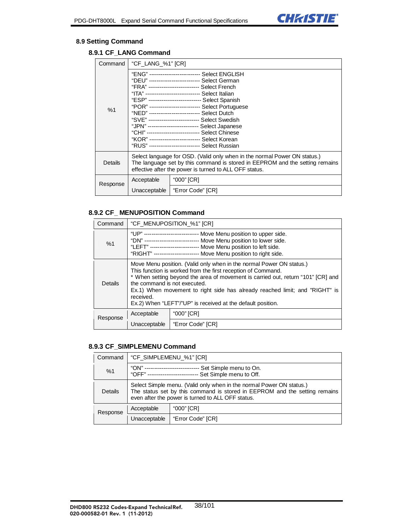

#### **8.9 Setting Command**

# **8.9.1 CF\_LANG Command**

| Command        | "CF_LANG_%1" [CR]                                                                                                                                                                                                                                                                                                                                                        |                   |  |
|----------------|--------------------------------------------------------------------------------------------------------------------------------------------------------------------------------------------------------------------------------------------------------------------------------------------------------------------------------------------------------------------------|-------------------|--|
| %1             | "ENG" ---------------------------    Select ENGLISH<br>"DEU" --------------------------- Select German<br>"ITA" ----------------------------- Select Italian<br>"NED" --------------------------- Select Dutch<br>"JPN" -------------------------- Select Japanese<br>"KOR" --------------------------- Select Korean<br>"RUS" -------------------------- Select Russian |                   |  |
| <b>Details</b> | Select language for OSD. (Valid only when in the normal Power ON status.)<br>The language set by this command is stored in EEPROM and the setting remains<br>effective after the power is turned to ALL OFF status.                                                                                                                                                      |                   |  |
| Response       | Acceptable                                                                                                                                                                                                                                                                                                                                                               | "000" [CR]        |  |
|                | Unacceptable                                                                                                                                                                                                                                                                                                                                                             | "Error Code" [CR] |  |

### **8.9.2 CF\_ MENUPOSITION Command**

| Command  | "CF_MENUPOSITION_%1" [CR]                                                                                                                                                                                                                                                                                                                                                                                           |                   |  |
|----------|---------------------------------------------------------------------------------------------------------------------------------------------------------------------------------------------------------------------------------------------------------------------------------------------------------------------------------------------------------------------------------------------------------------------|-------------------|--|
| %1       | "UP" --------------------------- Move Menu position to upper side.<br>"DN" --------------------------- Move Menu position to lower side.<br>"LEFT" ------------------------- Move Menu position to left side.<br>"RIGHT" ----------------------- Move Menu position to right side.                                                                                                                                  |                   |  |
| Details  | Move Menu position. (Valid only when in the normal Power ON status.)<br>This function is worked from the first reception of Command.<br>* When setting beyond the area of movement is carried out, return "101" [CR] and<br>the command is not executed.<br>Ex.1) When movement to right side has already reached limit; and "RIGHT" is<br>received.<br>Ex.2) When "LEFT"/"UP" is received at the default position. |                   |  |
| Response | Acceptable                                                                                                                                                                                                                                                                                                                                                                                                          | "000" [CR]        |  |
|          | Unacceptable                                                                                                                                                                                                                                                                                                                                                                                                        | "Error Code" [CR] |  |

#### **8.9.3 CF\_SIMPLEMENU Command**

| Command  | "CF_SIMPLEMENU_%1" [CR]                                                                                                                                                                                 |                   |
|----------|---------------------------------------------------------------------------------------------------------------------------------------------------------------------------------------------------------|-------------------|
| %1       | "ON" -------------------<br>Set Simple menu to On.<br>"OFF" ------------------------<br>Set Simple menu to Off.                                                                                         |                   |
| Details  | Select Simple menu. (Valid only when in the normal Power ON status.)<br>The status set by this command is stored in EEPROM and the setting remains<br>even after the power is turned to ALL OFF status. |                   |
| Response | Acceptable                                                                                                                                                                                              | "000" [CR]        |
|          | Unacceptable                                                                                                                                                                                            | "Error Code" [CR] |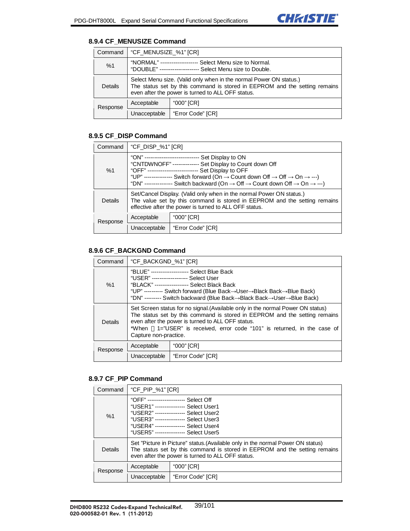### **8.9.4 CF\_MENUSIZE Command**

| Command  | "CF MENUSIZE %1" [CR]                                                                                                                                                                                 |                   |
|----------|-------------------------------------------------------------------------------------------------------------------------------------------------------------------------------------------------------|-------------------|
| %1       | "NORMAL" ------------------<br>-- Select Menu size to Normal.<br>"DOUBLE" --------------------- Select Menu size to Double.                                                                           |                   |
| Details  | Select Menu size. (Valid only when in the normal Power ON status.)<br>The status set by this command is stored in EEPROM and the setting remains<br>even after the power is turned to ALL OFF status. |                   |
| Response | Acceptable                                                                                                                                                                                            | "000" [CR]        |
|          | Unacceptable                                                                                                                                                                                          | "Error Code" [CR] |

# **8.9.5 CF\_DISP Command**

| Command  | "CF_DISP_%1" [CR]                                                                                                                                                                                                                                                                                                                                                                                                                   |                   |
|----------|-------------------------------------------------------------------------------------------------------------------------------------------------------------------------------------------------------------------------------------------------------------------------------------------------------------------------------------------------------------------------------------------------------------------------------------|-------------------|
| %1       | "ON" ----------------------------- Set Display to ON<br>"CNTDWNOFF" -------------- Set Display to Count down Off<br>"OFF" --------------------------- Set Display to OFF<br>"UP" -------------- Switch forward (On $\rightarrow$ Count down Off $\rightarrow$ Off $\rightarrow$ On $\rightarrow$ ---)<br>"DN" -------------- Switch backward (On $\rightarrow$ Off $\rightarrow$ Count down Off $\rightarrow$ On $\rightarrow$ ---) |                   |
| Details  | Set/Cancel Display. (Valid only when in the normal Power ON status.)<br>The value set by this command is stored in EEPROM and the setting remains<br>effective after the power is turned to ALL OFF status.                                                                                                                                                                                                                         |                   |
| Response | Acceptable                                                                                                                                                                                                                                                                                                                                                                                                                          | "000" [CR]        |
|          | Unacceptable                                                                                                                                                                                                                                                                                                                                                                                                                        | "Error Code" [CR] |

## **8.9.6 CF\_BACKGND Command**

| Command  | "CF_BACKGND_%1" [CR]                                                                                                                                                                                                                                                                                                    |                   |
|----------|-------------------------------------------------------------------------------------------------------------------------------------------------------------------------------------------------------------------------------------------------------------------------------------------------------------------------|-------------------|
| %1       | "USER" ------------------ Select User<br>"UP" ---------- Switch forward (Blue Back $\rightarrow$ User $\rightarrow$ Black Back $\rightarrow$ Blue Back)<br>"DN" --------- Switch backward (Blue Back→Black Back→User→Blue Back)                                                                                         |                   |
| Details  | Set Screen status for no signal. (Available only in the normal Power ON status)<br>The status set by this command is stored in EEPROM and the setting remains<br>even after the power is turned to ALL OFF status.<br>*When 1="USER" is received, error code "101" is returned, in the case of<br>Capture non-practice. |                   |
| Response | Acceptable                                                                                                                                                                                                                                                                                                              | "000" [CR]        |
|          | Unacceptable                                                                                                                                                                                                                                                                                                            | "Error Code" [CR] |

# **8.9.7 CF\_PIP Command**

| Command  | "CF_PIP_%1" [CR]                                                                                                                                                                                                                                |                   |  |
|----------|-------------------------------------------------------------------------------------------------------------------------------------------------------------------------------------------------------------------------------------------------|-------------------|--|
| %1       | "OFF" -------------------- Select Off<br>"USER1" ---------------- Select User1<br>"USER2" --------------- Select User2<br>"USER3" --------------- Select User3<br>"USER4" --------------- Select User4<br>"USER5" ---------------- Select User5 |                   |  |
| Details  | Set "Picture in Picture" status. (Available only in the normal Power ON status)<br>The status set by this command is stored in EEPROM and the setting remains<br>even after the power is turned to ALL OFF status.                              |                   |  |
| Response | Acceptable                                                                                                                                                                                                                                      | "000" [CR]        |  |
|          | Unacceptable                                                                                                                                                                                                                                    | "Error Code" [CR] |  |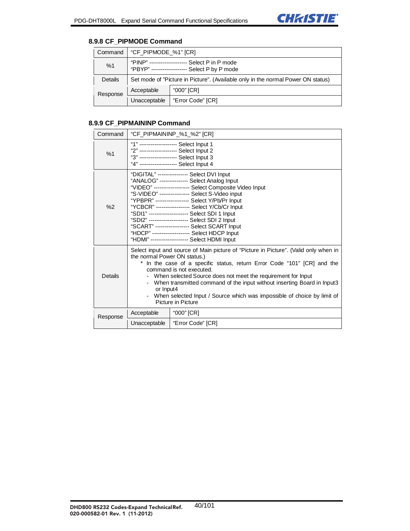

## **8.9.8 CF\_PIPMODE Command**

| Command  | "CF_PIPMODE_%1" [CR]                                                             |                                          |
|----------|----------------------------------------------------------------------------------|------------------------------------------|
| %1       | "PINP" -----------------<br>"PBYP" --------------------                          | Select P in P mode<br>Select P by P mode |
| Details  | Set mode of "Picture in Picture". (Available only in the normal Power ON status) |                                          |
| Response | Acceptable                                                                       | "000" [CR]                               |
|          | Unacceptable                                                                     | "Error Code" [CR]                        |

### **8.9.9 CF\_PIPMAININP Command**

| Command  | "CF_PIPMAININP_%1_%2" [CR]                                                                                                                                                                                                                                                                                                                                                                                                                                                            |                   |  |
|----------|---------------------------------------------------------------------------------------------------------------------------------------------------------------------------------------------------------------------------------------------------------------------------------------------------------------------------------------------------------------------------------------------------------------------------------------------------------------------------------------|-------------------|--|
| %1       | "1" -------------------- Select Input 1<br>"2" -------------------- Select Input 2<br>"3" ------------------- Select Input 3<br>"4" ------------------- Select Input 4                                                                                                                                                                                                                                                                                                                |                   |  |
| %2       | "DIGITAL" --------------- Select DVI Input<br>"ANALOG" -------------- Select Analog Input<br>"VIDEO" ------------------ Select Composite Video Input<br>"S-VIDEO" --------------- Select S-Video input<br>"YPBPR" -----------------    Select Y/Pb/Pr    Input<br>"YCBCR" ------------------    Select Y/Cb/Cr    Input<br>"HDMI" -------------------    Select HDMI Input                                                                                                            |                   |  |
| Details  | Select input and source of Main picture of "Picture in Picture". (Valid only when in<br>the normal Power ON status.)<br>In the case of a specific status, return Error Code "101" [CR] and the<br>command is not executed.<br>When selected Source does not meet the requirement for Input<br>- When transmitted command of the input without inserting Board in Input3<br>or Input4<br>When selected Input / Source which was impossible of choice by limit of<br>Picture in Picture |                   |  |
| Response | Acceptable                                                                                                                                                                                                                                                                                                                                                                                                                                                                            | "000" [CR]        |  |
|          | Unacceptable                                                                                                                                                                                                                                                                                                                                                                                                                                                                          | "Error Code" [CR] |  |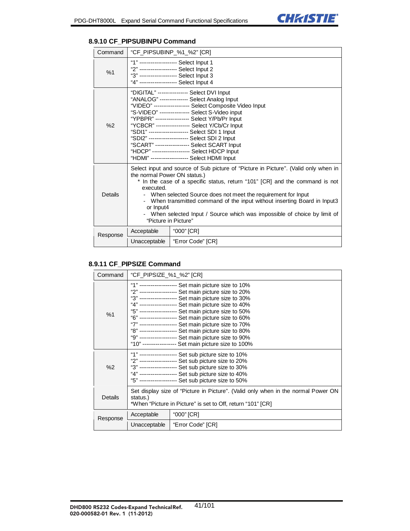# **8.9.10 CF\_PIPSUBINPU Command**

| Command  | "CF_PIPSUBINP_%1_%2" [CR]                                                                                                                                                                                                                                                                                                                                                                                                                                                         |                                                                                                                                                                                                                                                                                                                                                                                                                             |  |
|----------|-----------------------------------------------------------------------------------------------------------------------------------------------------------------------------------------------------------------------------------------------------------------------------------------------------------------------------------------------------------------------------------------------------------------------------------------------------------------------------------|-----------------------------------------------------------------------------------------------------------------------------------------------------------------------------------------------------------------------------------------------------------------------------------------------------------------------------------------------------------------------------------------------------------------------------|--|
| %1       | "1" -------------------- Select Input 1<br>"2" -------------------- Select Input 2<br>"3" -------------------- Select Input 3<br>"4" -------------------- Select Input 4                                                                                                                                                                                                                                                                                                          |                                                                                                                                                                                                                                                                                                                                                                                                                             |  |
| %2       |                                                                                                                                                                                                                                                                                                                                                                                                                                                                                   | "DIGITAL" --------------- Select DVI Input<br>"ANALOG" -------------- Select Analog Input<br>"VIDEO" ------------------ Select Composite Video Input<br>"S-VIDEO" ---------------- Select S-Video input<br>"YCBCR" -----------------    Select Y/Cb/Cr    Input<br>"SDI2" ---------------------    Select SDI 2 Input<br>"HDCP" -------------------    Select HDCP Input<br>"HDMI" -------------------    Select HDMI Input |  |
| Details  | Select input and source of Sub picture of "Picture in Picture". (Valid only when in<br>the normal Power ON status.)<br>* In the case of a specific status, return "101" [CR] and the command is not<br>executed.<br>- When selected Source does not meet the requirement for lnput<br>- When transmitted command of the input without inserting Board in Input3<br>or Input4<br>- When selected Input / Source which was impossible of choice by limit of<br>"Picture in Picture" |                                                                                                                                                                                                                                                                                                                                                                                                                             |  |
| Response | Acceptable                                                                                                                                                                                                                                                                                                                                                                                                                                                                        | "000" [CR]                                                                                                                                                                                                                                                                                                                                                                                                                  |  |
|          | Unacceptable                                                                                                                                                                                                                                                                                                                                                                                                                                                                      | "Error Code" [CR]                                                                                                                                                                                                                                                                                                                                                                                                           |  |

### **8.9.11 CF\_PIPSIZE Command**

| Command  | "CF PIPSIZE %1 %2" [CR]                                                                                                                                                                                                                                                         |                                                                                                                                                                                                                                                                                                                                                                                                                                                                                                                                                                         |  |
|----------|---------------------------------------------------------------------------------------------------------------------------------------------------------------------------------------------------------------------------------------------------------------------------------|-------------------------------------------------------------------------------------------------------------------------------------------------------------------------------------------------------------------------------------------------------------------------------------------------------------------------------------------------------------------------------------------------------------------------------------------------------------------------------------------------------------------------------------------------------------------------|--|
| %1       |                                                                                                                                                                                                                                                                                 | ------------------ Set main picture size to 10%<br>"2" ------------------- Set main picture size to 20%<br>"3" ------------------- Set main picture size to 30%<br>"4" ------------------- Set main picture size to 40%<br>"5" ------------------- Set main picture size to 50%<br>"6" ------------------- Set main picture size to 60%<br>"7" ------------------- Set main picture size to 70%<br>"8" ------------------- Set main picture size to 80%<br>"9" ------------------- Set main picture size to 90%<br>"10" ----------------- Set main picture size to 100% |  |
| %2       | "1" ------------------- Set sub picture size to 10%<br>"2" ------------------- Set sub picture size to 20%<br>"3" ------------------- Set sub picture size to 30%<br>"4" ------------------- Set sub picture size to 40%<br>"5" ------------------- Set sub picture size to 50% |                                                                                                                                                                                                                                                                                                                                                                                                                                                                                                                                                                         |  |
| Details  | Set display size of "Picture in Picture". (Valid only when in the normal Power ON<br>status.)<br>*When "Picture in Picture" is set to Off, return "101" [CR]                                                                                                                    |                                                                                                                                                                                                                                                                                                                                                                                                                                                                                                                                                                         |  |
| Response | Acceptable                                                                                                                                                                                                                                                                      | "000" [CR]                                                                                                                                                                                                                                                                                                                                                                                                                                                                                                                                                              |  |
|          | Unacceptable                                                                                                                                                                                                                                                                    | "Error Code" [CR]                                                                                                                                                                                                                                                                                                                                                                                                                                                                                                                                                       |  |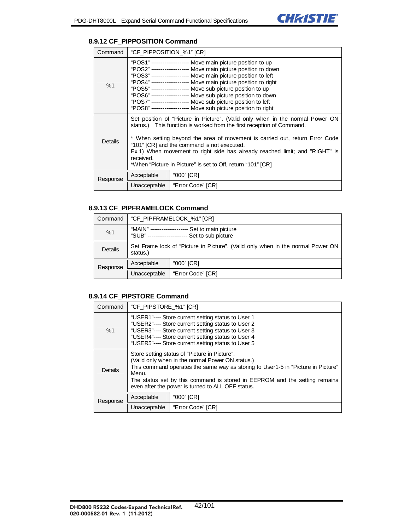#### **8.9.12 CF\_PIPPOSITION Command**

| Command  | "CF PIPPOSITION %1" [CR]                                                                                                                                                                                                                                                                                                                                                                                                                                                                                                          |                   |
|----------|-----------------------------------------------------------------------------------------------------------------------------------------------------------------------------------------------------------------------------------------------------------------------------------------------------------------------------------------------------------------------------------------------------------------------------------------------------------------------------------------------------------------------------------|-------------------|
| %1       | "POS1" ------------------- Move main picture position to up<br>"POS2" -------------------- Move main picture position to down<br>"POS3" ------------------- Move main picture position to left<br>"POS4" ------------------- Move main picture position to right<br>"POS5" -------------------- Move sub picture position to up<br>"POS6" ------------------- Move sub picture position to down<br>"POS7" -------------------- Move sub picture position to left<br>"POS8" ------------------- Move sub picture position to right |                   |
| Details  | Set position of "Picture in Picture". (Valid only when in the normal Power ON<br>status.) This function is worked from the first reception of Command.<br>* When setting beyond the area of movement is carried out, return Error Code<br>"101" [CR] and the command is not executed.<br>Ex.1) When movement to right side has already reached limit; and "RIGHT" is<br>received.<br>*When "Picture in Picture" is set to Off, return "101" [CR]                                                                                  |                   |
| Response | Acceptable                                                                                                                                                                                                                                                                                                                                                                                                                                                                                                                        | "000" [CR]        |
|          | Unacceptable                                                                                                                                                                                                                                                                                                                                                                                                                                                                                                                      | "Error Code" [CR] |

#### **8.9.13 CF\_PIPFRAMELOCK Command**

| Command  | "CF_PIPFRAMELOCK_%1" [CR]                                                                        |                   |
|----------|--------------------------------------------------------------------------------------------------|-------------------|
| %1       | "MAIN" -----------------<br>Set to main picture<br>"SUB" -----------------<br>Set to sub picture |                   |
| Details  | Set Frame lock of "Picture in Picture". (Valid only when in the normal Power ON<br>status.)      |                   |
| Response | Acceptable                                                                                       | "000" [CR]        |
|          | Unacceptable                                                                                     | "Error Code" [CR] |

### **8.9.14 CF\_PIPSTORE Command**

| Command  | "CF_PIPSTORE_%1" [CR]                                                                                                                                                                                                                                                                                                             |                   |
|----------|-----------------------------------------------------------------------------------------------------------------------------------------------------------------------------------------------------------------------------------------------------------------------------------------------------------------------------------|-------------------|
| %1       | "USER1"---- Store current setting status to User 1<br>"USER2"---- Store current setting status to User 2<br>"USER3"---- Store current setting status to User 3<br>"USER4"---- Store current setting status to User 4<br>"USER5"---- Store current setting status to User 5                                                        |                   |
| Details  | Store setting status of "Picture in Picture".<br>(Valid only when in the normal Power ON status.)<br>This command operates the same way as storing to User1-5 in "Picture in Picture"<br>Menu.<br>The status set by this command is stored in EEPROM and the setting remains<br>even after the power is turned to ALL OFF status. |                   |
| Response | Acceptable                                                                                                                                                                                                                                                                                                                        | "000" [CR]        |
|          | Unacceptable                                                                                                                                                                                                                                                                                                                      | "Error Code" [CR] |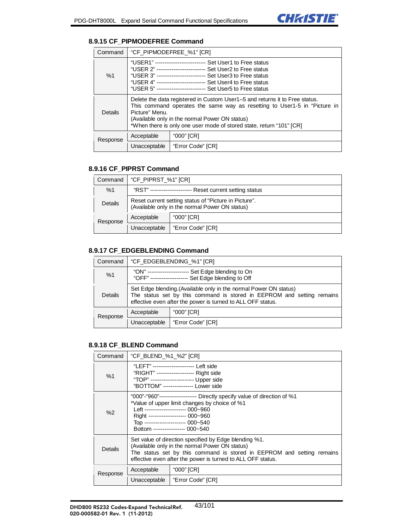

### **8.9.15 CF\_PIPMODEFREE Command**

| Command  | "CF_PIPMODEFREE_%1" [CR]                                                                                                                                                                                                                                                                                                     |                   |  |
|----------|------------------------------------------------------------------------------------------------------------------------------------------------------------------------------------------------------------------------------------------------------------------------------------------------------------------------------|-------------------|--|
| %1       | "USER1" --------------------------- Set User1 to Free status<br>"USER 2" -------------------------- Set User2 to Free status<br>"USER 3" -------------------------- Set User3 to Free status<br>"USER 4" -------------------------- Set User4 to Free status<br>"USER 5" -------------------------- Set User5 to Free status |                   |  |
| Details  | Delete the data registered in Custom User1-5 and returns it to Free status.<br>This command operates the same way as resetting to User1-5 in "Picture in<br>Picture" Menu.<br>(Available only in the normal Power ON status)<br>*When there is only one user mode of stored state, return "101" [CR]                         |                   |  |
| Response | Acceptable                                                                                                                                                                                                                                                                                                                   | "000" [CR]        |  |
|          | Unacceptable                                                                                                                                                                                                                                                                                                                 | "Error Code" [CR] |  |

#### **8.9.16 CF\_PIPRST Command**

| Command  | "CF_PIPRST_%1" [CR]                                                                                     |                   |
|----------|---------------------------------------------------------------------------------------------------------|-------------------|
| %1       | "RST" --------------------- Reset current setting status                                                |                   |
| Details  | Reset current setting status of "Picture in Picture".<br>(Available only in the normal Power ON status) |                   |
| Response | Acceptable                                                                                              | "000" [CR]        |
|          | Unacceptable                                                                                            | "Error Code" [CR] |

### **8.9.17 CF\_EDGEBLENDING Command**

| Command  |                                                                                                                                                                                                            | "CF EDGEBLENDING %1" [CR]                           |
|----------|------------------------------------------------------------------------------------------------------------------------------------------------------------------------------------------------------------|-----------------------------------------------------|
| %1       | "ON" --------------------<br>"OFF" --------------------                                                                                                                                                    | Set Edge blending to On<br>Set Edge blending to Off |
| Details  | Set Edge blending. (Available only in the normal Power ON status)<br>The status set by this command is stored in EEPROM and setting remains<br>effective even after the power is turned to ALL OFF status. |                                                     |
| Response | Acceptable                                                                                                                                                                                                 | "000" [CR]                                          |
|          | Unacceptable                                                                                                                                                                                               | "Error Code" [CR]                                   |

#### **8.9.18 CF\_BLEND Command**

| Command  | "CF BLEND %1 %2" [CR]                                                                                                                                                                                                                                                         |                   |  |
|----------|-------------------------------------------------------------------------------------------------------------------------------------------------------------------------------------------------------------------------------------------------------------------------------|-------------------|--|
| %1       | "LEFT" ---------------------- Left side<br>"TOP" ---------------------- Upper side<br>"BOTTOM" ---------------- Lower side                                                                                                                                                    |                   |  |
| %2       | "000"-"960"-------------------- Directly specify value of direction of %1<br>*Value of upper limit changes by choice of %1<br>Left --------------------- 000~960<br>Right ------------------- 000~960<br>Top --------------------- 000~540<br>Bottom ---------------- 000~540 |                   |  |
| Details  | Set value of direction specified by Edge blending %1.<br>(Available only in the normal Power ON status)<br>The status set by this command is stored in EEPROM and setting remains<br>effective even after the power is turned to ALL OFF status.                              |                   |  |
| Response | Acceptable                                                                                                                                                                                                                                                                    | "000" [CR]        |  |
|          | Unacceptable                                                                                                                                                                                                                                                                  | "Error Code" [CR] |  |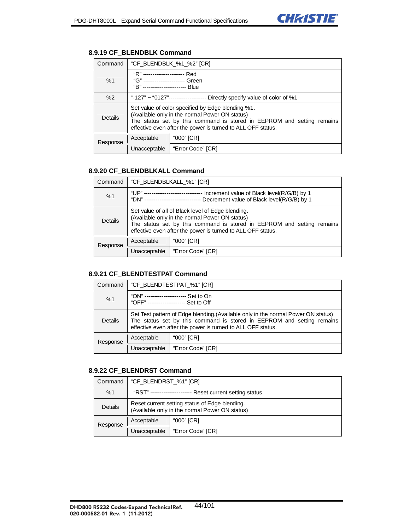# **8.9.19 CF\_BLENDBLK Command**

| Command  | "CF_BLENDBLK_%1_%2" [CR]                                                                                                                                                                                                                     |                   |
|----------|----------------------------------------------------------------------------------------------------------------------------------------------------------------------------------------------------------------------------------------------|-------------------|
| %1       | "R" ---------------------- Red<br>"G" ---------------------- Green<br>"B" ----------------------- Blue                                                                                                                                       |                   |
| %2       | "-127" ~ "0127"-------------------- Directly specify value of color of %1                                                                                                                                                                    |                   |
| Details  | Set value of color specified by Edge blending %1.<br>(Available only in the normal Power ON status)<br>The status set by this command is stored in EEPROM and setting remains<br>effective even after the power is turned to ALL OFF status. |                   |
| Response | Acceptable                                                                                                                                                                                                                                   | "000" [CR]        |
|          | Unacceptable                                                                                                                                                                                                                                 | "Error Code" [CR] |

### **8.9.20 CF\_BLENDBLKALL Command**

| Command  | "CF_BLENDBLKALL_%1" [CR]                                                                                                                                                                                                                     |                   |
|----------|----------------------------------------------------------------------------------------------------------------------------------------------------------------------------------------------------------------------------------------------|-------------------|
| %1       | "UP" ------------------------------ Increment value of Black level(R/G/B) by 1<br>"DN" ---------------------------- Decrement value of Black level(R/G/B) by 1                                                                               |                   |
| Details  | Set value of all of Black level of Edge blending.<br>(Available only in the normal Power ON status)<br>The status set by this command is stored in EEPROM and setting remains<br>effective even after the power is turned to ALL OFF status. |                   |
| Response | Acceptable                                                                                                                                                                                                                                   | "000" [CR]        |
|          | Unacceptable                                                                                                                                                                                                                                 | "Error Code" [CR] |

#### **8.9.21 CF\_BLENDTESTPAT Command**

| Command  | "CF BLENDTESTPAT %1" [CR]                                                                                                                                                                                                  |                   |
|----------|----------------------------------------------------------------------------------------------------------------------------------------------------------------------------------------------------------------------------|-------------------|
| %1       | "ON" ---------------------- Set to On<br>"OFF" -------------------- Set to Off                                                                                                                                             |                   |
| Details  | Set Test pattern of Edge blending. (Available only in the normal Power ON status)<br>The status set by this command is stored in EEPROM and setting remains<br>effective even after the power is turned to ALL OFF status. |                   |
| Response | Acceptable                                                                                                                                                                                                                 | "000" [CR]        |
|          | Unacceptable                                                                                                                                                                                                               | "Error Code" [CR] |

### **8.9.22 CF\_BLENDRST Command**

| Command  | "CF_BLENDRST_%1" [CR]                                                                            |                   |
|----------|--------------------------------------------------------------------------------------------------|-------------------|
| %1       | "RST" --------------------- Reset current setting status                                         |                   |
| Details  | Reset current setting status of Edge blending.<br>(Available only in the normal Power ON status) |                   |
| Response | Acceptable                                                                                       | "000" [CR]        |
|          | Unacceptable                                                                                     | "Error Code" [CR] |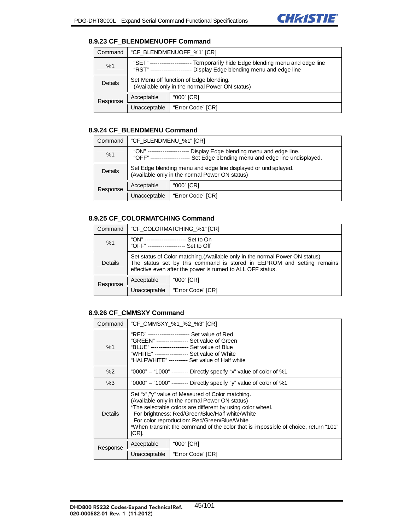

#### **8.9.23 CF\_BLENDMENUOFF Command**

| Command  | "CF_BLENDMENUOFF_%1" [CR]                                                                                                            |                   |
|----------|--------------------------------------------------------------------------------------------------------------------------------------|-------------------|
| %1       | "SFT" -----<br>Temporarily hide Edge blending menu and edge line<br>Display Edge blending menu and edge line<br>"RST" -------------- |                   |
| Details  | Set Menu off function of Edge blending.<br>(Available only in the normal Power ON status)                                            |                   |
| Response | Acceptable                                                                                                                           | "000" [CR]        |
|          | Unacceptable                                                                                                                         | "Error Code" [CR] |

#### **8.9.24 CF\_BLENDMENU Command**

| Command  | "CF BLENDMENU %1" [CR]                                                                                                                     |                   |
|----------|--------------------------------------------------------------------------------------------------------------------------------------------|-------------------|
| %1       | "ON" --------<br>Display Edge blending menu and edge line.<br>Set Edge blending menu and edge line undisplayed.<br>"OFF" ----------------- |                   |
| Details  | Set Edge blending menu and edge line displayed or undisplayed.<br>(Available only in the normal Power ON status)                           |                   |
| Response | Acceptable                                                                                                                                 | "000" [CR]        |
|          | Unacceptable                                                                                                                               | "Error Code" [CR] |

### **8.9.25 CF\_COLORMATCHING Command**

| Command  | "CF_COLORMATCHING_%1" [CR]                                                                                                                                                                                            |                   |
|----------|-----------------------------------------------------------------------------------------------------------------------------------------------------------------------------------------------------------------------|-------------------|
| %1       | "ON" ---------------------- Set to On<br>"OFF" -------------------- Set to Off                                                                                                                                        |                   |
| Details  | Set status of Color matching. (Available only in the normal Power ON status)<br>The status set by this command is stored in EEPROM and setting remains<br>effective even after the power is turned to ALL OFF status. |                   |
| Response | Acceptable                                                                                                                                                                                                            | "000" [CR]        |
|          | Unacceptable                                                                                                                                                                                                          | "Error Code" [CR] |

### **8.9.26 CF\_CMMSXY Command**

| Command  |                                                                                                                                                                                                                                                                                                                                                                    | "CF CMMSXY %1 %2 %3" [CR]                                          |  |
|----------|--------------------------------------------------------------------------------------------------------------------------------------------------------------------------------------------------------------------------------------------------------------------------------------------------------------------------------------------------------------------|--------------------------------------------------------------------|--|
| %1       | "RFD" ---------------------- Set value of Red<br>"GREEN" ----------------- Set value of Green<br>"BLUE" -------------------- Set value of Blue<br>"WHITE" ------------------ Set value of White<br>"HALFWHITE" ---------- Set value of Half white                                                                                                                  |                                                                    |  |
| %2       |                                                                                                                                                                                                                                                                                                                                                                    | "0000" – "1000" -------- Directly specify "x" value of color of %1 |  |
| %3       | "0000" – "1000" --------- Directly specify "y" value of color of %1                                                                                                                                                                                                                                                                                                |                                                                    |  |
| Details  | Set "x","y" value of Measured of Color matching.<br>(Available only in the normal Power ON status)<br>*The selectable colors are different by using color wheel.<br>For brightness: Red/Green/Blue/Half white/White<br>For color reproduction: Red/Green/Blue/White<br>*When transmit the command of the color that is impossible of choice, return "101"<br>[CR]. |                                                                    |  |
| Response | Acceptable                                                                                                                                                                                                                                                                                                                                                         | "000" [CR]                                                         |  |
|          | Unacceptable                                                                                                                                                                                                                                                                                                                                                       | "Error Code" [CR]                                                  |  |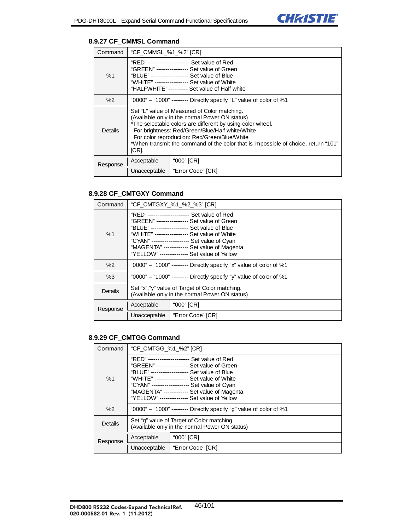### **8.9.27 CF\_CMMSL Command**

| Command        | "CF_CMMSL_%1_%2" [CR]                                                                                                                                                                                                                                                                                                                                          |                                                                    |  |
|----------------|----------------------------------------------------------------------------------------------------------------------------------------------------------------------------------------------------------------------------------------------------------------------------------------------------------------------------------------------------------------|--------------------------------------------------------------------|--|
| %1             | "RED" ---------------------- Set value of Red<br>"GREEN" ----------------- Set value of Green<br>"BLUE" -------------------- Set value of Blue<br>"WHITE" ------------------ Set value of White<br>"HALFWHITE" ---------- Set value of Half white                                                                                                              |                                                                    |  |
| %2             |                                                                                                                                                                                                                                                                                                                                                                | "0000" - "1000" -------- Directly specify "L" value of color of %1 |  |
| <b>Details</b> | Set "L" value of Measured of Color matching.<br>(Available only in the normal Power ON status)<br>*The selectable colors are different by using color wheel.<br>For brightness: Red/Green/Blue/Half white/White<br>For color reproduction: Red/Green/Blue/White<br>*When transmit the command of the color that is impossible of choice, return "101"<br>[CR]. |                                                                    |  |
| Response       | Acceptable                                                                                                                                                                                                                                                                                                                                                     | "000" [CR]                                                         |  |
|                | Unacceptable                                                                                                                                                                                                                                                                                                                                                   | "Error Code" [CR]                                                  |  |

### **8.9.28 CF\_CMTGXY Command**

| Command  | "CF_CMTGXY_%1_%2_%3" [CR]                                                                                                                                                                                                                                                                                                                     |                   |  |
|----------|-----------------------------------------------------------------------------------------------------------------------------------------------------------------------------------------------------------------------------------------------------------------------------------------------------------------------------------------------|-------------------|--|
| %1       | "RED" --------------------- Set value of Red<br>"GREEN" ----------------- Set value of Green<br>"BLUE" -------------------- Set value of Blue<br>"WHITE" ------------------ Set value of White<br>"CYAN" ------------------- Set value of Cyan<br>"MAGENTA" ------------- Set value of Magenta<br>"YELLOW" -------------- Set value of Yellow |                   |  |
| %2       | "0000" - "1000" -------- Directly specify "x" value of color of %1                                                                                                                                                                                                                                                                            |                   |  |
| %3       | "0000" - "1000" -------- Directly specify "y" value of color of %1                                                                                                                                                                                                                                                                            |                   |  |
| Details  | Set "x", "y" value of Target of Color matching.<br>(Available only in the normal Power ON status)                                                                                                                                                                                                                                             |                   |  |
| Response | Acceptable                                                                                                                                                                                                                                                                                                                                    | "000" [CR]        |  |
|          | Unacceptable                                                                                                                                                                                                                                                                                                                                  | "Error Code" [CR] |  |

### **8.9.29 CF\_CMTGG Command**

| Command  | "CF CMTGG %1 %2" [CR]                                                                                                                                                                                                                                                                                                                        |                   |
|----------|----------------------------------------------------------------------------------------------------------------------------------------------------------------------------------------------------------------------------------------------------------------------------------------------------------------------------------------------|-------------------|
| %1       | "RFD" ---------------------- Set value of Red<br>"GREEN" ---------------- Set value of Green<br>"BLUE" -------------------- Set value of Blue<br>"WHITE" ----------------- Set value of White<br>"CYAN" -------------------- Set value of Cyan<br>"MAGENTA" ------------ Set value of Magenta<br>"YELLOW" -------------- Set value of Yellow |                   |
| %2       | "0000" - "1000" -------- Directly specify "g" value of color of %1                                                                                                                                                                                                                                                                           |                   |
| Details  | Set "q" value of Target of Color matching.<br>(Available only in the normal Power ON status)                                                                                                                                                                                                                                                 |                   |
| Response | Acceptable                                                                                                                                                                                                                                                                                                                                   | "000" [CR]        |
|          | Unacceptable                                                                                                                                                                                                                                                                                                                                 | "Error Code" [CR] |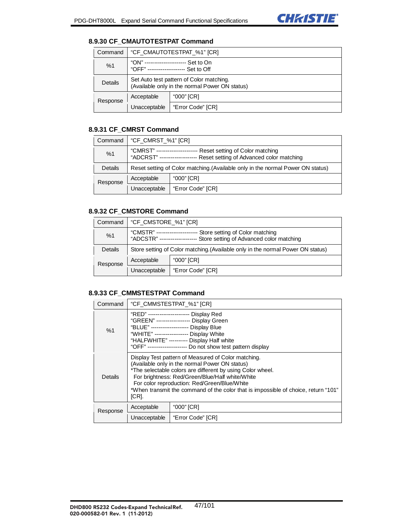# **8.9.30 CF\_CMAUTOTESTPAT Command**

| Command  | "CF_CMAUTOTESTPAT_%1" [CR]                                                                 |                   |
|----------|--------------------------------------------------------------------------------------------|-------------------|
| %1       | "ON" ------------------<br>Set to On<br>"OFF" -------------------- Set to Off              |                   |
| Details  | Set Auto test pattern of Color matching.<br>(Available only in the normal Power ON status) |                   |
| Response | Acceptable                                                                                 | "000" [CR]        |
|          | Unacceptable                                                                               | "Error Code" [CR] |

## **8.9.31 CF\_CMRST Command**

| Command  | "CF_CMRST_%1" [CR]                                                                                                                 |                   |
|----------|------------------------------------------------------------------------------------------------------------------------------------|-------------------|
| %1       | "CMRST" ---------------<br>Reset setting of Color matching<br>Reset setting of Advanced color matching<br>"ADCRST" --------------- |                   |
| Details  | Reset setting of Color matching. (Available only in the normal Power ON status)                                                    |                   |
| Response | Acceptable                                                                                                                         | "000" [CR]        |
|          | Unacceptable                                                                                                                       | "Error Code" [CR] |

## **8.9.32 CF\_CMSTORE Command**

| Command  | "CF CMSTORE %1" [CR]                                                                                                             |                   |
|----------|----------------------------------------------------------------------------------------------------------------------------------|-------------------|
| %1       | "CMSTR" ------------<br>Store setting of Color matching<br>"ADCSTR" ----------------<br>Store setting of Advanced color matching |                   |
| Details  | Store setting of Color matching. (Available only in the normal Power ON status)                                                  |                   |
| Response | Acceptable                                                                                                                       | "000" [CR]        |
|          | Unacceptable                                                                                                                     | "Error Code" [CR] |

## **8.9.33 CF\_CMMSTESTPAT Command**

| Command  | "CF CMMSTESTPAT %1" [CR]                                                                                                                                                                                                                                                                                                                                              |                   |
|----------|-----------------------------------------------------------------------------------------------------------------------------------------------------------------------------------------------------------------------------------------------------------------------------------------------------------------------------------------------------------------------|-------------------|
| %1       | "RED" --------------------- Display Red<br>"GREEN" ----------------- Display Green<br>"BLUE" ------------------- Display Blue<br>"WHITE" ----------------- Display White<br>"HALFWHITE" --------- Display Half white<br>"OFF" -------------------- Do not show test pattern display                                                                                   |                   |
| Details  | Display Test pattern of Measured of Color matching.<br>(Available only in the normal Power ON status)<br>*The selectable colors are different by using Color wheel.<br>For brightness: Red/Green/Blue/Half white/White<br>For color reproduction: Red/Green/Blue/White<br>*When transmit the command of the color that is impossible of choice, return "101"<br>ICRI. |                   |
| Response | Acceptable                                                                                                                                                                                                                                                                                                                                                            | "000" [CR]        |
|          | Unacceptable                                                                                                                                                                                                                                                                                                                                                          | "Error Code" [CR] |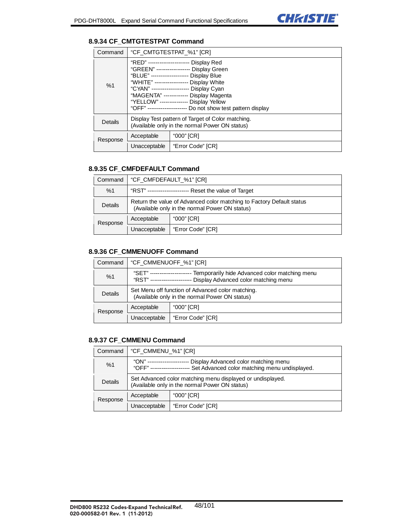### **8.9.34 CF\_CMTGTESTPAT Command**

| Command  | "CF_CMTGTESTPAT_%1" [CR]                                                                                                                                                                                                                                                                                                                                                    |                   |
|----------|-----------------------------------------------------------------------------------------------------------------------------------------------------------------------------------------------------------------------------------------------------------------------------------------------------------------------------------------------------------------------------|-------------------|
| %1       | "RED" --------------------- Display Red<br>"GREEN" ----------------- Display Green<br>"BLUE" --------------------    Display Blue<br>"WHITE" ----------------- Display White<br>"CYAN" ------------------- Display Cyan<br>"MAGENTA" ------------- Display Magenta<br>"YELLOW" -------------- Display Yellow<br>"OFF" -------------------- Do not show test pattern display |                   |
| Details  | Display Test pattern of Target of Color matching.<br>(Available only in the normal Power ON status)                                                                                                                                                                                                                                                                         |                   |
| Response | Acceptable                                                                                                                                                                                                                                                                                                                                                                  | "000" [CR]        |
|          | Unacceptable                                                                                                                                                                                                                                                                                                                                                                | "Error Code" [CR] |

#### **8.9.35 CF\_CMFDEFAULT Command**

| Command  | "CF_CMFDEFAULT_%1" [CR]                                                                                                 |                   |
|----------|-------------------------------------------------------------------------------------------------------------------------|-------------------|
| %1       | "RST" ---------------------- Reset the value of Target                                                                  |                   |
| Details  | Return the value of Advanced color matching to Factory Default status<br>(Available only in the normal Power ON status) |                   |
| Response | Acceptable                                                                                                              | "000" [CR]        |
|          | Unacceptable                                                                                                            | "Error Code" [CR] |

#### **8.9.36 CF\_CMMENUOFF Command**

| Command  | "CF_CMMENUOFF_%1" [CR]                                                                                                            |                   |
|----------|-----------------------------------------------------------------------------------------------------------------------------------|-------------------|
| %1       | "SET" ---------<br>Temporarily hide Advanced color matching menu<br>Display Advanced color matching menu<br>"RST" --------------- |                   |
| Details  | Set Menu off function of Advanced color matching.<br>(Available only in the normal Power ON status)                               |                   |
| Response | Acceptable                                                                                                                        | "000" [CR]        |
|          | Unacceptable                                                                                                                      | "Error Code" [CR] |

#### **8.9.37 CF\_CMMENU Command**

| Command  | "CF CMMENU %1" [CR]                                                                                                             |                   |
|----------|---------------------------------------------------------------------------------------------------------------------------------|-------------------|
| %1       | "ON" -------<br>Display Advanced color matching menu<br>Set Advanced color matching menu undisplayed.<br>"OFF" ---------------- |                   |
| Details  | Set Advanced color matching menu displayed or undisplayed.<br>(Available only in the normal Power ON status)                    |                   |
| Response | Acceptable                                                                                                                      | "000" [CR]        |
|          | Unacceptable                                                                                                                    | "Error Code" [CR] |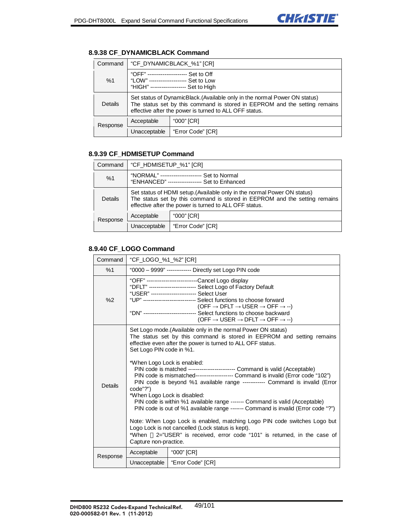# **8.9.38 CF\_DYNAMICBLACK Command**

| Command  | "CF_DYNAMICBLACK_%1" [CR]                                                                                                                                                                                          |                                                                                              |
|----------|--------------------------------------------------------------------------------------------------------------------------------------------------------------------------------------------------------------------|----------------------------------------------------------------------------------------------|
| %1       | "OFF" --------------------                                                                                                                                                                                         | Set to Off<br>"LOW" -------------------- Set to Low<br>"HIGH" ------------------ Set to High |
| Details  | Set status of DynamicBlack. (Available only in the normal Power ON status)<br>The status set by this command is stored in EEPROM and the setting remains<br>effective after the power is turned to ALL OFF status. |                                                                                              |
| Response | Acceptable                                                                                                                                                                                                         | "000" [CR]                                                                                   |
|          | Unacceptable                                                                                                                                                                                                       | "Error Code" [CR]                                                                            |

### **8.9.39 CF\_HDMISETUP Command**

| Command  | "CF_HDMISETUP_%1" [CR]                                                                                                                                                                                           |                   |
|----------|------------------------------------------------------------------------------------------------------------------------------------------------------------------------------------------------------------------|-------------------|
| %1       | "NORMAL" ---------------------<br>Set to Normal<br>"ENHANCED" ------------------ Set to Enhanced                                                                                                                 |                   |
| Details  | Set status of HDMI setup. (Available only in the normal Power ON status)<br>The status set by this command is stored in EEPROM and the setting remains<br>effective after the power is turned to ALL OFF status. |                   |
| Response | Acceptable                                                                                                                                                                                                       | "000" [CR]        |
|          | Unacceptable                                                                                                                                                                                                     | "Error Code" [CR] |

### **8.9.40 CF\_LOGO Command**

| Command        | "CF_LOGO_%1_%2" [CR]                                                                                                                                                                                                                                                                                                                                                                                                                                                                                                                                                                                                                                                                                                                                                                                                                                                                                                                              |                   |
|----------------|---------------------------------------------------------------------------------------------------------------------------------------------------------------------------------------------------------------------------------------------------------------------------------------------------------------------------------------------------------------------------------------------------------------------------------------------------------------------------------------------------------------------------------------------------------------------------------------------------------------------------------------------------------------------------------------------------------------------------------------------------------------------------------------------------------------------------------------------------------------------------------------------------------------------------------------------------|-------------------|
| %1             | "0000 - 9999" ------------- Directly set Logo PIN code                                                                                                                                                                                                                                                                                                                                                                                                                                                                                                                                                                                                                                                                                                                                                                                                                                                                                            |                   |
| %2             | "OFF" --------------------------Cancel Logo display<br>"DFLT" ------------------------ Select Logo of Factory Default<br>"UP" --------------------------- Select functions to choose forward<br>(OFF $\rightarrow$ DFLT $\rightarrow$ USER $\rightarrow$ OFF $\rightarrow$ --)<br>"DN" -------------------------- Select functions to choose backward<br>(OFF $\rightarrow$ USER $\rightarrow$ DFLT $\rightarrow$ OFF $\rightarrow$ --)                                                                                                                                                                                                                                                                                                                                                                                                                                                                                                           |                   |
| <b>Details</b> | Set Logo mode. (Available only in the normal Power ON status)<br>The status set by this command is stored in EEPROM and setting remains<br>effective even after the power is turned to ALL OFF status.<br>Set Logo PIN code in %1.<br>*When Logo Lock is enabled:<br>PIN code is matched ------------------------ Command is valid (Acceptable)<br>PIN code is mismatched------------------- Command is invalid (Error code "102")<br>PIN code is beyond %1 available range ----------- Command is invalid (Error<br>code"?")<br>*When Logo Lock is disabled:<br>PIN code is within %1 available range ------- Command is valid (Acceptable)<br>PIN code is out of %1 available range ------ Command is invalid (Error code "?")<br>Note: When Logo Lock is enabled, matching Logo PIN code switches Logo but<br>Logo Lock is not cancelled (Lock status is kept).<br>2="USER" is received, error code "101" is returned, in the case of<br>*When |                   |
|                | Capture non-practice.<br>Acceptable                                                                                                                                                                                                                                                                                                                                                                                                                                                                                                                                                                                                                                                                                                                                                                                                                                                                                                               | "000" [CR]        |
| Response       | Unacceptable                                                                                                                                                                                                                                                                                                                                                                                                                                                                                                                                                                                                                                                                                                                                                                                                                                                                                                                                      | "Error Code" [CR] |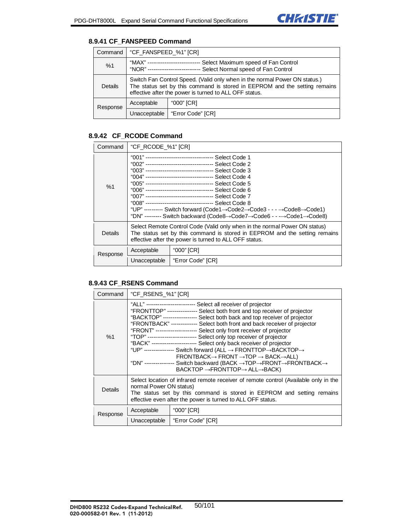### **8.9.41 CF\_FANSPEED Command**

| Command  | "CF_FANSPEED_%1" [CR]                                                                                                                                                                                              |                   |
|----------|--------------------------------------------------------------------------------------------------------------------------------------------------------------------------------------------------------------------|-------------------|
| %1       | "MAX" ---------------<br>Select Maximum speed of Fan Control<br>Select Normal speed of Fan Control<br>"NOR" -----                                                                                                  |                   |
| Details  | Switch Fan Control Speed. (Valid only when in the normal Power ON status.)<br>The status set by this command is stored in EEPROM and the setting remains<br>effective after the power is turned to ALL OFF status. |                   |
| Response | Acceptable                                                                                                                                                                                                         | "000" [CR]        |
|          | Unacceptable                                                                                                                                                                                                       | "Error Code" [CR] |

# **8.9.42 CF\_RCODE Command**

| Command  | "CF_RCODE_%1" [CR]                                                                                                                                                                                                 |                   |  |
|----------|--------------------------------------------------------------------------------------------------------------------------------------------------------------------------------------------------------------------|-------------------|--|
| %1       | "UP" --------- Switch forward (Code1 $\rightarrow$ Code2 $\rightarrow$ Code3 - - - $\rightarrow$ Code8 $\rightarrow$ Code1)<br>"DN" --------- Switch backward (Code8→Code7→Code6 - - -→Code1→Code8)                |                   |  |
| Details  | Select Remote Control Code (Valid only when in the normal Power ON status)<br>The status set by this command is stored in EEPROM and the setting remains<br>effective after the power is turned to ALL OFF status. |                   |  |
| Response | Acceptable                                                                                                                                                                                                         | "000" [CR]        |  |
|          | Unacceptable                                                                                                                                                                                                       | "Error Code" [CR] |  |

## **8.9.43 CF\_RSENS Command**

| Command  | "CF_RSENS_%1" [CR]                                                                                                                                                                                                                                                                                                                                                                                                                                                                                                                                                                                                                                                                                                                                                                                                                                                                        |                   |
|----------|-------------------------------------------------------------------------------------------------------------------------------------------------------------------------------------------------------------------------------------------------------------------------------------------------------------------------------------------------------------------------------------------------------------------------------------------------------------------------------------------------------------------------------------------------------------------------------------------------------------------------------------------------------------------------------------------------------------------------------------------------------------------------------------------------------------------------------------------------------------------------------------------|-------------------|
| %1       | "ALL" ------------------------- Select all receiver of projector<br>"FRONTTOP" --------------- Select both front and top receiver of projector<br>"BACKTOP" ------------------ Select both back and top receiver of projector<br>"FRONTBACK" -------------- Select both front and back receiver of projector<br>"FRONT" --------------------- Select only front receiver of projector<br>"TOP" ------------------------- Select only top receiver of projector<br>"BACK" ----------------------- Select only back receiver of projector<br>"UP" --------------- Switch forward (ALL → FRONTTOP→BACKTOP→<br>$FRONTBACK \rightarrow FRONT \rightarrow TOP \rightarrow BACK \rightarrow ALL)$<br>"DN" --------------- Switch backward (BACK $\rightarrow$ TOP $\rightarrow$ FRONT $\rightarrow$ FRONTBACK $\rightarrow$<br>$BACKTOP \rightarrow FROMTTOP \rightarrow ALL \rightarrow BACK$ ) |                   |
| Details  | Select location of infrared remote receiver of remote control (Available only in the<br>normal Power ON status)<br>The status set by this command is stored in EEPROM and setting remains<br>effective even after the power is turned to ALL OFF status.                                                                                                                                                                                                                                                                                                                                                                                                                                                                                                                                                                                                                                  |                   |
| Response | Acceptable                                                                                                                                                                                                                                                                                                                                                                                                                                                                                                                                                                                                                                                                                                                                                                                                                                                                                | "000" [CR]        |
|          | Unacceptable                                                                                                                                                                                                                                                                                                                                                                                                                                                                                                                                                                                                                                                                                                                                                                                                                                                                              | "Error Code" [CR] |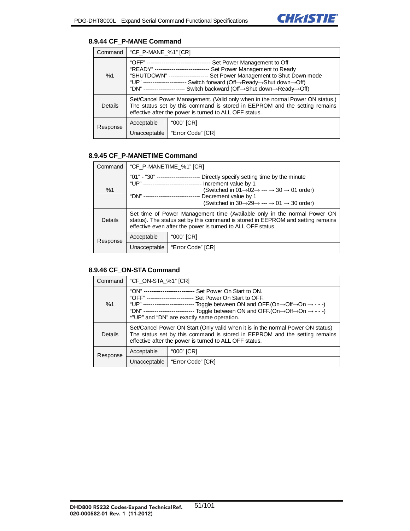# **8.9.44 CF\_P-MANE Command**

| Command  | "CF_P-MANE_%1" [CR]                                                                                                                                                                                                                                                                                                                                                     |                   |
|----------|-------------------------------------------------------------------------------------------------------------------------------------------------------------------------------------------------------------------------------------------------------------------------------------------------------------------------------------------------------------------------|-------------------|
| %1       | "OFF" --------------------------------- Set Power Management to Off<br>"READY" ----------------------------- Set Power Management to Ready<br>"SHUTDOWN" -------------------- Set Power Management to Shut Down mode<br>"UP" ---------------------- Switch forward (Off→Ready→Shut down→Off)<br>"DN" --------------------- Switch backward (Off->Shut down->Ready->Off) |                   |
| Details  | Set/Cancel Power Management. (Valid only when in the normal Power ON status.)<br>The status set by this command is stored in EEPROM and the setting remains<br>effective after the power is turned to ALL OFF status.                                                                                                                                                   |                   |
| Response | Acceptable                                                                                                                                                                                                                                                                                                                                                              | "000" [CR]        |
|          | Unacceptable                                                                                                                                                                                                                                                                                                                                                            | "Error Code" [CR] |

# **8.9.45 CF\_P-MANETIME Command**

| Command  | "CF_P-MANETIME_%1" [CR]                                                                                                                                                                                                                                                                                                                                    |                   |
|----------|------------------------------------------------------------------------------------------------------------------------------------------------------------------------------------------------------------------------------------------------------------------------------------------------------------------------------------------------------------|-------------------|
| %1       | Directly specify setting time by the minute<br>"UP" ------------------------------ Increment value by 1<br>(Switched in $01 \rightarrow 02 \rightarrow \cdots \rightarrow 30 \rightarrow 01$ order)<br>"DN" ----------------------------- Decrement value by 1<br>(Switched in $30 \rightarrow 29 \rightarrow \cdots \rightarrow 01 \rightarrow 30$ order) |                   |
| Details  | Set time of Power Management time (Available only in the normal Power ON<br>status). The status set by this command is stored in EEPROM and setting remains<br>effective even after the power is turned to ALL OFF status.                                                                                                                                 |                   |
| Response | Acceptable                                                                                                                                                                                                                                                                                                                                                 | "000" [CR]        |
|          | Unacceptable                                                                                                                                                                                                                                                                                                                                               | "Error Code" [CR] |

#### **8.9.46 CF\_ON-STA Command**

| Command        | "CF_ON-STA_%1" [CR]                                                                                                                                                                                                                                                                                                                                                                                                            |                   |
|----------------|--------------------------------------------------------------------------------------------------------------------------------------------------------------------------------------------------------------------------------------------------------------------------------------------------------------------------------------------------------------------------------------------------------------------------------|-------------------|
| %1             | "ON" -------------------------- Set Power On Start to ON.<br>"OFF" ------------------------- Set Power On Start to OFF.<br>"UP" -------------------------- Toggle between ON and OFF. (On $\rightarrow$ Off $\rightarrow$ On $\rightarrow$ - - -)<br>Toggle between ON and OFF. (On $\rightarrow$ Off $\rightarrow$ On $\rightarrow$ - - -)<br>"DN" ----------------------------<br>*"UP" and "DN" are exactly same operation. |                   |
| <b>Details</b> | Set/Cancel Power ON Start (Only valid when it is in the normal Power ON status)<br>The status set by this command is stored in EEPROM and the setting remains<br>effective after the power is turned to ALL OFF status.                                                                                                                                                                                                        |                   |
| Response       | Acceptable                                                                                                                                                                                                                                                                                                                                                                                                                     | "000" [CR]        |
|                | Unacceptable                                                                                                                                                                                                                                                                                                                                                                                                                   | "Error Code" [CR] |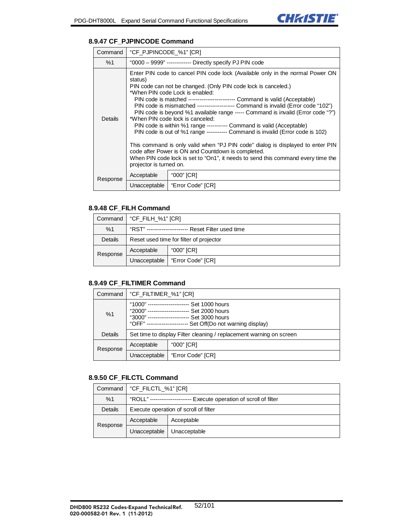

### **8.9.47 CF\_PJPINCODE Command**

| Command        | "CF_PJPINCODE_%1" [CR]                                   |                                                                                                                                                                                                                                                                                                                                                                                                                                                                                                                                                                                                                                                                                                                                                                                                                                                                    |  |
|----------------|----------------------------------------------------------|--------------------------------------------------------------------------------------------------------------------------------------------------------------------------------------------------------------------------------------------------------------------------------------------------------------------------------------------------------------------------------------------------------------------------------------------------------------------------------------------------------------------------------------------------------------------------------------------------------------------------------------------------------------------------------------------------------------------------------------------------------------------------------------------------------------------------------------------------------------------|--|
| %1             | "0000 - 9999" ------------- Directly specify PJ PIN code |                                                                                                                                                                                                                                                                                                                                                                                                                                                                                                                                                                                                                                                                                                                                                                                                                                                                    |  |
| <b>Details</b> | status)<br>projector is turned on.                       | Enter PIN code to cancel PIN code lock (Available only in the normal Power ON<br>PIN code can not be changed. (Only PIN code lock is canceled.)<br>*When PIN code Lock is enabled:<br>PIN code is matched ------------------------ Command is valid (Acceptable)<br>PIN code is mismatched -------------------- Command is invalid (Error code "102")<br>PIN code is beyond %1 available range ----- Command is invalid (Error code "?")<br>*When PIN code lock is canceled:<br>PIN code is within %1 range ---------- Command is valid (Acceptable)<br>PIN code is out of %1 range ----------- Command is invalid (Error code is 102)<br>This command is only valid when "PJ PIN code" dialog is displayed to enter PIN<br>code after Power is ON and Countdown is completed.<br>When PIN code lock is set to "On1", it needs to send this command every time the |  |
| Response       | Acceptable                                               | "000" [CR]                                                                                                                                                                                                                                                                                                                                                                                                                                                                                                                                                                                                                                                                                                                                                                                                                                                         |  |
|                | Unacceptable                                             | "Error Code" [CR]                                                                                                                                                                                                                                                                                                                                                                                                                                                                                                                                                                                                                                                                                                                                                                                                                                                  |  |

#### **8.9.48 CF\_FILH Command**

|                | Command   "CF_FILH_%1" [CR]                        |                   |
|----------------|----------------------------------------------------|-------------------|
| %1             | "RST" --------------------- Reset Filter used time |                   |
| <b>Details</b> | Reset used time for filter of projector            |                   |
| Response       | Acceptable                                         | "000" [CR]        |
|                | Unacceptable                                       | "Error Code" [CR] |

#### **8.9.49 CF\_FILTIMER Command**

| Command  | "CF_FILTIMER_%1" [CR]                                                                                                                                                      |                   |
|----------|----------------------------------------------------------------------------------------------------------------------------------------------------------------------------|-------------------|
| %1       | "1000" ---<br>Set 1000 hours<br>"2000" ---------------------- Set 2000 hours<br>"3000" ------<br>Set 3000 hours<br>"OFF" --------------<br>Set Off(Do not warning display) |                   |
| Details  | Set time to display Filter cleaning / replacement warning on screen                                                                                                        |                   |
| Response | Acceptable                                                                                                                                                                 | "000" [CR]        |
|          | Unacceptable                                                                                                                                                               | "Error Code" [CR] |

#### **8.9.50 CF\_FILCTL Command**

|          | Command   "CF_FILCTL_%1" [CR]                                      |              |
|----------|--------------------------------------------------------------------|--------------|
| %1       | "ROLL" --------------------- Execute operation of scroll of filter |              |
| Details  | Execute operation of scroll of filter                              |              |
| Response | Acceptable                                                         | Acceptable   |
|          | Unacceptable                                                       | Unacceptable |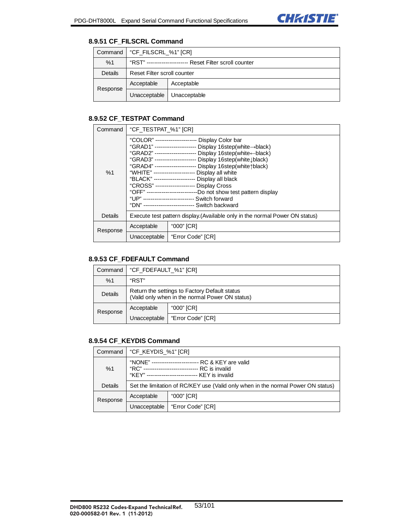

### **8.9.51 CF\_FILSCRL Command**

|          | Command   "CF_FILSCRL_%1" [CR]                              |              |
|----------|-------------------------------------------------------------|--------------|
| %1       | "RST" -----------------<br>---- Reset Filter scroll counter |              |
| Details  | Reset Filter scroll counter                                 |              |
| Response | Acceptable                                                  | Acceptable   |
|          | Unacceptable                                                | Unacceptable |

### **8.9.52 CF\_TESTPAT Command**

| Command  | "CF_TESTPAT_%1" [CR]                                                         |                                                                                                                                                                                                                                                                                                                                                                                                                                                                                                                                                                                                                                           |  |
|----------|------------------------------------------------------------------------------|-------------------------------------------------------------------------------------------------------------------------------------------------------------------------------------------------------------------------------------------------------------------------------------------------------------------------------------------------------------------------------------------------------------------------------------------------------------------------------------------------------------------------------------------------------------------------------------------------------------------------------------------|--|
| %1       |                                                                              | "COLOR" ---------------------- Display Color bar<br>"GRAD1" ---------------------- Display 16step(white->black)<br>"GRAD2" ---------------------- Display 16step(white-black)<br>"GRAD3" ---------------------- Display 16step(white Lblack)<br>"GRAD4" ---------------------- Display 16step(white tblack)<br>"WHITE" --------------------- Display all white<br>"BLACK" --------------------- Display all black<br>"CROSS" --------------------- Display Cross<br>"OFF" --------------------------Do not show test pattern display<br>"UP" -------------------------- Switch forward<br>"DN" -------------------------- Switch backward |  |
| Details  | Execute test pattern display. (Available only in the normal Power ON status) |                                                                                                                                                                                                                                                                                                                                                                                                                                                                                                                                                                                                                                           |  |
| Response | Acceptable                                                                   | "000" [CR]                                                                                                                                                                                                                                                                                                                                                                                                                                                                                                                                                                                                                                |  |
|          | Unacceptable                                                                 | "Error Code" [CR]                                                                                                                                                                                                                                                                                                                                                                                                                                                                                                                                                                                                                         |  |

#### **8.9.53 CF\_FDEFAULT Command**

| Command  | "CF_FDEFAULT_%1" [CR]                                                                            |                   |
|----------|--------------------------------------------------------------------------------------------------|-------------------|
| %1       | "RST"                                                                                            |                   |
| Details  | Return the settings to Factory Default status<br>(Valid only when in the normal Power ON status) |                   |
| Response | Acceptable                                                                                       | "000" [CR]        |
|          | Unacceptable                                                                                     | "Error Code" [CR] |

### **8.9.54 CF\_KEYDIS Command**

| Command  | "CF_KEYDIS_%1" [CR]                                                                                                                                            |                   |
|----------|----------------------------------------------------------------------------------------------------------------------------------------------------------------|-------------------|
| %1       | "NONE" ---------------------<br>RC & KEY are valid<br>"RC" ---------------------------<br>-- RC is invalid<br>"KEY" --------------------------- KEY is invalid |                   |
| Details  | Set the limitation of RC/KEY use (Valid only when in the normal Power ON status)                                                                               |                   |
| Response | Acceptable                                                                                                                                                     | "000" [CR]        |
|          | Unacceptable                                                                                                                                                   | "Error Code" [CR] |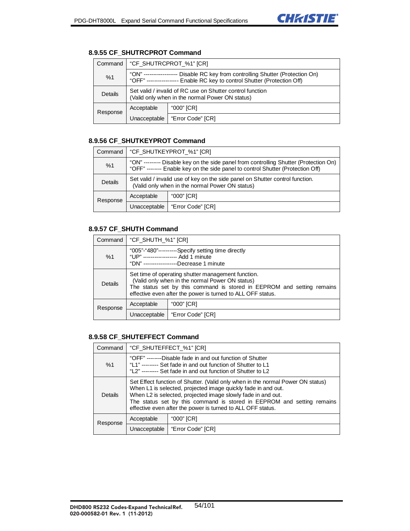

# **8.9.55 CF\_SHUTRCPROT Command**

| Command  | "CF SHUTRCPROT %1" [CR]                                                                                                                                         |                   |
|----------|-----------------------------------------------------------------------------------------------------------------------------------------------------------------|-------------------|
| %1       | "ON" -------------------<br>Disable RC key from controlling Shutter (Protection On)<br>"OFF" ---------------- Enable RC key to control Shutter (Protection Off) |                   |
| Details  | Set valid / invalid of RC use on Shutter control function<br>(Valid only when in the normal Power ON status)                                                    |                   |
| Response | Acceptable                                                                                                                                                      | "000" [CR]        |
|          | Unacceptable                                                                                                                                                    | "Error Code" [CR] |

#### **8.9.56 CF\_SHUTKEYPROT Command**

| Command  | "CF SHUTKEYPROT %1" [CR]                                                                                                                                                 |                   |
|----------|--------------------------------------------------------------------------------------------------------------------------------------------------------------------------|-------------------|
| %1       | "ON" --------- Disable key on the side panel from controlling Shutter (Protection On)<br>"OFF" -------- Enable key on the side panel to control Shutter (Protection Off) |                   |
| Details  | Set valid / invalid use of key on the side panel on Shutter control function.<br>(Valid only when in the normal Power ON status)                                         |                   |
| Response | Acceptable                                                                                                                                                               | "000" [CR]        |
|          | Unacceptable                                                                                                                                                             | "Error Code" [CR] |

#### **8.9.57 CF\_SHUTH Command**

| Command        | "CF_SHUTH_%1" [CR]                                                                                                                                                                                                                             |                   |
|----------------|------------------------------------------------------------------------------------------------------------------------------------------------------------------------------------------------------------------------------------------------|-------------------|
| %1             | "005"-"480"----------Specify setting time directly<br>"UP" ------------------ Add 1 minute<br>"DN" ------------------Decrease 1 minute                                                                                                         |                   |
| <b>Details</b> | Set time of operating shutter management function.<br>(Valid only when in the normal Power ON status)<br>The status set by this command is stored in EEPROM and setting remains<br>effective even after the power is turned to ALL OFF status. |                   |
| Response       | Acceptable                                                                                                                                                                                                                                     | "000" [CR]        |
|                | Unacceptable                                                                                                                                                                                                                                   | "Error Code" [CR] |

### **8.9.58 CF\_SHUTEFFECT Command**

| Command        | "CF_SHUTEFFECT_%1" [CR]                                                                                                                                                                                                                                                                                                                                   |                   |
|----------------|-----------------------------------------------------------------------------------------------------------------------------------------------------------------------------------------------------------------------------------------------------------------------------------------------------------------------------------------------------------|-------------------|
| %1             | "OFF" --------Disable fade in and out function of Shutter<br>"L1" -------- Set fade in and out function of Shutter to L1<br>"L2" -------- Set fade in and out function of Shutter to L2                                                                                                                                                                   |                   |
| <b>Details</b> | Set Effect function of Shutter. (Valid only when in the normal Power ON status)<br>When L1 is selected, projected image quickly fade in and out.<br>When L2 is selected, projected image slowly fade in and out.<br>The status set by this command is stored in EEPROM and setting remains<br>effective even after the power is turned to ALL OFF status. |                   |
| Response       | Acceptable                                                                                                                                                                                                                                                                                                                                                | "000" [CR]        |
|                | Unacceptable                                                                                                                                                                                                                                                                                                                                              | "Error Code" [CR] |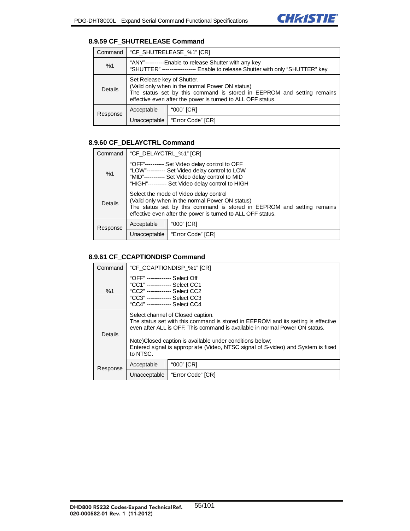### **8.9.59 CF\_SHUTRELEASE Command**

| Command  | "CF_SHUTRELEASE_%1" [CR]                                                                                                                                                                                                |                  |
|----------|-------------------------------------------------------------------------------------------------------------------------------------------------------------------------------------------------------------------------|------------------|
| %1       | "ANY"----------Enable to release Shutter with any key<br>"SHUTTER" ----------------- Enable to release Shutter with only "SHUTTER" key                                                                                  |                  |
| Details  | Set Release key of Shutter.<br>(Valid only when in the normal Power ON status)<br>The status set by this command is stored in EEPROM and setting remains<br>effective even after the power is turned to ALL OFF status. |                  |
| Response | Acceptable                                                                                                                                                                                                              | "000" [CR]       |
|          | Unacceptable                                                                                                                                                                                                            | Error Code" [CR] |

## **8.9.60 CF\_DELAYCTRL Command**

| Command  | "CF_DELAYCTRL_%1" [CR]                                                                                                                                                                                                             |                   |
|----------|------------------------------------------------------------------------------------------------------------------------------------------------------------------------------------------------------------------------------------|-------------------|
| %1       | "OFF"---------- Set Video delay control to OFF<br>"LOW"--------- Set Video delay control to LOW<br>"MID"----------- Set Video delay control to MID<br>"HIGH"---------- Set Video delay control to HIGH                             |                   |
| Details  | Select the mode of Video delay control<br>(Valid only when in the normal Power ON status)<br>The status set by this command is stored in EEPROM and setting remains<br>effective even after the power is turned to ALL OFF status. |                   |
| Response | Acceptable                                                                                                                                                                                                                         | "000" [CR]        |
|          | Unacceptable                                                                                                                                                                                                                       | "Error Code" [CR] |

### **8.9.61 CF\_CCAPTIONDISP Command**

| Command  | "CF_CCAPTIONDISP_%1" [CR]                                                                                                                                                                                                                                                                                                                                          |                   |
|----------|--------------------------------------------------------------------------------------------------------------------------------------------------------------------------------------------------------------------------------------------------------------------------------------------------------------------------------------------------------------------|-------------------|
| %1       | "OFF" ------------- Select Off<br>"CC1" ------------ Select CC1<br>"CC2" ------------- Select CC2<br>"CC3" ------------- Select CC3<br>"CC4" ------------- Select CC4                                                                                                                                                                                              |                   |
| Details  | Select channel of Closed caption.<br>The status set with this command is stored in EEPROM and its setting is effective<br>even after ALL is OFF. This command is available in normal Power ON status.<br>Note)Closed caption is available under conditions below;<br>Entered signal is appropriate (Video, NTSC signal of S-video) and System is fixed<br>to NTSC. |                   |
| Response | Acceptable                                                                                                                                                                                                                                                                                                                                                         | "000" [CR]        |
|          | Unacceptable                                                                                                                                                                                                                                                                                                                                                       | "Error Code" [CR] |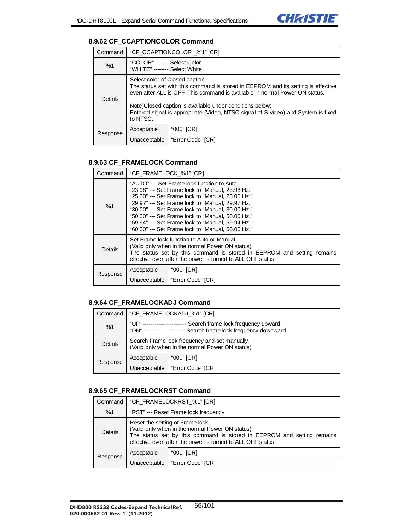

### **8.9.62 CF\_CCAPTIONCOLOR Command**

| Command  | "CF CCAPTIONCOLOR %1" [CR]                                                                                                                                                                                                                                                                                                                                       |                   |  |
|----------|------------------------------------------------------------------------------------------------------------------------------------------------------------------------------------------------------------------------------------------------------------------------------------------------------------------------------------------------------------------|-------------------|--|
| %1       | "COLOR" ------- Select Color<br>"WHITE" ------- Select White                                                                                                                                                                                                                                                                                                     |                   |  |
| Details  | Select color of Closed caption.<br>The status set with this command is stored in EEPROM and its setting is effective<br>even after ALL is OFF. This command is available in normal Power ON status.<br>Note)Closed caption is available under conditions below;<br>Entered signal is appropriate (Video, NTSC signal of S-video) and System is fixed<br>to NTSC. |                   |  |
| Response | Acceptable                                                                                                                                                                                                                                                                                                                                                       | "000" [CR]        |  |
|          | Unacceptable                                                                                                                                                                                                                                                                                                                                                     | "Error Code" [CR] |  |

### **8.9.63 CF\_FRAMELOCK Command**

| Command  | "CF_FRAMELOCK_%1" [CR]                                                                                                                                                                                                                                                                                                                                                                                                         |                   |
|----------|--------------------------------------------------------------------------------------------------------------------------------------------------------------------------------------------------------------------------------------------------------------------------------------------------------------------------------------------------------------------------------------------------------------------------------|-------------------|
| %1       | "AUTO" --- Set Frame lock function to Auto.<br>"23.98" --- Set Frame lock to "Manual, 23.98 Hz."<br>"25.00" --- Set Frame lock to "Manual, 25.00 Hz."<br>"29.97" --- Set Frame lock to "Manual, 29.97 Hz."<br>"30.00" --- Set Frame lock to "Manual, 30.00 Hz."<br>"50.00" --- Set Frame lock to "Manual, 50.00 Hz."<br>"59.94" --- Set Frame lock to "Manual, 59.94 Hz."<br>"60.00" --- Set Frame lock to "Manual, 60.00 Hz." |                   |
| Details  | Set Frame lock function to Auto or Manual.<br>(Valid only when in the normal Power ON status)<br>The status set by this command is stored in EEPROM and setting remains<br>effective even after the power is turned to ALL OFF status.                                                                                                                                                                                         |                   |
| Response | Acceptable                                                                                                                                                                                                                                                                                                                                                                                                                     | "000" [CR]        |
|          | Unacceptable                                                                                                                                                                                                                                                                                                                                                                                                                   | "Error Code" [CR] |

### **8.9.64 CF\_FRAMELOCKADJ Command**

| Command  | "CF FRAMELOCKADJ %1" [CR]                                                                                      |                   |
|----------|----------------------------------------------------------------------------------------------------------------|-------------------|
| %1       | "UP"<br>Search frame lock frequency upward.<br>Search frame lock frequency downward.<br>"DN" ----------------- |                   |
| Details  | Search Frame lock frequency and set manually.<br>(Valid only when in the normal Power ON status)               |                   |
| Response | Acceptable                                                                                                     | "000" [CR]        |
|          | Unacceptable                                                                                                   | "Error Code" [CR] |

#### **8.9.65 CF\_FRAMELOCKRST Command**

| Command  | "CF_FRAMELOCKRST_%1" [CR]                                                                                                                                                                                                    |                   |
|----------|------------------------------------------------------------------------------------------------------------------------------------------------------------------------------------------------------------------------------|-------------------|
| %1       | "RST" --- Reset Frame lock frequency                                                                                                                                                                                         |                   |
| Details  | Reset the setting of Frame lock.<br>(Valid only when in the normal Power ON status)<br>The status set by this command is stored in EEPROM and setting remains<br>effective even after the power is turned to ALL OFF status. |                   |
| Response | Acceptable                                                                                                                                                                                                                   | "000" [CR]        |
|          | Unacceptable                                                                                                                                                                                                                 | "Error Code" [CR] |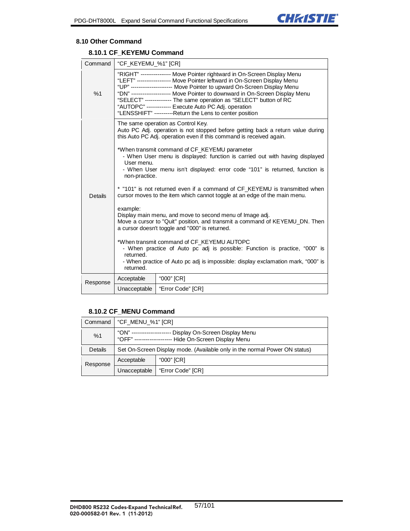

#### **8.10 Other Command**

# **8.10.1 CF\_KEYEMU Command**

| Command        | "CF_KEYEMU_%1" [CR]                                                                                                                                                                                                                                                                                                                                                                                                                                                                                                                                                                                                                                                                                                                                                                                                                                                                                                                                                                                                                                       |                   |  |
|----------------|-----------------------------------------------------------------------------------------------------------------------------------------------------------------------------------------------------------------------------------------------------------------------------------------------------------------------------------------------------------------------------------------------------------------------------------------------------------------------------------------------------------------------------------------------------------------------------------------------------------------------------------------------------------------------------------------------------------------------------------------------------------------------------------------------------------------------------------------------------------------------------------------------------------------------------------------------------------------------------------------------------------------------------------------------------------|-------------------|--|
| %1             | "RIGHT" ---------------- Move Pointer rightward in On-Screen Display Menu<br>"LEFT" ----------------- Move Pointer leftward in On-Screen Display Menu<br>"UP" -------------------- Move Pointer to upward On-Screen Display Menu<br>"DN" ------------------- Move Pointer to downward in On-Screen Display Menu<br>"SELECT" -------------- The same operation as "SELECT" button of RC<br>"AUTOPC" ------------- Execute Auto PC Adj. operation<br>"LENSSHIFT" ----------Return the Lens to center position                                                                                                                                                                                                                                                                                                                                                                                                                                                                                                                                               |                   |  |
| <b>Details</b> | The same operation as Control Key.<br>Auto PC Adj. operation is not stopped before getting back a return value during<br>this Auto PC Adj. operation even if this command is received again.<br>*When transmit command of CF_KEYEMU parameter<br>- When User menu is displayed: function is carried out with having displayed<br>User menu.<br>- When User menu isn't displayed: error code "101" is returned, function is<br>non-practice.<br>* "101" is not returned even if a command of CF_KEYEMU is transmitted when<br>cursor moves to the item which cannot toggle at an edge of the main menu.<br>example:<br>Display main menu, and move to second menu of Image adj.<br>Move a cursor to "Quit" position, and transmit a command of KEYEMU_DN. Then<br>a cursor doesn't toggle and "000" is returned.<br>*When transmit command of CF KEYEMU AUTOPC<br>- When practice of Auto pc adj is possible: Function is practice, "000" is<br>returned.<br>- When practice of Auto pc adj is impossible: display exclamation mark, "000" is<br>returned. |                   |  |
|                | Acceptable                                                                                                                                                                                                                                                                                                                                                                                                                                                                                                                                                                                                                                                                                                                                                                                                                                                                                                                                                                                                                                                | "000" [CR]        |  |
| Response       | Unacceptable                                                                                                                                                                                                                                                                                                                                                                                                                                                                                                                                                                                                                                                                                                                                                                                                                                                                                                                                                                                                                                              | "Error Code" [CR] |  |

### **8.10.2 CF\_MENU Command**

| Command  | "CF_MENU_%1" [CR]                                                                                                      |                   |
|----------|------------------------------------------------------------------------------------------------------------------------|-------------------|
| %1       | "ON" ----------------<br>Display On-Screen Display Menu<br>"OFF" ------------------<br>--- Hide On-Screen Display Menu |                   |
| Details  | Set On-Screen Display mode. (Available only in the normal Power ON status)                                             |                   |
| Response | Acceptable                                                                                                             | "000" [CR]        |
|          | Unacceptable                                                                                                           | "Error Code" [CR] |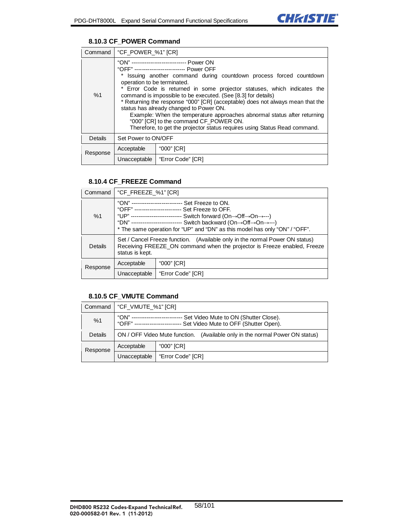

### **8.10.3 CF\_POWER Command**

| Command  | "CF_POWER_%1" [CR]                                                                                                                                                                                                                                                                                                                                                                                                                                                                                                                                                                                                                                                            |                                  |
|----------|-------------------------------------------------------------------------------------------------------------------------------------------------------------------------------------------------------------------------------------------------------------------------------------------------------------------------------------------------------------------------------------------------------------------------------------------------------------------------------------------------------------------------------------------------------------------------------------------------------------------------------------------------------------------------------|----------------------------------|
| %1       | "ON" ----------------------------- Power ON<br>"OFF" -------------------------- Power OFF<br>* Issuing another command during countdown process forced countdown<br>operation to be terminated.<br>* Error Code is returned in some projector statuses, which indicates the<br>command is impossible to be executed. (See [8.3] for details)<br>* Returning the response "000" [CR] (acceptable) does not always mean that the<br>status has already changed to Power ON.<br>Example: When the temperature approaches abnormal status after returning<br>"000" [CR] to the command CF POWER ON.<br>Therefore, to get the projector status requires using Status Read command. |                                  |
| Details  | Set Power to ON/OFF                                                                                                                                                                                                                                                                                                                                                                                                                                                                                                                                                                                                                                                           |                                  |
| Response | Acceptable                                                                                                                                                                                                                                                                                                                                                                                                                                                                                                                                                                                                                                                                    | "000" [CR]                       |
|          |                                                                                                                                                                                                                                                                                                                                                                                                                                                                                                                                                                                                                                                                               | Unacceptable   "Error Code" [CR] |

#### **8.10.4 CF\_FREEZE Command**

| Command  | "CF_FREEZE_%1" [CR]                                                                                                                                                                                                                                                                                                                                                     |                   |
|----------|-------------------------------------------------------------------------------------------------------------------------------------------------------------------------------------------------------------------------------------------------------------------------------------------------------------------------------------------------------------------------|-------------------|
| %1       | "ON" --------------------------- Set Freeze to ON.<br>"OFF" ------------------------- Set Freeze to OFF.<br>"UP" -------------------------- Switch forward (On→Off→On→---)<br>"DN" --------------------------- Switch backward (On $\rightarrow$ Off $\rightarrow$ On $\rightarrow$ ---)<br>* The same operation for "UP" and "DN" as this model has only "ON" / "OFF". |                   |
| Details  | Set / Cancel Freeze function. (Available only in the normal Power ON status)<br>Receiving FREEZE_ON command when the projector is Freeze enabled, Freeze<br>status is kept.                                                                                                                                                                                             |                   |
| Response | "000" [CR]<br>Acceptable                                                                                                                                                                                                                                                                                                                                                |                   |
|          | Unacceptable                                                                                                                                                                                                                                                                                                                                                            | "Error Code" [CR] |

### **8.10.5 CF\_VMUTE Command**

| Command  | "CF_VMUTE_%1" [CR]                                                                                                    |                   |
|----------|-----------------------------------------------------------------------------------------------------------------------|-------------------|
| %1       | Set Video Mute to ON (Shutter Close).<br>"ON" --<br>"OFF" ------------------<br>Set Video Mute to OFF (Shutter Open). |                   |
| Details  | ON / OFF Video Mute function.<br>(Available only in the normal Power ON status)                                       |                   |
| Response | Acceptable                                                                                                            | "000" [CR]        |
|          | Unacceptable                                                                                                          | "Error Code" [CR] |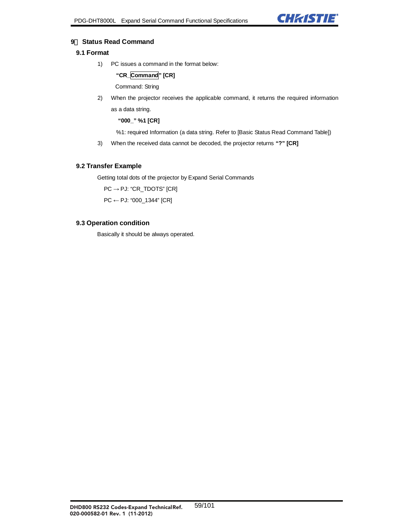

### **9**. **Status Read Command**

# **9.1 Format**

1) PC issues a command in the format below:

**"CR\_Command" [CR]** 

Command: String

2) When the projector receives the applicable command, it returns the required information

as a data string.

 **"000\_" %1 [CR]** 

%1: required Information (a data string. Refer to [Basic Status Read Command Table])

3) When the received data cannot be decoded, the projector returns **"?" [CR]**

#### **9.2 Transfer Example**

Getting total dots of the projector by Expand Serial Commands

 $PC \rightarrow PJ$ : "CR\_TDOTS" [CR]

PC ← PJ: "000\_1344" [CR]

#### **9.3 Operation condition**

Basically it should be always operated.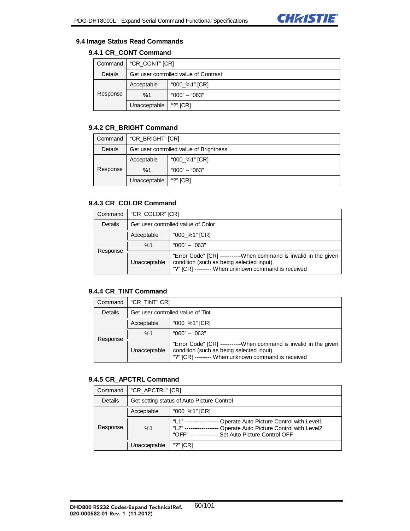

#### **9.4 Image Status Read Commands**

# **9.4.1 CR\_CONT Command**

| Command  | $\mid$ "CR_CONT" $[CR]$               |               |
|----------|---------------------------------------|---------------|
| Details  | Get user controlled value of Contrast |               |
|          | Acceptable                            | "000_%1" [CR] |
| Response | %1                                    | "000" — "063" |
|          | Unacceptable                          | "?" $[CR]$    |

## **9.4.2 CR\_BRIGHT Command**

| Command  | "CR_BRIGHT" [CR]                        |                 |
|----------|-----------------------------------------|-----------------|
| Details  | Get user controlled value of Brightness |                 |
|          | Acceptable                              | "000_%1" [CR]   |
| Response | %1                                      | $"000" - "063"$ |
|          | Unacceptable                            | "?" $[CR]$      |

# **9.4.3 CR\_COLOR Command**

| Command  | "CR COLOR" [CR]                    |                                                                                                                                                                     |
|----------|------------------------------------|---------------------------------------------------------------------------------------------------------------------------------------------------------------------|
| Details  | Get user controlled value of Color |                                                                                                                                                                     |
| Response | Acceptable                         | "000 %1" [CR]                                                                                                                                                       |
|          | %1                                 | "000" – "063"                                                                                                                                                       |
|          | Unacceptable                       | "Error Code" [CR] -----------When command is invalid in the given<br>condition (such as being selected input)<br>"?" [CR] -------- When unknown command is received |

## **9.4.4 CR\_TINT Command**

| Command  | "CR TINT" CRI                     |                                                                                                                                                                    |
|----------|-----------------------------------|--------------------------------------------------------------------------------------------------------------------------------------------------------------------|
| Details  | Get user controlled value of Tint |                                                                                                                                                                    |
| Response | Acceptable                        | "000 %1" [CR]                                                                                                                                                      |
|          | %1                                | "000" – "063"                                                                                                                                                      |
|          | Unacceptable                      | "Error Code" [CR] ----------When command is invalid in the given<br>condition (such as being selected input)<br>"?" [CR] -------- When unknown command is received |

#### **9.4.5 CR\_APCTRL Command**

| Command  | "CR_APCTRL" [CR]                           |                                                                                                                                                            |
|----------|--------------------------------------------|------------------------------------------------------------------------------------------------------------------------------------------------------------|
| Details  | Get setting status of Auto Picture Control |                                                                                                                                                            |
|          | Acceptable                                 | "000 %1" [CR]                                                                                                                                              |
| Response | %1                                         | "I 1"<br>Operate Auto Picture Control with Level1<br>Operate Auto Picture Control with Level2<br>"  2"<br><b>Set Auto Picture Control OFF</b><br>$"OFF" -$ |
|          | Unacceptable                               | "?" $ICRI$                                                                                                                                                 |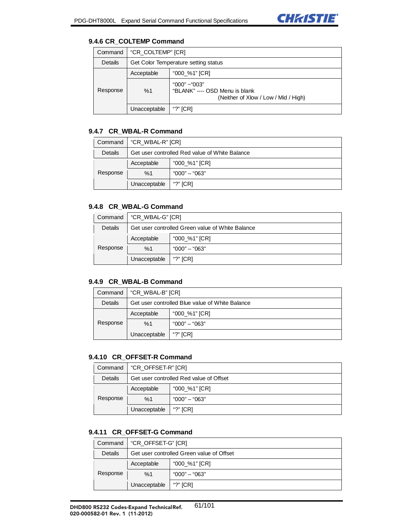

#### **9.4.6 CR\_COLTEMP Command**

| Command  | "CR COLTEMP" [CR]                    |                                                                                         |
|----------|--------------------------------------|-----------------------------------------------------------------------------------------|
| Details  | Get Color Temperature setting status |                                                                                         |
|          | Acceptable                           | "000_%1" [CR]                                                                           |
| Response | %1                                   | "000" ~ "003"<br>"BLANK" ---- OSD Menu is blank<br>(Neither of Xlow / Low / Mid / High) |
|          | Unacceptable                         | "?" $ICRI$                                                                              |

### **9.4.7 CR\_WBAL-R Command**

| Command  | "CR WBAL-R" [CR]                               |               |
|----------|------------------------------------------------|---------------|
| Details  | Get user controlled Red value of White Balance |               |
| Response | Acceptable                                     | "000_%1" [CR] |
|          | %1                                             | "000" – "063" |
|          | Unacceptable                                   | "?" $[CR]$    |

# **9.4.8 CR\_WBAL-G Command**

| Command  | "CR_WBAL-G" [CR]                                 |               |
|----------|--------------------------------------------------|---------------|
| Details  | Get user controlled Green value of White Balance |               |
|          | Acceptable                                       | "000_%1" [CR] |
| Response | %1                                               | "000" – "063" |
|          | Unacceptable                                     | "?" $[CR]$    |

### **9.4.9 CR\_WBAL-B Command**

| Command  | "CR WBAL-B" [CR]                                |                 |
|----------|-------------------------------------------------|-----------------|
| Details  | Get user controlled Blue value of White Balance |                 |
|          | Acceptable                                      | "000_%1" [CR]   |
| Response | %1                                              | $"000" - "063"$ |
|          | Unacceptable                                    | "?" $[CR]$      |

#### **9.4.10 CR\_OFFSET-R Command**

| Command  | "CR_OFFSET-R" [CR]                      |               |
|----------|-----------------------------------------|---------------|
| Details  | Get user controlled Red value of Offset |               |
| Response | Acceptable                              | "000 %1" [CR] |
|          | %1                                      | "000" – "063" |
|          | Unacceptable                            | "?" $[CR]$    |

# **9.4.11 CR\_OFFSET-G Command**

|          | Command   "CR_OFFSET-G" [CR]              |               |
|----------|-------------------------------------------|---------------|
| Details  | Get user controlled Green value of Offset |               |
|          | Acceptable                                | "000_%1" [CR] |
| Response | %1                                        | "000" – "063" |
|          | Unacceptable                              | "?" $ICRI$    |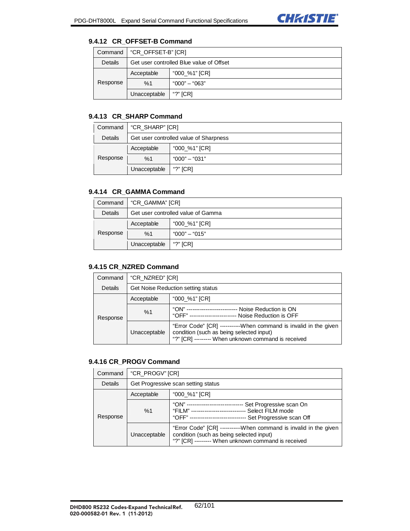

### **9.4.12 CR\_OFFSET-B Command**

| Command  | "CR_OFFSET-B" [CR]                       |                 |
|----------|------------------------------------------|-----------------|
| Details  | Get user controlled Blue value of Offset |                 |
| Response | Acceptable                               | "000_%1" [CR]   |
|          | %1                                       | $"000" - "063"$ |
|          | Unacceptable                             | "?" [CR]        |

# **9.4.13 CR\_SHARP Command**

| Command  | "CR_SHARP" [CR]                        |               |
|----------|----------------------------------------|---------------|
| Details  | Get user controlled value of Sharpness |               |
|          | Acceptable                             | "000 %1" [CR] |
| Response | %1                                     | "000" – "031" |
|          | Unacceptable                           | "?" [CR]      |

## **9.4.14 CR\_GAMMA Command**

| Command  | "CR_GAMMA" [CR]                    |                 |
|----------|------------------------------------|-----------------|
| Details  | Get user controlled value of Gamma |                 |
|          | Acceptable                         | "000_%1" [CR]   |
| Response | %1                                 | $"000" - "015"$ |
|          | Unacceptable                       | "?" $[CR]$      |

## **9.4.15 CR\_NZRED Command**

| Command  | "CR_NZRED" [CR]                           |                                                                                                                                                                     |
|----------|-------------------------------------------|---------------------------------------------------------------------------------------------------------------------------------------------------------------------|
| Details  | <b>Get Noise Reduction setting status</b> |                                                                                                                                                                     |
| Response | Acceptable                                | "000_%1" [CR]                                                                                                                                                       |
|          | %1                                        | "ON" --------------------------- Noise Reduction is ON<br>"OFF" ------------------------- Noise Reduction is OFF                                                    |
|          | Unacceptable                              | "Error Code" [CR] -----------When command is invalid in the given<br>condition (such as being selected input)<br>"?" [CR] -------- When unknown command is received |

#### **9.4.16 CR\_PROGV Command**

| Command  | "CR_PROGV" [CR]                     |                                                                                                                                                                                       |
|----------|-------------------------------------|---------------------------------------------------------------------------------------------------------------------------------------------------------------------------------------|
| Details  | Get Progressive scan setting status |                                                                                                                                                                                       |
| Response | Acceptable                          | "000_%1" [CR]                                                                                                                                                                         |
|          | %1                                  | "ON" ----------------------------- Set Progressive scan On<br>"FILM" ----------------------------    Select FILM mode<br>"OFF" ----------------------------- Set Progressive scan Off |
|          | Unacceptable                        | "Error Code" [CR] ----------When command is invalid in the given<br>condition (such as being selected input)<br>"?" [CR] --------- When unknown command is received                   |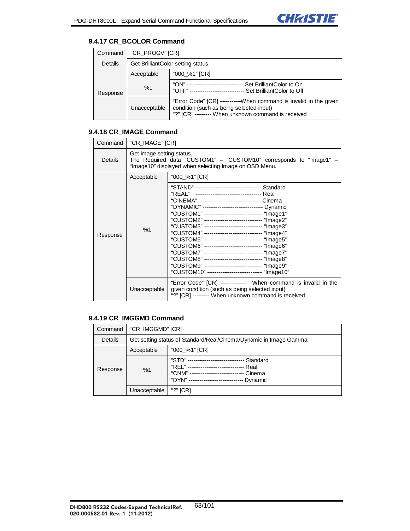

### **9.4.17 CR\_BCOLOR Command**

| Command  | "CR_PROGV" [CR]                   |                                                                                                                                                                    |
|----------|-----------------------------------|--------------------------------------------------------------------------------------------------------------------------------------------------------------------|
| Details  | Get BrilliantColor setting status |                                                                                                                                                                    |
|          | Acceptable                        | "000 %1" [CR]                                                                                                                                                      |
| Response | %1                                | "ON" ---------------------------<br>Set BrilliantColor to On<br>"OFF" ----------------------------- Set BrilliantColor to Off                                      |
|          | Unacceptable                      | "Error Code" [CR] ----------When command is invalid in the given<br>condition (such as being selected input)<br>"?" [CR] -------- When unknown command is received |

# **9.4.18 CR\_IMAGE Command**

| Command  | "CR_IMAGE" [CR]           |                                                                                                                                                                                                                                                                                                                                                                                                                                                                                                                                                                                                                                                                                                                                                                  |
|----------|---------------------------|------------------------------------------------------------------------------------------------------------------------------------------------------------------------------------------------------------------------------------------------------------------------------------------------------------------------------------------------------------------------------------------------------------------------------------------------------------------------------------------------------------------------------------------------------------------------------------------------------------------------------------------------------------------------------------------------------------------------------------------------------------------|
| Details  | Get image setting status. | The Required data "CUSTOM1" - "CUSTOM10" corresponds to "Image1" -<br>"Image10" displayed when selecting Image on OSD Menu.                                                                                                                                                                                                                                                                                                                                                                                                                                                                                                                                                                                                                                      |
|          | Acceptable                | "000_%1" [CR]                                                                                                                                                                                                                                                                                                                                                                                                                                                                                                                                                                                                                                                                                                                                                    |
| Response | %1                        | "STAND" ----------------------------------- Standard<br>"REAL" ---------------------------------- Real<br>"CINEMA" -------------------------------- Cinema<br>"DYNAMIC" ------------------------------ Dynamic<br>"CUSTOM1" ------------------------------ "Image1"<br>"CUSTOM2" ------------------------------ "Image2"<br>"CUSTOM3" ------------------------------ "Image3"<br>"CUSTOM4" ------------------------------ "Image4"<br>"CUSTOM5" ------------------------------ "Image5"<br>"CUSTOM6" ------------------------------ "Image6"<br>"CUSTOM7" ------------------------------ "Image7"<br>"CUSTOM8" ------------------------------ "Image8"<br>"CUSTOM9" ------------------------------ "Image9"<br>"CUSTOM10" ---------------------------- "Image10" |
|          | Unacceptable              | "Error Code" [CR] ------------- When command is invalid in the<br>given condition (such as being selected input)<br>"?" [CR] -------- When unknown command is received                                                                                                                                                                                                                                                                                                                                                                                                                                                                                                                                                                                           |

## **9.4.19 CR\_IMGGMD Command**

| Command  | "CR_IMGGMD" [CR]                                                  |                                                                                    |
|----------|-------------------------------------------------------------------|------------------------------------------------------------------------------------|
| Details  | Get setting status of Standard/Real/Cinema/Dynamic in Image Gamma |                                                                                    |
|          | Acceptable                                                        | "000_%1" [CR]                                                                      |
| Response | %1                                                                | "STD"<br>Standard<br>"RFI" ----<br>Real<br>"CNM" ---<br>Cinema<br>"DYN"<br>Dynamic |
|          | Unacceptable                                                      | "?" $[CR]$                                                                         |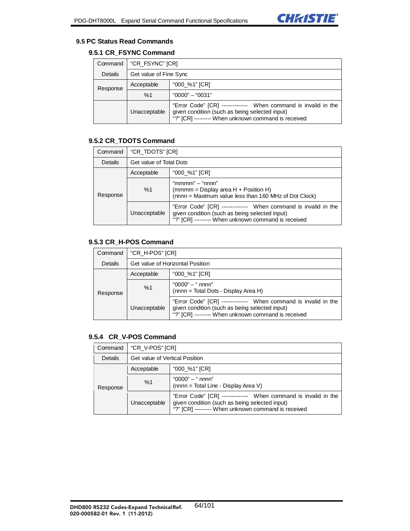

### **9.5 PC Status Read Commands**

# **9.5.1 CR\_FSYNC Command**

| Command  | "CR_FSYNC" [CR]        |                                                                                                                                                                        |
|----------|------------------------|------------------------------------------------------------------------------------------------------------------------------------------------------------------------|
| Details  | Get value of Fine Sync |                                                                                                                                                                        |
| Response | Acceptable             | "000 %1" [CR]                                                                                                                                                          |
|          | %1                     | $"0000" - "0031"$                                                                                                                                                      |
|          | Unacceptable           | "Error Code" [CR] ------------- When command is invalid in the<br>given condition (such as being selected input)<br>"?" [CR] -------- When unknown command is received |

# **9.5.2 CR\_TDOTS Command**

| Command  | "CR_TDOTS" [CR]         |                                                                                                                                                                        |
|----------|-------------------------|------------------------------------------------------------------------------------------------------------------------------------------------------------------------|
| Details  | Get value of Total Dots |                                                                                                                                                                        |
| Response | Acceptable              | "000 %1" [CR]                                                                                                                                                          |
|          | %1                      | "mmmm" $-$ "nnnn"<br>(mmmm = Display area $H +$ Position H)<br>(nnnn = Maximum value less than 160 MHz of Dot Clock)                                                   |
|          | Unacceptable            | "Error Code" [CR] ------------- When command is invalid in the<br>given condition (such as being selected input)<br>"?" [CR] -------- When unknown command is received |

### **9.5.3 CR\_H-POS Command**

| Command  | "CR_H-POS" [CR]                  |                                                                                                                                                                         |
|----------|----------------------------------|-------------------------------------------------------------------------------------------------------------------------------------------------------------------------|
| Details  | Get value of Horizontal Position |                                                                                                                                                                         |
| Response | Acceptable                       | "000_%1" [CR]                                                                                                                                                           |
|          | %1                               | $"0000" - "nnnn"$<br>(nnnn = Total Dots - Display Area H)                                                                                                               |
|          | Unacceptable                     | "Error Code" [CR] -------------- When command is invalid in the<br>given condition (such as being selected input)<br>"?" [CR] -------- When unknown command is received |

# **9.5.4 CR\_V-POS Command**

| Command  | "CR V-POS" [CR]                |                                                                                                                                                                         |
|----------|--------------------------------|-------------------------------------------------------------------------------------------------------------------------------------------------------------------------|
| Details  | Get value of Vertical Position |                                                                                                                                                                         |
| Response | Acceptable                     | "000_%1" [CR]                                                                                                                                                           |
|          | %1                             | $"0000" - "nnnn"$<br>(nnnn = Total Line - Display Area V)                                                                                                               |
|          | Unacceptable                   | "Error Code" [CR] -------------- When command is invalid in the<br>given condition (such as being selected input)<br>"?" [CR] -------- When unknown command is received |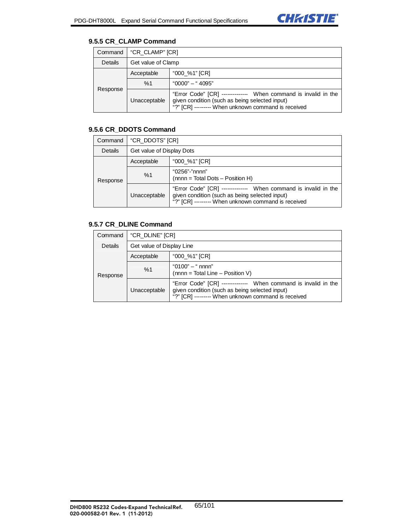

### **9.5.5 CR\_CLAMP Command**

| Command  | "CR CLAMP" [CR]    |                                                                                                                                                                         |
|----------|--------------------|-------------------------------------------------------------------------------------------------------------------------------------------------------------------------|
| Details  | Get value of Clamp |                                                                                                                                                                         |
| Response | Acceptable         | "000 %1" [CR]                                                                                                                                                           |
|          | %1                 | $"0000" - "4095"$                                                                                                                                                       |
|          | Unacceptable       | "Error Code" [CR] -------------- When command is invalid in the<br>given condition (such as being selected input)<br>"?" [CR] -------- When unknown command is received |

# **9.5.6 CR\_DDOTS Command**

| Command  | "CR_DDOTS" [CR]           |                                                                                                                                                                         |
|----------|---------------------------|-------------------------------------------------------------------------------------------------------------------------------------------------------------------------|
| Details  | Get value of Display Dots |                                                                                                                                                                         |
| Response | Acceptable                | "000_%1" [CR]                                                                                                                                                           |
|          | %1                        | "0256"-"nnnn"<br>(nnnn = Total Dots - Position H)                                                                                                                       |
|          | Unacceptable              | "Error Code" [CR] -------------- When command is invalid in the<br>given condition (such as being selected input)<br>"?" [CR] -------- When unknown command is received |

# **9.5.7 CR\_DLINE Command**

| Command  | "CR_DLINE" [CR]           |                                                                                                                                                                         |
|----------|---------------------------|-------------------------------------------------------------------------------------------------------------------------------------------------------------------------|
| Details  | Get value of Display Line |                                                                                                                                                                         |
| Response | Acceptable                | "000_%1" [CR]                                                                                                                                                           |
|          | %1                        | "0100" $-$ " nnnn"<br>(nnnn = Total Line - Position V)                                                                                                                  |
|          | Unacceptable              | "Error Code" [CR] -------------- When command is invalid in the<br>given condition (such as being selected input)<br>"?" [CR] -------- When unknown command is received |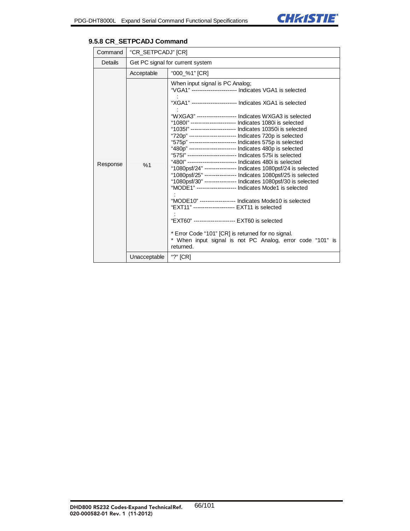| Command  | "CR_SETPCADJ" [CR]               |                                                                                                                                                                                                                                                                                                                                                                                                                                                                                                                                                                                                                                                                                                                                                                                                                                                                                                                                                                                                                                                                                                                                                                                                                                                    |
|----------|----------------------------------|----------------------------------------------------------------------------------------------------------------------------------------------------------------------------------------------------------------------------------------------------------------------------------------------------------------------------------------------------------------------------------------------------------------------------------------------------------------------------------------------------------------------------------------------------------------------------------------------------------------------------------------------------------------------------------------------------------------------------------------------------------------------------------------------------------------------------------------------------------------------------------------------------------------------------------------------------------------------------------------------------------------------------------------------------------------------------------------------------------------------------------------------------------------------------------------------------------------------------------------------------|
| Details  | Get PC signal for current system |                                                                                                                                                                                                                                                                                                                                                                                                                                                                                                                                                                                                                                                                                                                                                                                                                                                                                                                                                                                                                                                                                                                                                                                                                                                    |
|          | Acceptable                       | "000_%1" [CR]                                                                                                                                                                                                                                                                                                                                                                                                                                                                                                                                                                                                                                                                                                                                                                                                                                                                                                                                                                                                                                                                                                                                                                                                                                      |
| Response | %1                               | When input signal is PC Analog;<br>"VGA1" ------------------------ Indicates VGA1 is selected<br>"XGA1" ----------------------- Indicates XGA1 is selected<br>"WXGA3" -------------------- Indicates WXGA3 is selected<br>"1080l" ----------------------- Indicates 1080i is selected<br>"1035l" ----------------------- Indicates 10350i is selected<br>"720p" ------------------------ Indicates 720p is selected<br>"575p" ------------------------ Indicates 575p is selected<br>"480p" ------------------------ Indicates 480p is selected<br>"575 " -------------------------- Indicates 575i is selected<br>"480l" ------------------------- Indicates 480i is selected<br>"1080psf/24" ---------------- Indicates 1080psf/24 is selected<br>"1080psf/25" ---------------- Indicates 1080psf/25 is selected<br>"1080psf/30" ---------------- Indicates 1080psf/30 is selected<br>"MODE1" -------------------- Indicates Mode1 is selected<br>"MODE10" ------------------ Indicates Mode10 is selected<br>"EXT11" --------------------- EXT11 is selected<br>"EXT60" --------------------- EXT60 is selected<br>* Error Code "101" [CR] is returned for no signal.<br>* When input signal is not PC Analog, error code "101" is<br>returned. |
|          | Unacceptable                     | "?" $ICRI$                                                                                                                                                                                                                                                                                                                                                                                                                                                                                                                                                                                                                                                                                                                                                                                                                                                                                                                                                                                                                                                                                                                                                                                                                                         |

### **9.5.8 CR\_SETPCADJ Command**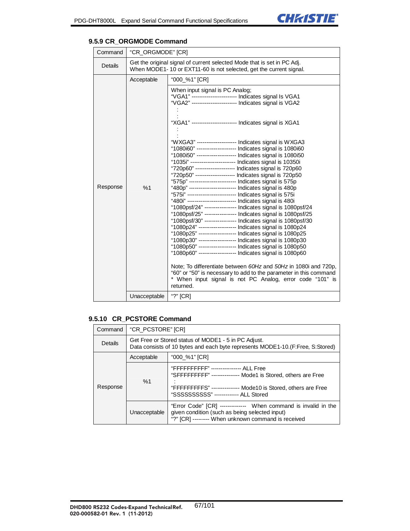

| Command        | "CR_ORGMODE" [CR]                                                                                                                             |                                                                                                                                                                                                                                                                                                                                                                                                                                                                                                                                                                                                                                                                                                                                                                                                                                                                                                                                                                                                                                                                                                                                                                                                                                                                                                                                                                                                                                                                                                                                                                                                  |
|----------------|-----------------------------------------------------------------------------------------------------------------------------------------------|--------------------------------------------------------------------------------------------------------------------------------------------------------------------------------------------------------------------------------------------------------------------------------------------------------------------------------------------------------------------------------------------------------------------------------------------------------------------------------------------------------------------------------------------------------------------------------------------------------------------------------------------------------------------------------------------------------------------------------------------------------------------------------------------------------------------------------------------------------------------------------------------------------------------------------------------------------------------------------------------------------------------------------------------------------------------------------------------------------------------------------------------------------------------------------------------------------------------------------------------------------------------------------------------------------------------------------------------------------------------------------------------------------------------------------------------------------------------------------------------------------------------------------------------------------------------------------------------------|
| <b>Details</b> | Get the original signal of current selected Mode that is set in PC Adj.<br>When MODE1-10 or EXT11-60 is not selected, get the current signal. |                                                                                                                                                                                                                                                                                                                                                                                                                                                                                                                                                                                                                                                                                                                                                                                                                                                                                                                                                                                                                                                                                                                                                                                                                                                                                                                                                                                                                                                                                                                                                                                                  |
|                | Acceptable                                                                                                                                    | "000_%1" [CR]                                                                                                                                                                                                                                                                                                                                                                                                                                                                                                                                                                                                                                                                                                                                                                                                                                                                                                                                                                                                                                                                                                                                                                                                                                                                                                                                                                                                                                                                                                                                                                                    |
| Response       | %1<br>Unacceptable                                                                                                                            | When input signal is PC Analog;<br>"VGA1" ------------------------ Indicates signal Is VGA1<br>"VGA2" ------------------------ Indicates signal is VGA2<br>"XGA1" ----------------------- Indicates signal is XGA1<br>"WXGA3" --------------------- Indicates signal is WXGA3<br>"1080i60" -------------------- Indicates signal is 1080i60<br>"1080i50" -------------------- Indicates signal is 1080i50<br>"1035i" ----------------------- Indicates signal is 10350i<br>"720p60" -------------------- Indicates signal is 720p60<br>"720p50" -------------------- Indicates signal is 720p50<br>"575p" ------------------------- Indicates signal is 575p<br>"480p" ------------------------- Indicates signal is 480p<br>"575i" -------------------------- Indicates signal is 575i<br>"480i" ------------------------- Indicates signal is 480i<br>"1080psf/24" ---------------- Indicates signal is 1080psf/24<br>"1080psf/25" ---------------- Indicates signal is 1080psf/25<br>"1080psf/30" ---------------- Indicates signal is 1080psf/30<br>"1080p24" ------------------ Indicates signal is 1080p24<br>"1080p25" ------------------ Indicates signal is 1080p25<br>"1080p30" ------------------- Indicates signal is 1080p30<br>"1080p50" ------------------- Indicates signal is 1080p50<br>"1080p60" ------------------- Indicates signal is 1080p60<br>Note; To differentiate between 60Hz and 50Hz in 1080 and 720p,<br>"60" or "50" is necessary to add to the parameter in this command<br>* When input signal is not PC Analog, error code "101" is<br>returned.<br>"?" [CR] |
|                |                                                                                                                                               |                                                                                                                                                                                                                                                                                                                                                                                                                                                                                                                                                                                                                                                                                                                                                                                                                                                                                                                                                                                                                                                                                                                                                                                                                                                                                                                                                                                                                                                                                                                                                                                                  |

### **9.5.9 CR\_ORGMODE Command**

# **9.5.10 CR\_PCSTORE Command**

| Command  | "CR_PCSTORE" [CR]                                                                                                                       |                                                                                                                                                                                                                    |
|----------|-----------------------------------------------------------------------------------------------------------------------------------------|--------------------------------------------------------------------------------------------------------------------------------------------------------------------------------------------------------------------|
| Details  | Get Free or Stored status of MODE1 - 5 in PC Adjust.<br>Data consists of 10 bytes and each byte represents MODE1-10. (F:Free, S:Stored) |                                                                                                                                                                                                                    |
|          | Acceptable                                                                                                                              | "000_%1" [CR]                                                                                                                                                                                                      |
| Response | %1                                                                                                                                      | "FFFFFFFFFF" ---------------- ALL Free<br>"SFFFFFFFFF" --------------- Mode1 is Stored, others are Free<br>"FFFFFFFFFS" -------------- Mode10 is Stored, others are Free<br>"SSSSSSSSSSS" ------------- ALL Stored |
|          | Unacceptable                                                                                                                            | "Error Code" [CR] ------------- When command is invalid in the<br>given condition (such as being selected input)<br>"?" [CR] -------- When unknown command is received                                             |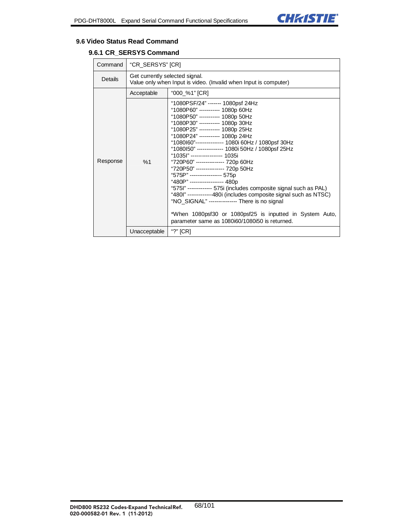

#### **9.6 Video Status Read Command**

# **9.6.1 CR\_SERSYS Command**

| Command  | "CR_SERSYS" [CR]                                                                                   |                                                                                                                                                                                                                                                                                                                                                                                                                                                                                                                                                                                                                                                                                                                                                                                                                            |
|----------|----------------------------------------------------------------------------------------------------|----------------------------------------------------------------------------------------------------------------------------------------------------------------------------------------------------------------------------------------------------------------------------------------------------------------------------------------------------------------------------------------------------------------------------------------------------------------------------------------------------------------------------------------------------------------------------------------------------------------------------------------------------------------------------------------------------------------------------------------------------------------------------------------------------------------------------|
| Details  | Get currently selected signal.<br>Value only when Input is video. (Invalid when Input is computer) |                                                                                                                                                                                                                                                                                                                                                                                                                                                                                                                                                                                                                                                                                                                                                                                                                            |
|          | Acceptable                                                                                         | "000_%1" [CR]                                                                                                                                                                                                                                                                                                                                                                                                                                                                                                                                                                                                                                                                                                                                                                                                              |
| Response | %1                                                                                                 | "1080PSF/24" ------- 1080psf 24Hz<br>"1080P60" ----------- 1080p 60Hz<br>"1080P50" ----------- 1080p 50Hz<br>"1080P30" ---------- 1080p 30Hz<br>"1080P25" ----------- 1080p 25Hz<br>"1080P24" ----------- 1080p 24Hz<br>"1080160"-------------- 1080i 60Hz / 1080psf 30Hz<br>"1080150" -------------- 1080i 50Hz / 1080psf 25Hz<br>"1035l" ----------------- 1035i<br>"720P60" --------------- 720p 60Hz<br>"720P50" --------------- 720p 50Hz<br>"575P" ----------------- 575p<br>"480P" ------------------ 480p<br>"575I" ------------- 575i (includes composite signal such as PAL)<br>"480l" -------------480i (includes composite signal such as NTSC)<br>"NO_SIGNAL" -------------- There is no signal<br>*When 1080psf30 or 1080psf25 is inputted in System Auto,<br>parameter same as 1080i60/1080i50 is returned. |
|          | Unacceptable                                                                                       | "?" $[CR]$                                                                                                                                                                                                                                                                                                                                                                                                                                                                                                                                                                                                                                                                                                                                                                                                                 |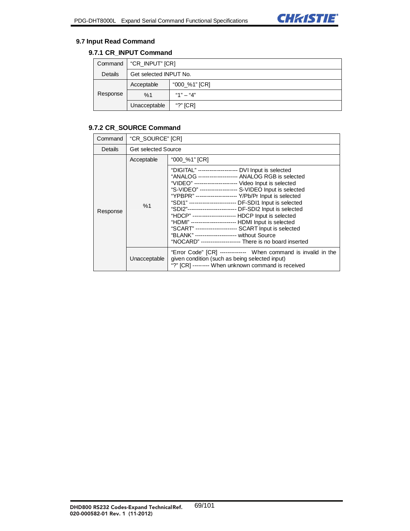

### **9.7 Input Read Command**

# **9.7.1 CR\_INPUT Command**

| Command  | "CR_INPUT" [CR]        |               |
|----------|------------------------|---------------|
| Details  | Get selected INPUT No. |               |
| Response | Acceptable             | "000_%1" [CR] |
|          | %1                     | "1" $-$ "4"   |
|          | Unacceptable           | "?" $[CR]$    |

# **9.7.2 CR\_SOURCE Command**

| Command  | "CR SOURCE" [CR]           |                                                                                                                                                                                                                                                                                                                                                                                                                                                                                                                                                                                                                                                                                                                  |
|----------|----------------------------|------------------------------------------------------------------------------------------------------------------------------------------------------------------------------------------------------------------------------------------------------------------------------------------------------------------------------------------------------------------------------------------------------------------------------------------------------------------------------------------------------------------------------------------------------------------------------------------------------------------------------------------------------------------------------------------------------------------|
| Details  | <b>Get selected Source</b> |                                                                                                                                                                                                                                                                                                                                                                                                                                                                                                                                                                                                                                                                                                                  |
|          | Acceptable                 | "000_%1" [CR]                                                                                                                                                                                                                                                                                                                                                                                                                                                                                                                                                                                                                                                                                                    |
| Response | %1                         | "DIGITAL" -------------------- DVI Input is selected<br>"ANALOG -------------------- ANALOG RGB is selected<br>"VIDEO" ---------------------- Video Input is selected<br>"S-VIDEO" ------------------- S-VIDEO Input is selected<br>"YPBPR" ---------------------- Y/Pb/Pr Input is selected<br>"SDI1" ------------------------- DF-SDI1 Input is selected<br>"SDI2"-------------------------- DF-SDI2 Input is selected<br>"HDCP" ---------------------- HDCP Input is selected<br>"HDMI" ----------------------- HDMI Input is selected<br>"SCART" ---------------------- SCART Input is selected<br>"BLANK" --------------------- without Source<br>"NOCARD" --------------------- There is no board inserted |
|          | Unacceptable               | "Error Code" [CR] ------------- When command is invalid in the<br>given condition (such as being selected input)<br>"?" [CR] -------- When unknown command is received                                                                                                                                                                                                                                                                                                                                                                                                                                                                                                                                           |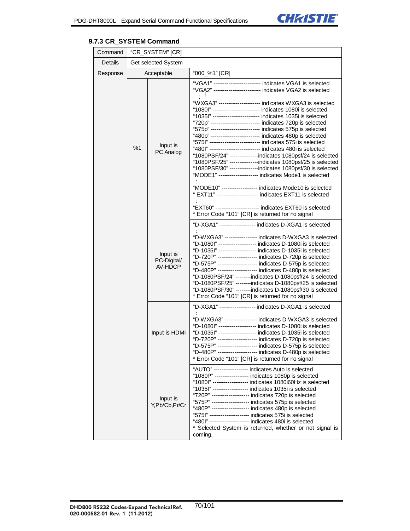

## **9.7.3 CR\_SYSTEM Command**

| Command  | "CR_SYSTEM" [CR] |                                    |                                                                                                                                                                                                                                                                                                                                                                                                                                                                                                                                                                                                                                                                                                                                                                                                                                                                                                                |  |  |
|----------|------------------|------------------------------------|----------------------------------------------------------------------------------------------------------------------------------------------------------------------------------------------------------------------------------------------------------------------------------------------------------------------------------------------------------------------------------------------------------------------------------------------------------------------------------------------------------------------------------------------------------------------------------------------------------------------------------------------------------------------------------------------------------------------------------------------------------------------------------------------------------------------------------------------------------------------------------------------------------------|--|--|
| Details  |                  | Get selected System                |                                                                                                                                                                                                                                                                                                                                                                                                                                                                                                                                                                                                                                                                                                                                                                                                                                                                                                                |  |  |
| Response | Acceptable       |                                    | "000_%1" [CR]                                                                                                                                                                                                                                                                                                                                                                                                                                                                                                                                                                                                                                                                                                                                                                                                                                                                                                  |  |  |
|          |                  |                                    | "VGA1" ----------------------- indicates VGA1 is selected<br>"VGA2" ------------------------ indicates VGA2 is selected                                                                                                                                                                                                                                                                                                                                                                                                                                                                                                                                                                                                                                                                                                                                                                                        |  |  |
|          | %1               | Input is<br>PC Analog              | "WXGA3" --------------------- indicates WXGA3 is selected<br>"1080l" ------------------------- indicates 1080i is selected<br>"1035l" ------------------------- indicates 1035i is selected<br>"720p" ------------------------- indicates 720p is selected<br>"575p" ------------------------- indicates 575p is selected<br>"480p" ------------------------- indicates 480p is selected<br>"575I" -------------------------- indicates 575i is selected<br>"480l" -------------------------- indicates 480i is selected<br>"1080PSF/24" ---------------indicates 1080psf/24 is selected<br>"1080PSF/25" ---------------indicates 1080psf/25 is selected<br>"1080PSF/30" ---------------indicates 1080psf/30 is selected<br>"MODE1" -------------------- indicates Mode1 is selected<br>"MODE10" ------------------ indicates Mode10 is selected<br>" EXT11" --------------------- indicates EXT11 is selected |  |  |
|          |                  |                                    | "EXT60" ---------------------- indicates EXT60 is selected<br>* Error Code "101" [CR] is returned for no signal                                                                                                                                                                                                                                                                                                                                                                                                                                                                                                                                                                                                                                                                                                                                                                                                |  |  |
|          |                  | Input is<br>PC-Digital/<br>AV-HDCP | "D-XGA1" ------------------ indicates D-XGA1 is selected<br>"D-WXGA3" ---------------- indicates D-WXGA3 is selected<br>"D-1080l" -------------------- indicates D-1080i is selected<br>"D-1035l" ------------------- indicates D-1035i is selected<br>"D-720P" -------------------- indicates D-720p is selected<br>"D-575P" --------------------- indicates D-575p is selected<br>"D-480P" -------------------- indicates D-480p is selected<br>"D-1080PSF/24" -------indicates D-1080psf/24 is selected<br>"D-1080PSF/25" -------indicates D-1080psf/25 is selected<br>"D-1080PSF/30" -------indicates D-1080psf/30 is selected<br>* Error Code "101" [CR] is returned for no signal                                                                                                                                                                                                                        |  |  |
|          |                  | Input is HDMI                      | "D-XGA1" ------------------ indicates D-XGA1 is selected<br>"D-WXGA3" ---------------- indicates D-WXGA3 is selected<br>"D-1080l" ------------------- indicates D-1080i is selected<br>"D-1035l" ------------------- indicates D-1035i is selected<br>"D-720P" -------------------- indicates D-720p is selected<br>"D-575P" -------------------- indicates D-575p is selected<br>"D-480P" -------------------- indicates D-480p is selected<br>* Error Code "101" [CR] is returned for no signal                                                                                                                                                                                                                                                                                                                                                                                                              |  |  |
|          |                  | Input is<br>Y,Pb/Cb,Pr/Cr          | "AUTO" ----------------- indicates Auto is selected<br>"1080P" ----------------- indicates 1080p is selected<br>"1080l" ------------------ indicates 1080i60Hz is selected<br>"1035l" ------------------- indicates 1035i is selected<br>"720P" ------------------- indicates 720p is selected<br>"575P" ------------------- indicates 575p is selected<br>"480P" ------------------- indicates 480p is selected<br>"5751" --------------------- indicates 575i is selected<br>"480l" -------------------- indicates 480i is selected<br>* Selected System is returned, whether or not signal is<br>coming.                                                                                                                                                                                                                                                                                                    |  |  |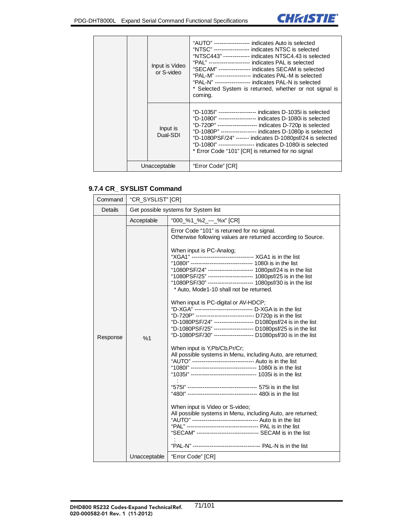$\mathbf{r}$ 



|              | Input is Video<br>or S-video | "AUTO" ------------------ indicates Auto is selected<br>"NTSC" ------------------- indicates NTSC is selected<br>"NTSC443" ------------- indicates NTSC4.43 is selected<br>"PAL" -------------------- indicates PAL is selected<br>"SECAM" ---------------- indicates SECAM is selected<br>"PAL-M" ------------------ indicates PAL-M is selected<br>"PAL-N" ------------------ indicates PAL-N is selected<br>* Selected System is returned, whether or not signal is<br>coming. |
|--------------|------------------------------|-----------------------------------------------------------------------------------------------------------------------------------------------------------------------------------------------------------------------------------------------------------------------------------------------------------------------------------------------------------------------------------------------------------------------------------------------------------------------------------|
|              | Input is<br>Dual-SDI         | "D-1035l" ------------------- indicates D-1035i is selected<br>"D-1080l" ------------------- indicates D-1080i is selected<br>"D-720P" -------------------- indicates D-720p is selected<br>"D-1080P" ------------------ indicates D-1080p is selected<br>"D-1080PSF/24" ------- indicates D-1080psf/24 is selected<br>"D-1080l" ------------------- indicates D-1080i is selected<br>* Error Code "101" [CR] is returned for no signal                                           |
| Unacceptable |                              | "Error Code" [CR]                                                                                                                                                                                                                                                                                                                                                                                                                                                                 |

### **9.7.4 CR\_ SYSLIST Command**

| Command  | "CR_SYSLIST" [CR]                    |                                                                                                                                                                                                                                                                                                                                                                                                                                                                                                                                                                                                                                                                                                                                                                                                                                                                                                                                                                                                                                                                                                                                                                                                                                                                                                                                                                                                                                                                        |  |  |  |
|----------|--------------------------------------|------------------------------------------------------------------------------------------------------------------------------------------------------------------------------------------------------------------------------------------------------------------------------------------------------------------------------------------------------------------------------------------------------------------------------------------------------------------------------------------------------------------------------------------------------------------------------------------------------------------------------------------------------------------------------------------------------------------------------------------------------------------------------------------------------------------------------------------------------------------------------------------------------------------------------------------------------------------------------------------------------------------------------------------------------------------------------------------------------------------------------------------------------------------------------------------------------------------------------------------------------------------------------------------------------------------------------------------------------------------------------------------------------------------------------------------------------------------------|--|--|--|
| Details  | Get possible systems for System list |                                                                                                                                                                                                                                                                                                                                                                                                                                                                                                                                                                                                                                                                                                                                                                                                                                                                                                                                                                                                                                                                                                                                                                                                                                                                                                                                                                                                                                                                        |  |  |  |
|          | Acceptable                           | "000_%1_%2_---_%x" [CR]                                                                                                                                                                                                                                                                                                                                                                                                                                                                                                                                                                                                                                                                                                                                                                                                                                                                                                                                                                                                                                                                                                                                                                                                                                                                                                                                                                                                                                                |  |  |  |
| Response | %1<br>Unacceptable                   | Error Code "101" is returned for no signal.<br>Otherwise following values are returned according to Source.<br>When input is PC-Analog;<br>"XGA1" --------------------------------- XGA1 is in the list<br>"1080l" -------------------------------- 1080i is in the list<br>"1080PSF/24" ----------------------- 1080psf/24 is in the list<br>"1080PSF/25" ----------------------- 1080psf/25 is in the list<br>"1080PSF/30" ----------------------- 1080psf/30 is in the list<br>* Auto, Mode1-10 shall not be returned.<br>When input is PC-digital or AV-HDCP;<br>"D-XGA" ------------------------------- D-XGA is in the list<br>"D-720P" ----------------------------- D720p is in the list<br>"D-1080PSF/24" -------------------- D1080psf/24 is in the list<br>"D-1080PSF/25" -------------------- D1080psf/25 is in the list<br>"D-1080PSF/30" -------------------- D1080psf/30 is in the list<br>When input is Y, Pb/Cb, Pr/Cr;<br>All possible systems in Menu, including Auto, are returned;<br>"AUTO" --------------------------------- Auto is in the list<br>"1080l" ---------------------------------- 1080i is in the list<br>"1035l" ---------------------------------- 1035i is in the list<br>When input is Video or S-video;<br>All possible systems in Menu, including Auto, are returned;<br>"AUTO" ---------------------------------- Auto is in the list<br>"SECAM" -------------------------------- SECAM is in the list<br>"Error Code" [CR] |  |  |  |
|          |                                      |                                                                                                                                                                                                                                                                                                                                                                                                                                                                                                                                                                                                                                                                                                                                                                                                                                                                                                                                                                                                                                                                                                                                                                                                                                                                                                                                                                                                                                                                        |  |  |  |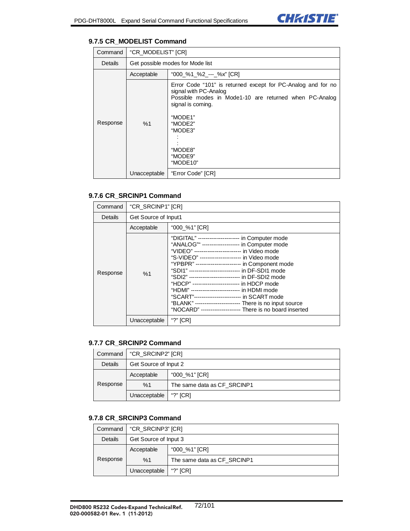

## **9.7.5 CR\_MODELIST Command**

| Command  | "CR_MODELIST" [CR] |                                                                                                                                                                                                                                         |  |
|----------|--------------------|-----------------------------------------------------------------------------------------------------------------------------------------------------------------------------------------------------------------------------------------|--|
| Details  |                    | Get possible modes for Mode list                                                                                                                                                                                                        |  |
|          | Acceptable         | "000_%1_%2_---_%x" [CR]                                                                                                                                                                                                                 |  |
| Response | %1                 | Error Code "101" is returned except for PC-Analog and for no<br>signal with PC-Analog<br>Possible modes in Mode1-10 are returned when PC-Analog<br>signal is coming.<br>"MODE1"<br>"MODE2"<br>"MODE3"<br>"MODE8"<br>"MODE9"<br>"MODE10" |  |
|          | Unacceptable       | "Error Code" [CR]                                                                                                                                                                                                                       |  |

# **9.7.6 CR\_SRCINP1 Command**

| Command        | "CR SRCINP1" [CR]    |                                                                                                                                                                                                                                                                                                                                                                                                                                                                                                                                                                                                                                                  |
|----------------|----------------------|--------------------------------------------------------------------------------------------------------------------------------------------------------------------------------------------------------------------------------------------------------------------------------------------------------------------------------------------------------------------------------------------------------------------------------------------------------------------------------------------------------------------------------------------------------------------------------------------------------------------------------------------------|
| <b>Details</b> | Get Source of Input1 |                                                                                                                                                                                                                                                                                                                                                                                                                                                                                                                                                                                                                                                  |
|                | Acceptable           | "000_%1" [CR]                                                                                                                                                                                                                                                                                                                                                                                                                                                                                                                                                                                                                                    |
| Response       | %1                   | "DIGITAL" --------------------- in Computer mode<br>"ANALOG" ------------------- in Computer mode<br>"VIDEO" ------------------------ in Video mode<br>"S-VIDEO" --------------------- in Video mode<br>"YPBPR" ---------------------- in Component mode<br>"SDI1" -------------------------- in DF-SDI1 mode<br>"SDI2" -------------------------- in DF-SDI2 mode<br>"HDCP" ------------------------- in HDCP mode<br>"HDMI" ------------------------- in HDMI mode<br>"SCART"------------------------- in SCART mode<br>"BLANK" ------------------------ There is no input source<br>"NOCARD" --------------------- There is no board inserted |
|                | Unacceptable         | "?" $[CR]$                                                                                                                                                                                                                                                                                                                                                                                                                                                                                                                                                                                                                                       |

## **9.7.7 CR\_SRCINP2 Command**

| Command  | "CR_SRCINP2" [CR]     |                             |
|----------|-----------------------|-----------------------------|
| Details  | Get Source of Input 2 |                             |
|          | Acceptable            | "000_%1" [CR]               |
| Response | %1                    | The same data as CF SRCINP1 |
|          | Unacceptable          | "?" $ICRI$                  |

## **9.7.8 CR\_SRCINP3 Command**

| Command  | "CR SRCINP3" [CR]     |                             |
|----------|-----------------------|-----------------------------|
| Details  | Get Source of Input 3 |                             |
| Response | Acceptable            | "000_%1" [CR]               |
|          | %1                    | The same data as CF SRCINP1 |
|          | Unacceptable          | "?" $ICRI$                  |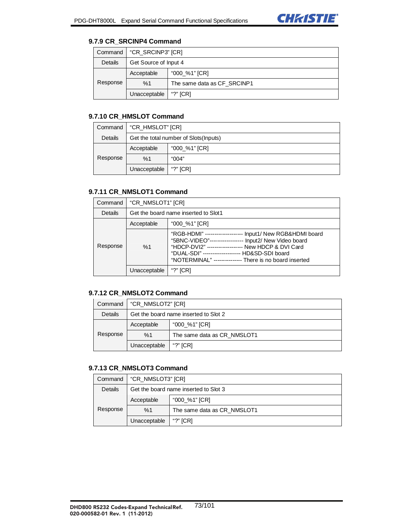

#### **9.7.9 CR\_SRCINP4 Command**

| Command  | "CR SRCINP3" [CR]     |                             |
|----------|-----------------------|-----------------------------|
| Details  | Get Source of Input 4 |                             |
|          | Acceptable            | "000 %1" [CR]               |
| Response | %1                    | The same data as CF SRCINP1 |
|          | Unacceptable          | "?" [CR]                    |

# **9.7.10 CR\_HMSLOT Command**

| Command  | "CR_HMSLOT" [CR]                       |               |
|----------|----------------------------------------|---------------|
| Details  | Get the total number of Slots (Inputs) |               |
| Response | Acceptable                             | "000_%1" [CR] |
|          | %1                                     | "004"         |
|          | Unacceptable                           | "?" $[CR]$    |

## **9.7.11 CR\_NMSLOT1 Command**

| Command  | "CR_NMSLOT1" [CR]                    |                                                                                                                                                                                                                                                                                          |
|----------|--------------------------------------|------------------------------------------------------------------------------------------------------------------------------------------------------------------------------------------------------------------------------------------------------------------------------------------|
| Details  | Get the board name inserted to Slot1 |                                                                                                                                                                                                                                                                                          |
| Response | Acceptable                           | "000_%1" [CR]                                                                                                                                                                                                                                                                            |
|          | %1                                   | "RGB-HDMI" ------------------- Input1/ New RGB&HDMI board<br>"5BNC-VIDEO"----------------- Input2/ New Video board<br>"HDCP-DVI2" ------------------   New HDCP & DVI Card<br>"DUAL-SDI" -------------------- HD&SD-SDI board<br>"NOTERMINAL" --------------- There is no board inserted |
|          | Unacceptable                         | [CR]                                                                                                                                                                                                                                                                                     |

## **9.7.12 CR\_NMSLOT2 Command**

|          | Command   "CR NMSLOT2" [CR]           |                             |
|----------|---------------------------------------|-----------------------------|
| Details  | Get the board name inserted to Slot 2 |                             |
| Response | Acceptable                            | "000_%1" [CR]               |
|          | %1                                    | The same data as CR NMSLOT1 |
|          | Unacceptable                          | "?" $ICRI$                  |

#### **9.7.13 CR\_NMSLOT3 Command**

| Command  | "CR NMSLOT3" [CR]                     |                             |
|----------|---------------------------------------|-----------------------------|
| Details  | Get the board name inserted to Slot 3 |                             |
| Response | Acceptable                            | "000_%1" [CR]               |
|          | %1                                    | The same data as CR NMSLOT1 |
|          | Unacceptable                          | "?" $[CR]$                  |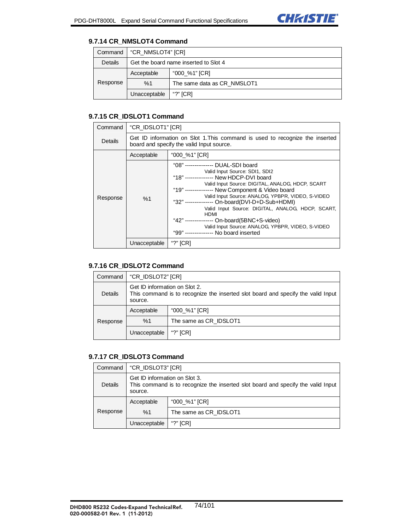

#### **9.7.14 CR\_NMSLOT4 Command**

| Command  | "CR NMSLOT4" [CR]                     |                             |
|----------|---------------------------------------|-----------------------------|
| Details  | Get the board name inserted to Slot 4 |                             |
| Response | Acceptable                            | "000 %1" [CR]               |
|          | %1                                    | The same data as CR NMSLOT1 |
|          | Unacceptable                          | "?" $[CR]$                  |

## **9.7.15 CR\_IDSLOT1 Command**

| Command  | "CR_IDSLOT1" [CR]                                                                                                         |                                                                                                                                                                                                                                                                                                                                                                                                                                                                                                                                         |
|----------|---------------------------------------------------------------------------------------------------------------------------|-----------------------------------------------------------------------------------------------------------------------------------------------------------------------------------------------------------------------------------------------------------------------------------------------------------------------------------------------------------------------------------------------------------------------------------------------------------------------------------------------------------------------------------------|
| Details  | Get ID information on Slot 1. This command is used to recognize the inserted<br>board and specify the valid Input source. |                                                                                                                                                                                                                                                                                                                                                                                                                                                                                                                                         |
|          | Acceptable                                                                                                                | "000_%1" [CR]                                                                                                                                                                                                                                                                                                                                                                                                                                                                                                                           |
| Response | %1                                                                                                                        | "08" --------------- DUAL-SDI board<br>Valid Input Source: SDI1, SDI2<br>"18" --------------- New HDCP-DVI board<br>Valid Input Source: DIGITAL, ANALOG, HDCP, SCART<br>"19"-------------- New Component & Video board<br>Valid Input Source: ANALOG, YPBPR, VIDEO, S-VIDEO<br>"32" -------------- On-board(DVI-D+D-Sub+HDMI)<br>Valid Input Source: DIGITAL, ANALOG, HDCP, SCART,<br>HDMI<br>"42" -------------- On-board(5BNC+S-video)<br>Valid Input Source: ANALOG, YPBPR, VIDEO, S-VIDEO<br>"99" --------------- No board inserted |
|          | Unacceptable                                                                                                              | "?" $[CR]$                                                                                                                                                                                                                                                                                                                                                                                                                                                                                                                              |

## **9.7.16 CR\_IDSLOT2 Command**

| Command                     | "CR_IDSLOT2" [CR]                                                                                                            |                        |
|-----------------------------|------------------------------------------------------------------------------------------------------------------------------|------------------------|
| Details                     | Get ID information on Slot 2.<br>This command is to recognize the inserted slot board and specify the valid Input<br>source. |                        |
| "000_%1" [CR]<br>Acceptable |                                                                                                                              |                        |
| Response                    | %1                                                                                                                           | The same as CR IDSLOT1 |
|                             | Unacceptable                                                                                                                 | "?" $[CR]$             |

### **9.7.17 CR\_IDSLOT3 Command**

| Command  | "CR IDSLOT3" [CR]                                                                                                            |                        |
|----------|------------------------------------------------------------------------------------------------------------------------------|------------------------|
| Details  | Get ID information on Slot 3.<br>This command is to recognize the inserted slot board and specify the valid Input<br>source. |                        |
| Response | Acceptable                                                                                                                   | "000_%1" [CR]          |
|          | %1                                                                                                                           | The same as CR IDSLOT1 |
|          | Unacceptable                                                                                                                 | "?" $ICRI$             |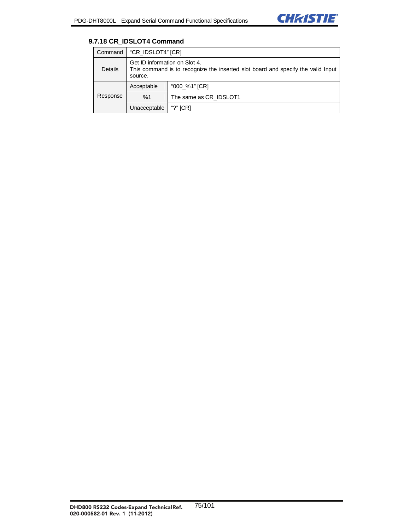

### **9.7.18 CR\_IDSLOT4 Command**

| Command  | "CR_IDSLOT4" [CR]                                                                                                            |                        |
|----------|------------------------------------------------------------------------------------------------------------------------------|------------------------|
| Details  | Get ID information on Slot 4.<br>This command is to recognize the inserted slot board and specify the valid Input<br>source. |                        |
| Response | Acceptable                                                                                                                   | "000 %1" [CR]          |
|          | %1                                                                                                                           | The same as CR IDSLOT1 |
|          | Unacceptable                                                                                                                 | "?" $[CR]$             |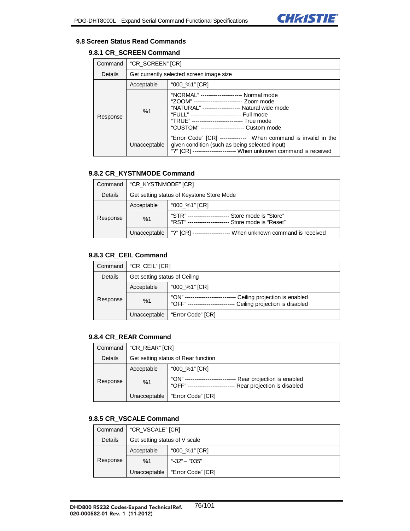

#### **9.8 Screen Status Read Commands**

#### **9.8.1 CR\_SCREEN Command**

| Command  | "CR_SCREEN" [CR]                         |                                                                                                                                                                                                                                                                                            |
|----------|------------------------------------------|--------------------------------------------------------------------------------------------------------------------------------------------------------------------------------------------------------------------------------------------------------------------------------------------|
| Details  | Get currently selected screen image size |                                                                                                                                                                                                                                                                                            |
|          | "000_%1" [CR]<br>Acceptable              |                                                                                                                                                                                                                                                                                            |
| Response | %1                                       | "NORMAL" ---------------------- Normal mode<br>"ZOOM" -------------------------- Zoom mode<br>"NATURAL" ------------------- Natural wide mode<br>"FULL" -------------------------- Full mode<br>"TRUE" -------------------------- True mode<br>"CUSTOM" ---------------------- Custom mode |
|          | Unacceptable                             | "Error Code" [CR] ------------- When command is invalid in the<br>given condition (such as being selected input)<br>"?" [CR] ---------------------- When unknown command is received                                                                                                       |

## **9.8.2 CR\_KYSTNMODE Command**

| Command  | "CR_KYSTNMODE" [CR]                       |                                                                              |
|----------|-------------------------------------------|------------------------------------------------------------------------------|
| Details  | Get setting status of Keystone Store Mode |                                                                              |
| Response | Acceptable                                | "000_%1" [CR]                                                                |
|          | %1                                        | "STR" ------<br>Store mode is "Store"<br>Store mode is "Reset"<br>"RST" ---- |
|          | Unacceptable                              | When unknown command is received<br>"?" $ICRI$                               |

## **9.8.3 CR\_CEIL Command**

| Command  | "CR_CEIL" [CR]                |                                                                                  |
|----------|-------------------------------|----------------------------------------------------------------------------------|
| Details  | Get setting status of Ceiling |                                                                                  |
| Response | Acceptable                    | "000_%1" [CR]                                                                    |
|          | %1                            | "ON"<br>Ceiling projection is enabled<br>"OFF"<br>Ceiling projection is disabled |
|          | Unacceptable                  | "Error Code" [CR]                                                                |

## **9.8.4 CR\_REAR Command**

| Command  | "CR REAR" [CR]                      |                                                                                     |
|----------|-------------------------------------|-------------------------------------------------------------------------------------|
| Details  | Get setting status of Rear function |                                                                                     |
| Response | Acceptable                          | "000_%1" [CR]                                                                       |
|          | %1                                  | "ON" ---<br>Rear projection is enabled<br>"OFF" ----<br>Rear projection is disabled |
|          | Unacceptable                        | "Error Code" [CR]                                                                   |

## **9.8.5 CR\_VSCALE Command**

|          | Command   "CR_VSCALE" [CR]    |                   |
|----------|-------------------------------|-------------------|
| Details  | Get setting status of V scale |                   |
| Response | Acceptable                    | "000_%1" [CR]     |
|          | %1                            | "-32" "035"       |
|          | Unacceptable                  | "Error Code" [CR] |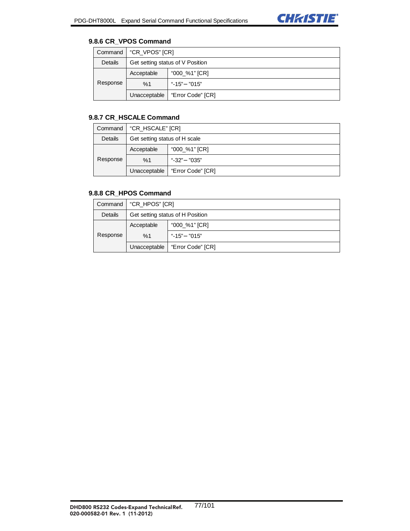

## **9.8.6 CR\_VPOS Command**

| Command  | "CR_VPOS" [CR]                   |                   |
|----------|----------------------------------|-------------------|
| Details  | Get setting status of V Position |                   |
|          | Acceptable                       | "000 %1" [CR]     |
| Response | %1                               | "-15" "015"       |
|          | Unacceptable                     | "Error Code" [CR] |

### **9.8.7 CR\_HSCALE Command**

|          | Command   "CR_HSCALE" [CR]    |                                  |
|----------|-------------------------------|----------------------------------|
| Details  | Get setting status of H scale |                                  |
|          | Acceptable                    | "000_%1" [CR]                    |
| Response | %1                            | "-32"<br>"035"                   |
|          |                               | Unacceptable   "Error Code" [CR] |

# **9.8.8 CR\_HPOS Command**

| Command  | "CR_HPOS" [CR]                   |                   |
|----------|----------------------------------|-------------------|
| Details  | Get setting status of H Position |                   |
|          | Acceptable                       | "000_%1" [CR]     |
| Response | %1                               | "-15" $"015"$     |
|          | Unacceptable                     | "Error Code" [CR] |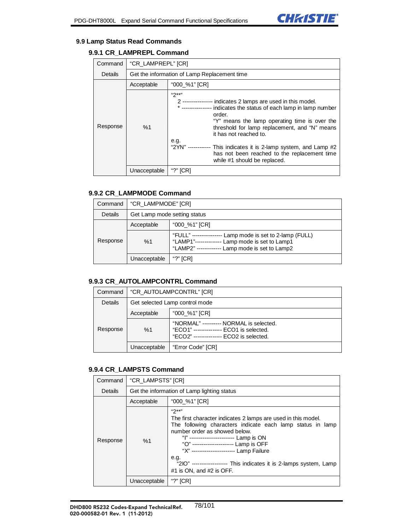

#### **9.9 Lamp Status Read Commands**

# **9.9.1 CR\_LAMPREPL Command**

| Command  | "CR LAMPREPL" [CR] |                                                                                                                                                                                                                                                                                                                                                                                                                                                  |
|----------|--------------------|--------------------------------------------------------------------------------------------------------------------------------------------------------------------------------------------------------------------------------------------------------------------------------------------------------------------------------------------------------------------------------------------------------------------------------------------------|
| Details  |                    | Get the information of Lamp Replacement time                                                                                                                                                                                                                                                                                                                                                                                                     |
|          | Acceptable         | "000_%1" [CR]                                                                                                                                                                                                                                                                                                                                                                                                                                    |
| Response | %1                 | $49***$<br>2 ---------------- indicates 2 lamps are used in this model.<br>* --------------- indicates the status of each lamp in lamp number<br>order<br>"Y" means the lamp operating time is over the<br>threshold for lamp replacement, and "N" means<br>it has not reached to.<br>e.g.<br>"2YN" ------------ This indicates it is 2-lamp system, and Lamp #2<br>has not been reached to the replacement time<br>while #1 should be replaced. |
|          | Unacceptable       | "?" $[CR]$                                                                                                                                                                                                                                                                                                                                                                                                                                       |

## **9.9.2 CR\_LAMPMODE Command**

| Command  | "CR LAMPMODE" [CR]           |                                                                                                                                          |
|----------|------------------------------|------------------------------------------------------------------------------------------------------------------------------------------|
| Details  | Get Lamp mode setting status |                                                                                                                                          |
| Response | Acceptable                   | "000 %1" [CR]                                                                                                                            |
|          | %1                           | "FULL" --<br>Lamp mode is set to 2-lamp (FULL)<br>Lamp mode is set to Lamp1<br>"LAMP1"-------<br>Lamp mode is set to Lamp2<br>"LAMP2" -- |
|          | Unacceptable                 | "?" $ICRI$                                                                                                                               |

#### **9.9.3 CR\_AUTOLAMPCONTRL Command**

| Command  | "CR AUTOLAMPCONTRL" [CR]       |                                                                                                                                |
|----------|--------------------------------|--------------------------------------------------------------------------------------------------------------------------------|
| Details  | Get selected Lamp control mode |                                                                                                                                |
| Response | Acceptable                     | "000 %1" [CR]                                                                                                                  |
|          | %1                             | "NORMAL" ---------- NORMAL is selected.<br>"ECO1" -------------- ECO1 is selected.<br>"ECO2" --------------- ECO2 is selected. |
|          | Unacceptable                   | "Error Code" [CR]                                                                                                              |

#### **9.9.4 CR\_LAMPSTS Command**

| Command  | "CR LAMPSTS" [CR]                           |                                                                                                                                                                                                                                                                                                                                                                                                                       |
|----------|---------------------------------------------|-----------------------------------------------------------------------------------------------------------------------------------------------------------------------------------------------------------------------------------------------------------------------------------------------------------------------------------------------------------------------------------------------------------------------|
| Details  | Get the information of Lamp lighting status |                                                                                                                                                                                                                                                                                                                                                                                                                       |
|          | Acceptable                                  | "000_%1" [CR]                                                                                                                                                                                                                                                                                                                                                                                                         |
| Response | %1                                          | $42***$<br>The first character indicates 2 lamps are used in this model.<br>The following characters indicate each lamp status in lamp<br>number order as showed below.<br>" " ------------------------ Lamp is ON<br>"O" ---------------------- Lamp is OFF<br>"X" ---------------------- Lamp Failure<br>e.g.<br>"2IO" ------------------ This indicates it is 2-lamps system, Lamp<br>$#1$ is ON, and $#2$ is OFF. |
|          | Unacceptable                                | "?" $[CR]$                                                                                                                                                                                                                                                                                                                                                                                                            |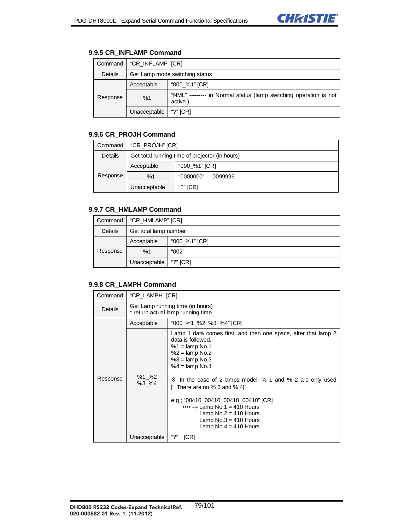## **9.9.5 CR\_INFLAMP Command**

| Command  | "CR_INFLAMP" [CR]              |                                                                              |
|----------|--------------------------------|------------------------------------------------------------------------------|
| Details  | Get Lamp mode switching status |                                                                              |
|          | Acceptable                     | "000_%1" [CR]                                                                |
| Response | %1                             | "NML" -------- in Normal status (lamp switching operation is not<br>active.) |
|          | Unacceptable                   | "?" [CR]                                                                     |

## **9.9.6 CR\_PROJH Command**

| Command  | "CR_PROJH" [CR]                                |                       |
|----------|------------------------------------------------|-----------------------|
| Details  | Get total running time of projector (in hours) |                       |
|          | Acceptable                                     | "000_%1" [CR]         |
| Response | %1                                             | "0000000" — "0099999" |
|          | Unacceptable                                   | "?" $[CR]$            |

## **9.9.7 CR\_HMLAMP Command**

| Command  | "CR_HMLAMP" [CR]      |               |
|----------|-----------------------|---------------|
| Details  | Get total lamp number |               |
|          | Acceptable            | "000_%1" [CR] |
| Response | %1                    | "002"         |
|          | Unacceptable          | "?" $[CR]$    |

## **9.9.8 CR\_LAMPH Command**

| Command  | "CR_LAMPH" [CR]                                                       |                                                                                                                                                                                                                                                                                                                                                                                                                                         |
|----------|-----------------------------------------------------------------------|-----------------------------------------------------------------------------------------------------------------------------------------------------------------------------------------------------------------------------------------------------------------------------------------------------------------------------------------------------------------------------------------------------------------------------------------|
| Details  | Get Lamp running time (in hours)<br>* return actual lamp running time |                                                                                                                                                                                                                                                                                                                                                                                                                                         |
|          | Acceptable                                                            | "000_%1_%2_%3_%4" [CR]                                                                                                                                                                                                                                                                                                                                                                                                                  |
| Response | $%1_{-}$ %2<br>%3 %4                                                  | Lamp 1 data comes first, and then one space, after that lamp 2<br>data is followed.<br>$%1 =$ lamp No.1<br>$%2 =$ lamp No.2<br>$%3 =$ lamp No.3<br>$%4 =$ lamp No.4<br>In the case of 2-lamps model, % 1 and % 2 are only used<br>There are no $%$ 3 and $%$ 4<br>e.g.; "00410_00410_00410_00410" [CR]<br>$\cdots$ $\rightarrow$ Lamp No.1 = 410 Hours<br>Lamp $No.2 = 410$ Hours<br>Lamp $No.3 = 410$ Hours<br>Lamp $No.4 = 410$ Hours |
|          | Unacceptable                                                          | "?"<br>[CR]                                                                                                                                                                                                                                                                                                                                                                                                                             |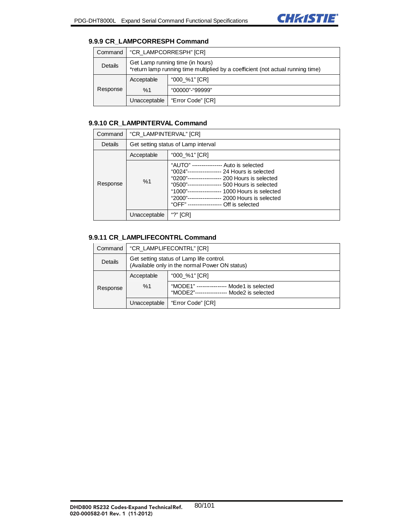## **9.9.9 CR\_LAMPCORRESPH Command**

| Command  | "CR_LAMPCORRESPH" [CR]                                                                                              |                   |
|----------|---------------------------------------------------------------------------------------------------------------------|-------------------|
| Details  | Get Lamp running time (in hours)<br>*return lamp running time multiplied by a coefficient (not actual running time) |                   |
|          | Acceptable                                                                                                          | "000_%1" [CR]     |
| Response | %1                                                                                                                  | "00000"-"99999"   |
|          | Unacceptable                                                                                                        | "Error Code" [CR] |

## **9.9.10 CR\_LAMPINTERVAL Command**

| Command  | "CR_LAMPINTERVAL" [CR]              |                                                                                                                                                                                                                                                                                                                                                        |
|----------|-------------------------------------|--------------------------------------------------------------------------------------------------------------------------------------------------------------------------------------------------------------------------------------------------------------------------------------------------------------------------------------------------------|
| Details  | Get setting status of Lamp interval |                                                                                                                                                                                                                                                                                                                                                        |
|          | Acceptable                          | "000_%1" [CR]                                                                                                                                                                                                                                                                                                                                          |
| Response | %1                                  | "AUTO" ---<br>------------ Auto is selected<br>"0024"------------------ 24 Hours is selected<br>"0200"------------------ 200 Hours is selected<br>"0500"------------------ 500 Hours is selected<br>"1000"------------------ 1000 Hours is selected<br>"2000"---<br>------------- 2000 Hours is selected<br>"OFF" --<br>-------------- Off is selected |
|          | Unacceptable                        | [CR]                                                                                                                                                                                                                                                                                                                                                   |

## **9.9.11 CR\_LAMPLIFECONTRL Command**

| Command                     | "CR LAMPLIFECONTRL" [CR]                                                                   |                                                                                         |
|-----------------------------|--------------------------------------------------------------------------------------------|-----------------------------------------------------------------------------------------|
| Details                     | Get setting status of Lamp life control.<br>(Available only in the normal Power ON status) |                                                                                         |
| "000 %1" [CR]<br>Acceptable |                                                                                            |                                                                                         |
| Response                    | %1                                                                                         | "MODE1" --------------- Mode1 is selected<br>"MODE2"----------------- Mode2 is selected |
|                             | Unacceptable                                                                               | "Error Code" [CR]                                                                       |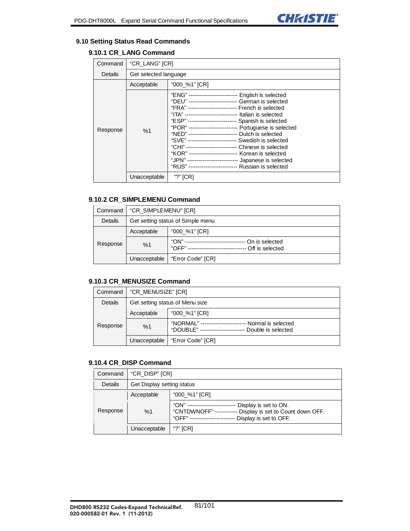

#### **9.10 Setting Status Read Commands**

## **9.10.1 CR\_LANG Command**

| Command  | "CR_LANG" [CR]        |                                                                                                                                                                                                                                                                                                                                                                                                                                                                                                                                                                                                                                                                                            |
|----------|-----------------------|--------------------------------------------------------------------------------------------------------------------------------------------------------------------------------------------------------------------------------------------------------------------------------------------------------------------------------------------------------------------------------------------------------------------------------------------------------------------------------------------------------------------------------------------------------------------------------------------------------------------------------------------------------------------------------------------|
| Details  | Get selected language |                                                                                                                                                                                                                                                                                                                                                                                                                                                                                                                                                                                                                                                                                            |
|          | Acceptable            | "000_%1" [CR]                                                                                                                                                                                                                                                                                                                                                                                                                                                                                                                                                                                                                                                                              |
| Response | %1                    | "ENG" -------------------------- English is selected<br>"DEU" ------------------------- German is selected<br>"FRA" -------------------------- French is selected<br>"ITA" ---------------------------- Italian is selected<br>"ESP" -------------------------- Spanish is selected<br>"POR" -------------------------- Portuguese is selected<br>"NED" ------------------------- Dutch is selected<br>"SVE" -------------------------- Swedish is selected<br>"CHI" -------------------------- Chinese is selected<br>"KOR" -------------------------- Korean is selected<br>"JPN" -------------------------- Japanese is selected<br>"RUS" ------------------------- Russian is selected |
|          | Unacceptable          | "?" $[CR]$                                                                                                                                                                                                                                                                                                                                                                                                                                                                                                                                                                                                                                                                                 |

### **9.10.2 CR\_SIMPLEMENU Command**

| Command  | "CR_SIMPLEMENU" [CR]              |                                                                                    |
|----------|-----------------------------------|------------------------------------------------------------------------------------|
| Details  | Get setting status of Simple menu |                                                                                    |
| Response | Acceptable                        | "000_%1" [CR]                                                                      |
|          | %1                                | "ON" ------------------------<br>On is selected<br>"OFF" ------<br>Off is selected |
|          | Unacceptable                      | "Error Code" [CR]                                                                  |

#### **9.10.3 CR\_MENUSIZE Command**

| Command  | "CR MENUSIZE" [CR]              |                                                                                           |
|----------|---------------------------------|-------------------------------------------------------------------------------------------|
| Details  | Get setting status of Menu size |                                                                                           |
| Response | Acceptable                      | "000_%1" [CR]                                                                             |
|          | %1                              | "NORMAL" ---------<br>Normal is selected<br>"DOUBLE" --------------<br>Double is selected |
|          |                                 | Unacceptable   "Error Code" [CR]                                                          |

### **9.10.4 CR\_DISP Command**

| Command  | "CR DISP" [CR]             |                                                                                                                                  |
|----------|----------------------------|----------------------------------------------------------------------------------------------------------------------------------|
| Details  | Get Display setting status |                                                                                                                                  |
| Response | Acceptable                 | "000 %1" [CR]                                                                                                                    |
|          | %1                         | "ON" --<br>Display is set to ON.<br>Display is set to Count down OFF.<br>"CNTDWNOFF" --<br>Display is set to OFF.<br>"OFF" ----- |
|          | Unacceptable               | "?" $ICRI$                                                                                                                       |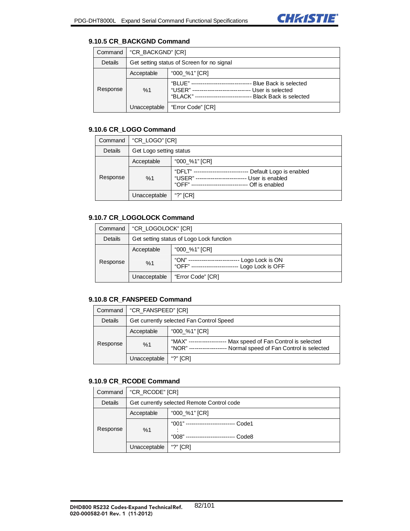

#### **9.10.5 CR\_BACKGND Command**

| Command  | "CR BACKGND" [CR]                          |                                                                                                                   |
|----------|--------------------------------------------|-------------------------------------------------------------------------------------------------------------------|
| Details  | Get setting status of Screen for no signal |                                                                                                                   |
| Response | Acceptable                                 | "000 %1" [CR]                                                                                                     |
|          | %1                                         | "BLUE" -<br>Blue Back is selected<br>"USER" --<br>User is selected<br>"BLACK" --<br><b>Black Back is selected</b> |
|          | Unacceptable                               | "Error Code" [CR]                                                                                                 |

## **9.10.6 CR\_LOGO Command**

| Command  | "CR LOGO" [CR]          |                                                                                                   |
|----------|-------------------------|---------------------------------------------------------------------------------------------------|
| Details  | Get Logo setting status |                                                                                                   |
| Response | Acceptable              | "000_%1" [CR]                                                                                     |
|          | %1                      | "DFI T" --<br>Default Logo is enabled<br>"USER"<br>User is enabled<br>$"OFF" -$<br>Off is enabled |
|          | Unacceptable            | "?" $ICRI$                                                                                        |

## **9.10.7 CR\_LOGOLOCK Command**

| Command  | "CR_LOGOLOCK" [CR]                       |                                                                          |
|----------|------------------------------------------|--------------------------------------------------------------------------|
| Details  | Get setting status of Logo Lock function |                                                                          |
| Response | Acceptable                               | "000_%1" [CR]                                                            |
|          | %1                                       | "ON" -------------<br>Logo Lock is ON<br>Logo Lock is OFF<br>"OFF" ----- |
|          | Unacceptable                             | "Error Code" [CR]                                                        |

## **9.10.8 CR\_FANSPEED Command**

| Command  | "CR_FANSPEED" [CR]                       |                                                                                                                     |
|----------|------------------------------------------|---------------------------------------------------------------------------------------------------------------------|
| Details  | Get currently selected Fan Control Speed |                                                                                                                     |
| Response | Acceptable                               | "000 %1" [CR]                                                                                                       |
|          | %1                                       | "МАХ" ----<br>Max speed of Fan Control is selected<br>Normal speed of Fan Control is selected<br>"NOR" ------------ |
|          | Unacceptable                             | "?" $ CR $                                                                                                          |

#### **9.10.9 CR\_RCODE Command**

| Command  | "CR_RCODE" [CR]                            |                                           |
|----------|--------------------------------------------|-------------------------------------------|
| Details  | Get currently selected Remote Control code |                                           |
| Response | Acceptable                                 | "000_%1" [CR]                             |
|          | %1                                         | "001" --------<br>Code1<br>"008"<br>Code8 |
|          | Unacceptable                               | "?" $[CR]$                                |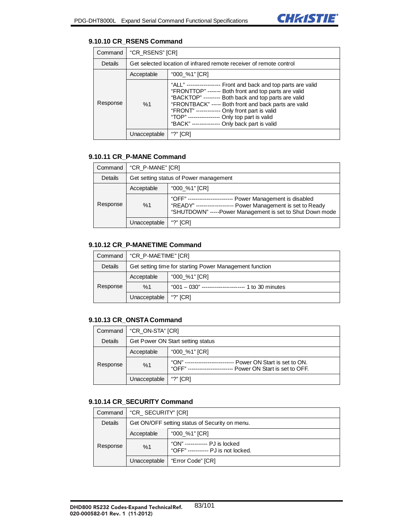## **9.10.10 CR\_RSENS Command**

| Command  | "CR_RSENS" [CR]                                                     |                                                                                                                                                                                                                                                                                                                                                                                               |
|----------|---------------------------------------------------------------------|-----------------------------------------------------------------------------------------------------------------------------------------------------------------------------------------------------------------------------------------------------------------------------------------------------------------------------------------------------------------------------------------------|
| Details  | Get selected location of infrared remote receiver of remote control |                                                                                                                                                                                                                                                                                                                                                                                               |
|          | Acceptable                                                          | "000_%1" [CR]                                                                                                                                                                                                                                                                                                                                                                                 |
| Response | %1                                                                  | "ALL" ----------------- Front and back and top parts are valid<br>"FRONTTOP" ------- Both front and top parts are valid<br>"BACKTOP" --------- Both back and top parts are valid<br>"FRONTBACK" ----- Both front and back parts are valid<br>"FRONT" ------------ Only front part is valid<br>"TOP" ----------------- Only top part is valid<br>"BACK" -------------- Only back part is valid |
|          | Unacceptable                                                        |                                                                                                                                                                                                                                                                                                                                                                                               |

## **9.10.11 CR\_P-MANE Command**

| Command  | "CR P-MANE" [CR]                       |                                                                                                                                                                                       |
|----------|----------------------------------------|---------------------------------------------------------------------------------------------------------------------------------------------------------------------------------------|
| Details  | Get setting status of Power management |                                                                                                                                                                                       |
| Response | Acceptable                             | "000_%1" [CR]                                                                                                                                                                         |
|          | %1                                     | "OFF"--------------------<br>Power Management is disabled<br>Power Management is set to Ready<br>"RFADY" ---------------<br>"SHUTDOWN" -----Power Management is set to Shut Down mode |
|          | Unacceptable                           | "?" $[CR]$                                                                                                                                                                            |

# **9.10.12 CR\_P-MANETIME Command**

| Command  | "CR P-MAETIME" [CR]                                     |                                                            |
|----------|---------------------------------------------------------|------------------------------------------------------------|
| Details  | Get setting time for starting Power Management function |                                                            |
| Response | Acceptable                                              | "000_%1" [CR]                                              |
|          | %1                                                      | $"001 - 030"$ -------------------------<br>1 to 30 minutes |
|          | Unacceptable                                            | "?" $[CR]$                                                 |

## **9.10.13 CR\_ONSTA Command**

| Command  | "CR ON-STA" [CR]                  |                                                                                  |
|----------|-----------------------------------|----------------------------------------------------------------------------------|
| Details  | Get Power ON Start setting status |                                                                                  |
| Response | Acceptable                        | "000_%1" [CR]                                                                    |
|          | %1                                | "ON" -<br>Power ON Start is set to ON.<br>"OFF"<br>Power ON Start is set to OFF. |
|          | Unacceptable                      | "?" $[CR]$                                                                       |

## **9.10.14 CR\_SECURITY Command**

| Command  | "CR_SECURITY" [CR]                             |                                                                       |
|----------|------------------------------------------------|-----------------------------------------------------------------------|
| Details  | Get ON/OFF setting status of Security on menu. |                                                                       |
| Response | Acceptable                                     | "000 %1" [CR]                                                         |
|          | %1                                             | "ON" ------------ PJ is locked<br>"OFF" ----------- PJ is not locked. |
|          | Unacceptable                                   | "Error Code" [CR]                                                     |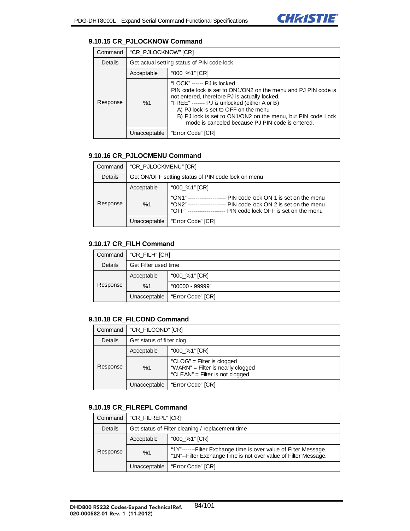

## **9.10.15 CR\_PJLOCKNOW Command**

| Command  | "CR PJLOCKNOW" [CR]                        |                                                                                                                                                                                                                                                                                                                                                           |
|----------|--------------------------------------------|-----------------------------------------------------------------------------------------------------------------------------------------------------------------------------------------------------------------------------------------------------------------------------------------------------------------------------------------------------------|
| Details  | Get actual setting status of PIN code lock |                                                                                                                                                                                                                                                                                                                                                           |
|          | Acceptable                                 | "000_%1" [CR]                                                                                                                                                                                                                                                                                                                                             |
| Response | %1                                         | "LOCK" ------ PJ is locked<br>PIN code lock is set to ON1/ON2 on the menu and PJ PIN code is<br>not entered, therefore PJ is actually locked.<br>"FREE" ------- PJ is unlocked (either A or B)<br>A) PJ lock is set to OFF on the menu<br>B) PJ lock is set to ON1/ON2 on the menu, but PIN code Lock<br>mode is canceled because PJ PIN code is entered. |
|          | Unacceptable                               | "Error Code" [CR]                                                                                                                                                                                                                                                                                                                                         |

## **9.10.16 CR\_PJLOCMENU Command**

| Command  | "CR PJLOCKMENU" [CR]                               |                                                                                                                                                              |
|----------|----------------------------------------------------|--------------------------------------------------------------------------------------------------------------------------------------------------------------|
| Details  | Get ON/OFF setting status of PIN code lock on menu |                                                                                                                                                              |
| Response | Acceptable                                         | "000 %1" [CR]                                                                                                                                                |
|          | %1                                                 | "ON1" --<br>PIN code lock ON 1 is set on the menu<br>"ON2" ---<br>PIN code lock ON 2 is set on the menu<br>"OFF" ---<br>PIN code lock OFF is set on the menu |
|          | Unacceptable                                       | "Error Code" [CR]                                                                                                                                            |

## **9.10.17 CR\_FILH Command**

| Command        | "CR_FILH" [CR]       |                   |
|----------------|----------------------|-------------------|
| <b>Details</b> | Get Filter used time |                   |
| Response       | Acceptable           | "000_%1" [CR]     |
|                | %1                   | "00000 - 99999"   |
|                | Unacceptable         | "Error Code" [CR] |

## **9.10.18 CR\_FILCOND Command**

| Command  | "CR FILCOND" [CR]         |                                                                                                    |
|----------|---------------------------|----------------------------------------------------------------------------------------------------|
| Details  | Get status of filter clog |                                                                                                    |
| Response | Acceptable                | "000 %1" [CR]                                                                                      |
|          | %1                        | "CLOG" = Filter is clogged<br>"WARN" = Filter is nearly clogged<br>"CLEAN" = Filter is not clogged |
|          | Unacceptable              | "Error Code" [CR]                                                                                  |

# **9.10.19 CR\_FILREPL Command**

| Command  | "CR_FILREPL" [CR]                                |                                                                                                                                     |
|----------|--------------------------------------------------|-------------------------------------------------------------------------------------------------------------------------------------|
| Details  | Get status of Filter cleaning / replacement time |                                                                                                                                     |
| Response | Acceptable                                       | "000 %1" [CR]                                                                                                                       |
|          | %1                                               | "1Y"-------Filter Exchange time is over value of Filter Message.<br>"1N"--Filter Exchange time is not over value of Filter Message. |
|          | Unacceptable                                     | "Error Code" [CR]                                                                                                                   |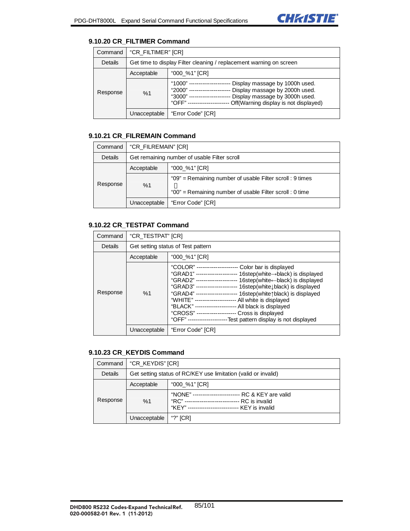

#### **9.10.20 CR\_FILTIMER Command**

| Command  | "CR FILTIMER" [CR]                                                  |                                                                                                                                                                                       |
|----------|---------------------------------------------------------------------|---------------------------------------------------------------------------------------------------------------------------------------------------------------------------------------|
| Details  | Get time to display Filter cleaning / replacement warning on screen |                                                                                                                                                                                       |
| Response | Acceptable                                                          | "000 %1" [CR]                                                                                                                                                                         |
|          | %1                                                                  | "1000"<br>Display massage by 1000h used.<br>Display massage by 2000h used.<br>"2000"<br>Display massage by 3000h used.<br>"3000"<br>"OFF" --<br>Off(Warning display is not displayed) |
|          | Unacceptable                                                        | "Error Code" [CR]                                                                                                                                                                     |

## **9.10.21 CR\_FILREMAIN Command**

| Command  | "CR FILREMAIN" [CR]                          |                                                                                                                       |
|----------|----------------------------------------------|-----------------------------------------------------------------------------------------------------------------------|
| Details  | Get remaining number of usable Filter scroll |                                                                                                                       |
| Response | Acceptable                                   | "000 %1" [CR]                                                                                                         |
|          | %1                                           | "09" = Remaining number of usable Filter scroll : 9 times<br>"00" = Remaining number of usable Filter scroll : 0 time |
|          | Unacceptable                                 | "Error Code" [CR]                                                                                                     |

## **9.10.22 CR\_TESTPAT Command**

| Command  | "CR TESTPAT" [CR]                  |                                                                                                                                                                                                                                                                                                                                                                                                                                                                                                                                                                                  |
|----------|------------------------------------|----------------------------------------------------------------------------------------------------------------------------------------------------------------------------------------------------------------------------------------------------------------------------------------------------------------------------------------------------------------------------------------------------------------------------------------------------------------------------------------------------------------------------------------------------------------------------------|
| Details  | Get setting status of Test pattern |                                                                                                                                                                                                                                                                                                                                                                                                                                                                                                                                                                                  |
|          | Acceptable                         | "000 %1" [CR]                                                                                                                                                                                                                                                                                                                                                                                                                                                                                                                                                                    |
| Response | %1                                 | "COLOR" ----------------------<br>Color bar is displayed<br>"GRAD1" --------------------- 16step(white -> black) is displayed<br>"GRAD2" --------------------- 16step(white-black) is displayed<br>16step(whitelblack) is displayed<br>"GRAD3" ----------------------<br>"GRAD4" --------------------- 16step(white \black) is displayed<br>"WHITE" --------------------- All white is displayed<br>"BLACK" --------------------- All black is displayed<br>"CROSS" --------------------- Cross is displayed<br>"OFF" ---------------------Test pattern display is not displayed |
|          | Unacceptable                       | "Error Code" [CR]                                                                                                                                                                                                                                                                                                                                                                                                                                                                                                                                                                |

### **9.10.23 CR\_KEYDIS Command**

| Command  | "CR_KEYDIS" [CR]                                               |                                                                                         |
|----------|----------------------------------------------------------------|-----------------------------------------------------------------------------------------|
| Details  | Get setting status of RC/KEY use limitation (valid or invalid) |                                                                                         |
| Response | Acceptable                                                     | "000 %1" [CR]                                                                           |
|          | %1                                                             | "NONE" ---<br>RC & KEY are valid<br>"RC"<br>RC is invalid<br>"KFY" --<br>KEY is invalid |
|          | Unacceptable                                                   | "?" $[CR]$                                                                              |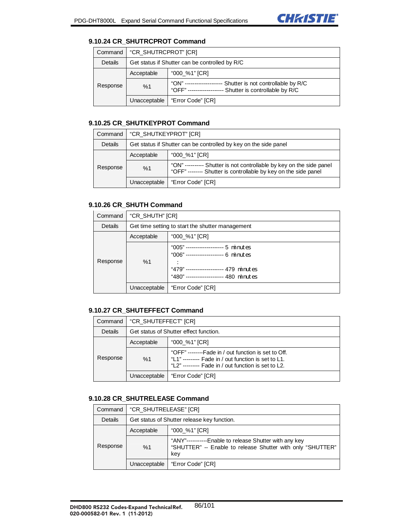

#### **9.10.24 CR\_SHUTRCPROT Command**

| Command  | "CR_SHUTRCPROT" [CR]                           |                                                                                                            |
|----------|------------------------------------------------|------------------------------------------------------------------------------------------------------------|
| Details  | Get status if Shutter can be controlled by R/C |                                                                                                            |
| Response | Acceptable                                     | "000_%1" [CR]                                                                                              |
|          | %1                                             | "ON" --<br>Shutter is not controllable by R/C<br>"OFF" --------------<br>-- Shutter is controllable by R/C |
|          | Unacceptable                                   | "Error Code" [CR]                                                                                          |

## **9.10.25 CR\_SHUTKEYPROT Command**

| Command  | "CR SHUTKEYPROT" [CR]                                            |                                                                                                                                        |
|----------|------------------------------------------------------------------|----------------------------------------------------------------------------------------------------------------------------------------|
| Details  | Get status if Shutter can be controlled by key on the side panel |                                                                                                                                        |
| Response | Acceptable                                                       | "000_%1" [CR]                                                                                                                          |
|          | %1                                                               | "ON" ---------- Shutter is not controllable by key on the side panel<br>"OFF" ------- Shutter is controllable by key on the side panel |
|          | Unacceptable                                                     | "Error Code" [CR]                                                                                                                      |

## **9.10.26 CR\_SHUTH Command**

| Command  | "CR_SHUTH" [CR]                                  |                                                                                                                                                                          |
|----------|--------------------------------------------------|--------------------------------------------------------------------------------------------------------------------------------------------------------------------------|
| Details  | Get time setting to start the shutter management |                                                                                                                                                                          |
|          | Acceptable                                       | "000_%1" [CR]                                                                                                                                                            |
| Response | %1                                               | "005" -------------------- 5 $\text{minutes}$<br>"006" ------------------- 6 minutes<br>"479" -------------------- 479 minutes<br>"480" -------------------- 480 minutes |
|          | Unacceptable                                     | "Error Code" [CR]                                                                                                                                                        |

## **9.10.27 CR\_SHUTEFFECT Command**

| Command  | "CR SHUTEFFECT" [CR]                   |                                                                                                                                                                  |
|----------|----------------------------------------|------------------------------------------------------------------------------------------------------------------------------------------------------------------|
| Details  | Get status of Shutter effect function. |                                                                                                                                                                  |
| Response | Acceptable                             | "000 %1" [CR]                                                                                                                                                    |
|          | %1                                     | "OFF" --------Fade in / out function is set to Off.<br>"L1" -------- Fade in / out function is set to L1.<br>"L2" --------- Fade in / out function is set to L2. |
|          | Unacceptable                           | "Error Code" [CR]                                                                                                                                                |

#### **9.10.28 CR\_SHUTRELEASE Command**

| Command  | "CR SHUTRELEASE" [CR]                       |                                                                                                                             |
|----------|---------------------------------------------|-----------------------------------------------------------------------------------------------------------------------------|
| Details  | Get status of Shutter release key function. |                                                                                                                             |
| Response | Acceptable                                  | "000 %1" [CR]                                                                                                               |
|          | %1                                          | "ANY"-----------Enable to release Shutter with any key<br>"SHUTTER" -- Enable to release Shutter with only "SHUTTER"<br>kev |
|          | Unacceptable                                | "Error Code" [CR]                                                                                                           |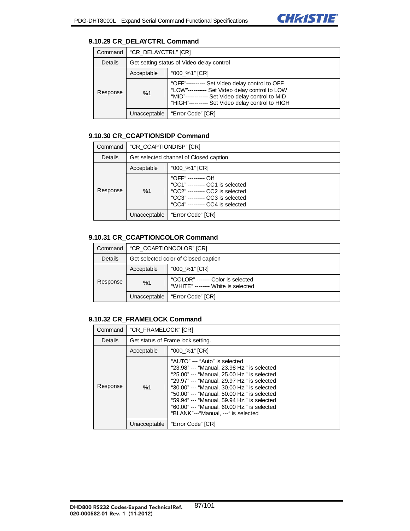

## **9.10.29 CR\_DELAYCTRL Command**

| Command  | "CR DELAYCTRL" [CR]                       |                                                                                                                                                                                                         |
|----------|-------------------------------------------|---------------------------------------------------------------------------------------------------------------------------------------------------------------------------------------------------------|
| Details  | Get setting status of Video delay control |                                                                                                                                                                                                         |
| Response | Acceptable                                | "000 %1" [CR]                                                                                                                                                                                           |
|          | %1                                        | "OFF"---------- Set Video delay control to OFF<br>"LOW"---------- Set Video delay control to LOW<br>"MID"----------- Set Video delay control to MID<br>"HIGH"---------- Set Video delay control to HIGH |
|          | Unacceptable                              | "Error Code" [CR]                                                                                                                                                                                       |

## **9.10.30 CR\_CCAPTIONSIDP Command**

| Command  | "CR CCAPTIONDISP" [CR]                 |                                                                                                                                                                 |
|----------|----------------------------------------|-----------------------------------------------------------------------------------------------------------------------------------------------------------------|
| Details  | Get selected channel of Closed caption |                                                                                                                                                                 |
| Response | Acceptable                             | "000_%1" [CR]                                                                                                                                                   |
|          | %1                                     | "OFF" --------- Off<br>"CC1" --------- CC1 is selected<br>"CC2" --------- CC2 is selected<br>"CC3" --------- CC3 is selected<br>"CC4" --------- CC4 is selected |
|          | Unacceptable                           | "Error Code" [CR]                                                                                                                                               |

## **9.10.31 CR\_CCAPTIONCOLOR Command**

| Command  | "CR CCAPTIONCOLOR" [CR]              |                                                                        |
|----------|--------------------------------------|------------------------------------------------------------------------|
| Details  | Get selected color of Closed caption |                                                                        |
| Response | Acceptable                           | "000_%1" [CR]                                                          |
|          | %1                                   | "COLOR" ------- Color is selected<br>"WHITE" ------- White is selected |
|          | Unacceptable                         | "Error Code" [CR]                                                      |

## **9.10.32 CR\_FRAMELOCK Command**

| Command        | "CR FRAMELOCK" [CR]               |                                                                                                                                                                                                                                                                                                                                                                                                               |
|----------------|-----------------------------------|---------------------------------------------------------------------------------------------------------------------------------------------------------------------------------------------------------------------------------------------------------------------------------------------------------------------------------------------------------------------------------------------------------------|
| <b>Details</b> | Get status of Frame lock setting. |                                                                                                                                                                                                                                                                                                                                                                                                               |
|                | Acceptable                        | "000_%1" [CR]                                                                                                                                                                                                                                                                                                                                                                                                 |
| Response       | %1                                | "AUTO" --- "Auto" is selected<br>"23.98" --- "Manual, 23.98 Hz." is selected<br>"25.00" --- "Manual, 25.00 Hz." is selected<br>"29.97" --- "Manual, 29.97 Hz." is selected<br>"30.00" --- "Manual, 30.00 Hz." is selected<br>"50.00" --- "Manual, 50.00 Hz." is selected<br>"59.94" --- "Manual, 59.94 Hz." is selected<br>"60.00" --- "Manual, 60.00 Hz." is selected<br>"BLANK"---"Manual, ---" is selected |
|                | Unacceptable                      | "Error Code" [CR]                                                                                                                                                                                                                                                                                                                                                                                             |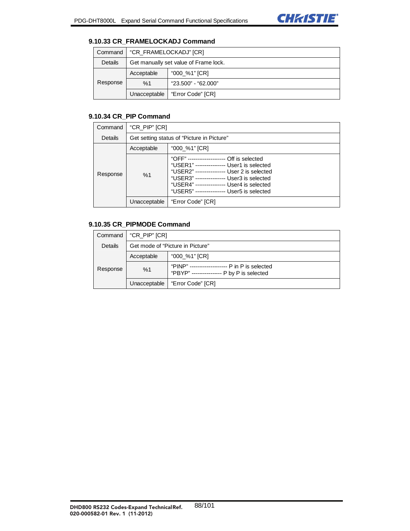

#### **9.10.33 CR\_FRAMELOCKADJ Command**

| Command        | "CR FRAMELOCKADJ" [CR]                |                     |
|----------------|---------------------------------------|---------------------|
| <b>Details</b> | Get manually set value of Frame lock. |                     |
|                | Acceptable                            | "000_%1" [CR]       |
| Response       | %1                                    | "23.500" - "62.000" |
|                | Unacceptable                          | "Error Code" [CR]   |

## **9.10.34 CR\_PIP Command**

| Command  | "CR_PIP" [CR]                              |                                                                                                                                                                                                                                                                                         |
|----------|--------------------------------------------|-----------------------------------------------------------------------------------------------------------------------------------------------------------------------------------------------------------------------------------------------------------------------------------------|
| Details  | Get setting status of "Picture in Picture" |                                                                                                                                                                                                                                                                                         |
|          | Acceptable                                 | "000_%1" [CR]                                                                                                                                                                                                                                                                           |
| Response | %1                                         | "OFF" --------------------<br>-- Off is selected<br>"USER1" ---------------- User1 is selected<br>"USER2" ---------------- User 2 is selected<br>"USER3" ---------------- User3 is selected<br>"USER4" ---------------- User4 is selected<br>"USER5" ---------------- User5 is selected |
|          | Unacceptable                               | "Error Code" [CR]                                                                                                                                                                                                                                                                       |

## **9.10.35 CR\_PIPMODE Command**

| Command  | "CR_PIP" [CR]                    |                                                                                              |
|----------|----------------------------------|----------------------------------------------------------------------------------------------|
| Details  | Get mode of "Picture in Picture" |                                                                                              |
| Response | Acceptable                       | "000_%1" [CR]                                                                                |
|          | %1                               | "PINP" -------------------- P in P is selected<br>"PBYP" ---------------- P by P is selected |
|          | Unacceptable                     | Error Code" [CR]                                                                             |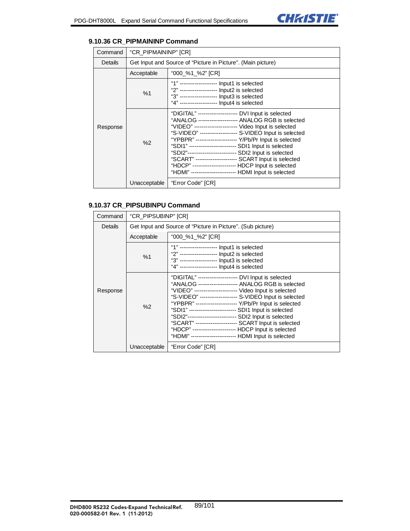#### **9.10.36 CR\_PIPMAININP Command**

| Command  | "CR_PIPMAININP" [CR] |                                                                                                                                                                                                                                                                                                                                                                                                                                                                                                                                                                                              |  |
|----------|----------------------|----------------------------------------------------------------------------------------------------------------------------------------------------------------------------------------------------------------------------------------------------------------------------------------------------------------------------------------------------------------------------------------------------------------------------------------------------------------------------------------------------------------------------------------------------------------------------------------------|--|
| Details  |                      | Get Input and Source of "Picture in Picture". (Main picture)                                                                                                                                                                                                                                                                                                                                                                                                                                                                                                                                 |  |
|          | Acceptable           | "000_%1_%2" [CR]                                                                                                                                                                                                                                                                                                                                                                                                                                                                                                                                                                             |  |
|          | %1                   | "1" ------------------- Input1 is selected<br>"2" -------------------- Input2 is selected<br>"3" ------------------- Input3 is selected<br>"4" -------------------- Input4 is selected                                                                                                                                                                                                                                                                                                                                                                                                       |  |
| Response | %2                   | "DIGITAL" -------------------- DVI Input is selected<br>"ANALOG -------------------- ANALOG RGB is selected<br>"VIDEO" ---------------------- Video Input is selected<br>"S-VIDEO" ------------------- S-VIDEO Input is selected<br>"YPBPR" --------------------- Y/Pb/Pr Input is selected<br>"SDI1" ------------------------- SDI1 Input is selected<br>"SDI2"-------------------------- SDI2 Input is selected<br>"SCART" ---------------------- SCART Input is selected<br>"HDCP" ---------------------- HDCP Input is selected<br>"HDMI" ----------------------- HDMI Input is selected |  |
|          | Unacceptable         | "Error Code" [CR]                                                                                                                                                                                                                                                                                                                                                                                                                                                                                                                                                                            |  |

## **9.10.37 CR\_PIPSUBINPU Command**

| Command        | "CR_PIPSUBINP" [CR] |                                                                                                                                                                                                                                                                                                                                                                                                                                                                                                                                                                                               |
|----------------|---------------------|-----------------------------------------------------------------------------------------------------------------------------------------------------------------------------------------------------------------------------------------------------------------------------------------------------------------------------------------------------------------------------------------------------------------------------------------------------------------------------------------------------------------------------------------------------------------------------------------------|
| <b>Details</b> |                     | Get Input and Source of "Picture in Picture". (Sub picture)                                                                                                                                                                                                                                                                                                                                                                                                                                                                                                                                   |
|                | Acceptable          | "000_%1_%2" [CR]                                                                                                                                                                                                                                                                                                                                                                                                                                                                                                                                                                              |
| Response       | %1                  | "1" -------------------- Input1 is selected<br>"2" ------------------- Input2 is selected<br>"3" -------------------- Input3 is selected<br>"4" -------------------- Input4 is selected                                                                                                                                                                                                                                                                                                                                                                                                       |
|                | %2                  | "DIGITAL" -------------------- DVI Input is selected<br>"ANALOG -------------------- ANALOG RGB is selected<br>"VIDEO" ---------------------- Video Input is selected<br>"S-VIDEO" ------------------- S-VIDEO Input is selected<br>"YPBPR" --------------------- Y/Pb/Pr Input is selected<br>"SDI1" ------------------------- SDI1 Input is selected<br>"SDI2"-------------------------- SDI2 Input is selected<br>"SCART" ---------------------- SCART Input is selected<br>"HDCP" ---------------------- HDCP Input is selected<br>"HDMI" ------------------------ HDMI Input is selected |
|                | Unacceptable        | "Error Code" [CR]                                                                                                                                                                                                                                                                                                                                                                                                                                                                                                                                                                             |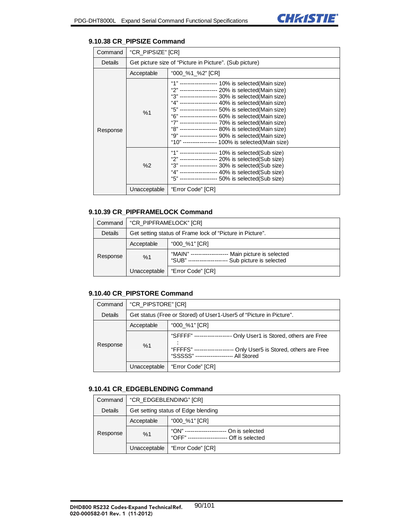

#### **9.10.38 CR\_PIPSIZE Command**

| Command  | "CR PIPSIZE" [CR] |                                                                                                                                                                                                                                                                                                                                                                                                                                                                                                                                                          |
|----------|-------------------|----------------------------------------------------------------------------------------------------------------------------------------------------------------------------------------------------------------------------------------------------------------------------------------------------------------------------------------------------------------------------------------------------------------------------------------------------------------------------------------------------------------------------------------------------------|
| Details  |                   | Get picture size of "Picture in Picture". (Sub picture)                                                                                                                                                                                                                                                                                                                                                                                                                                                                                                  |
|          | Acceptable        | "000_%1_%2" [CR]                                                                                                                                                                                                                                                                                                                                                                                                                                                                                                                                         |
| Response | %1                | "1" ------------------- 10% is selected(Main size)<br>"2" ------------------- 20% is selected(Main size)<br>"3" ------------------- 30% is selected(Main size)<br>"4" ------------------- 40% is selected(Main size)<br>"5" ------------------- 50% is selected(Main size)<br>"6" ------------------- 60% is selected(Main size)<br>"7" ------------------- 70% is selected(Main size)<br>"8" ------------------- 80% is selected(Main size)<br>"9" ------------------- 90% is selected(Main size)<br>"10" ----------------- 100% is selected(Main size) |
|          | %2                | "1" ------------------- 10% is selected(Sub size)<br>"2" ------------------- 20% is selected(Sub size)<br>"3" ------------------- 30% is selected(Sub size)<br>"4" ------------------- 40% is selected(Sub size)<br>"5" ------------------- 50% is selected(Sub size)                                                                                                                                                                                                                                                                                    |
|          | Unacceptable      | "Error Code" [CR]                                                                                                                                                                                                                                                                                                                                                                                                                                                                                                                                        |

## **9.10.39 CR\_PIPFRAMELOCK Command**

| Command  | "CR PIPFRAMELOCK" [CR]                                    |                                                                                                     |
|----------|-----------------------------------------------------------|-----------------------------------------------------------------------------------------------------|
| Details  | Get setting status of Frame lock of "Picture in Picture". |                                                                                                     |
| Response | Acceptable                                                | "000 %1" [CR]                                                                                       |
|          | %1                                                        | "MAIN" ------------<br>Main picture is selected<br>Sub picture is selected<br>"SUB" --------------- |
|          | Unacceptable                                              | "Error Code" [CR]                                                                                   |

## **9.10.40 CR\_PIPSTORE Command**

| Command  | "CR PIPSTORE" [CR]                                                  |                                                                                                                                               |
|----------|---------------------------------------------------------------------|-----------------------------------------------------------------------------------------------------------------------------------------------|
| Details  | Get status (Free or Stored) of User1-User5 of "Picture in Picture". |                                                                                                                                               |
|          | Acceptable                                                          | "000 %1" [CR]                                                                                                                                 |
| Response | %1                                                                  | "SFFFF" ---<br>Only User1 is Stored, others are Free<br>"FFFFS" ---<br>Only User5 is Stored, others are Free<br>"SSSSS" ----<br>-- All Stored |
|          | Unacceptable                                                        | "Error Code" [CR]                                                                                                                             |

#### **9.10.41 CR\_EDGEBLENDING Command**

| Command  | "CR EDGEBLENDING" [CR]              |                                                                                    |
|----------|-------------------------------------|------------------------------------------------------------------------------------|
| Details  | Get setting status of Edge blending |                                                                                    |
| Response | Acceptable                          | "000_%1" [CR]                                                                      |
|          | %1                                  | "ON" --------------<br>On is selected<br>"OFF" ----------------<br>Off is selected |
|          | Unacceptable                        | "Error Code" [CR]                                                                  |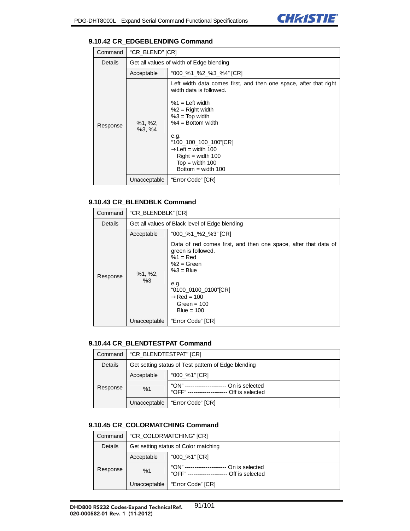

### **9.10.42 CR\_EDGEBLENDING Command**

| Command  | "CR_BLEND" [CR]         |                                                                                                                                                                                                                                                                                                               |
|----------|-------------------------|---------------------------------------------------------------------------------------------------------------------------------------------------------------------------------------------------------------------------------------------------------------------------------------------------------------|
| Details  |                         | Get all values of width of Edge blending                                                                                                                                                                                                                                                                      |
|          | Acceptable              | "000_%1_%2_%3_%4" [CR]                                                                                                                                                                                                                                                                                        |
| Response | $%1, \%2,$<br>$%3, \%4$ | Left width data comes first, and then one space, after that right<br>width data is followed.<br>$%1 =$ Left width<br>$%2 =$ Right width<br>$%3 = Top width$<br>$%4 = Bottom width$<br>e.g.<br>"100_100_100_100"[CR]<br>Left = width $100$<br>$Right = width 100$<br>$Top = width 100$<br>Bottom = width $100$ |
|          | Unacceptable            | "Error Code" [CR]                                                                                                                                                                                                                                                                                             |

### **9.10.43 CR\_BLENDBLK Command**

| Command  | "CR BLENDBLK" [CR]                             |                                                                                                                                                                                                                    |
|----------|------------------------------------------------|--------------------------------------------------------------------------------------------------------------------------------------------------------------------------------------------------------------------|
| Details  | Get all values of Black level of Edge blending |                                                                                                                                                                                                                    |
|          | Acceptable                                     | "000_%1_%2_%3" [CR]                                                                                                                                                                                                |
| Response | $%1, \%2,$<br>%3                               | Data of red comes first, and then one space, after that data of<br>green is followed.<br>$%1 = Red$<br>$%2 = Green$<br>$%3 =$ Blue<br>e.g.<br>"0100_0100_0100"[CR]<br>$Red = 100$<br>Green = $100$<br>Blue = $100$ |
|          | Unacceptable                                   | "Error Code" [CR]                                                                                                                                                                                                  |

#### **9.10.44 CR\_BLENDTESTPAT Command**

| Command  | "CR BLENDTESTPAT" [CR]                              |                                                                                               |
|----------|-----------------------------------------------------|-----------------------------------------------------------------------------------------------|
| Details  | Get setting status of Test pattern of Edge blending |                                                                                               |
| Response | Acceptable                                          | "000 %1" [CR]                                                                                 |
|          | %1                                                  | "ON" -----------------------<br>On is selected<br>"OFF" --------------------- Off is selected |
|          | Unacceptable                                        | "Error Code" [CR]                                                                             |

## **9.10.45 CR\_COLORMATCHING Command**

|  | Command  | "CR COLORMATCHING" [CR]              |                                                                                          |
|--|----------|--------------------------------------|------------------------------------------------------------------------------------------|
|  | Details  | Get setting status of Color matching |                                                                                          |
|  | Response | Acceptable                           | "000_%1" [CR]                                                                            |
|  |          | %1                                   | "ON" -----------------<br>On is selected<br>"OFF" ----------------<br>-- Off is selected |
|  |          | Unacceptable                         | "Error Code" [CR]                                                                        |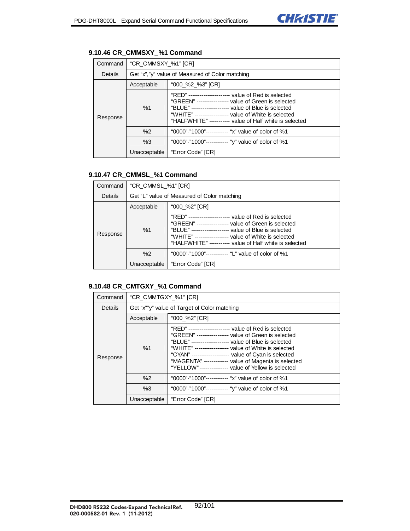| Command  | "CR_CMMSXY_%1" [CR]                             |                                                                                                                                                                                                                                                                                          |
|----------|-------------------------------------------------|------------------------------------------------------------------------------------------------------------------------------------------------------------------------------------------------------------------------------------------------------------------------------------------|
| Details  | Get "x","y" value of Measured of Color matching |                                                                                                                                                                                                                                                                                          |
| Response | Acceptable                                      | "000_%2_%3" [CR]                                                                                                                                                                                                                                                                         |
|          | %1                                              | "RED" --------------------- value of Red is selected<br>"GREEN" ----------------- value of Green is selected<br>"BLUE" -------------------- value of Blue is selected<br>"WHITE" ----------------- value of White is selected<br>"HALFWHITE" ----------- value of Half white is selected |
|          | %2                                              | "0000"-"1000"------------ "x" value of color of %1                                                                                                                                                                                                                                       |
|          | %3                                              | "0000"-"1000"------------ "y" value of color of %1                                                                                                                                                                                                                                       |
|          | Unacceptable                                    | "Error Code" [CR]                                                                                                                                                                                                                                                                        |

# **9.10.46 CR\_CMMSXY\_%1 Command**

## **9.10.47 CR\_CMMSL\_%1 Command**

| Command  | "CR_CMMSL_%1" [CR]                          |                                                                                                                                                                                                                                                                                          |
|----------|---------------------------------------------|------------------------------------------------------------------------------------------------------------------------------------------------------------------------------------------------------------------------------------------------------------------------------------------|
| Details  | Get "L" value of Measured of Color matching |                                                                                                                                                                                                                                                                                          |
|          | "000_%2" [CR]<br>Acceptable                 |                                                                                                                                                                                                                                                                                          |
| Response | %1                                          | "RED" --------------------- value of Red is selected<br>"GREEN" ----------------- value of Green is selected<br>"BLUE" -------------------- value of Blue is selected<br>"WHITE" ----------------- value of White is selected<br>"HALFWHITE" ----------- value of Half white is selected |
|          | %2                                          | "0000"-"1000"------------ "L" value of color of %1                                                                                                                                                                                                                                       |
|          | Unacceptable                                | "Error Code" [CR]                                                                                                                                                                                                                                                                        |

### **9.10.48 CR\_CMTGXY\_%1 Command**

| Command  | "CR_CMMTGXY_%1" [CR]                         |                                                                                                                                                                                                                                                                                                                                                                                                        |
|----------|----------------------------------------------|--------------------------------------------------------------------------------------------------------------------------------------------------------------------------------------------------------------------------------------------------------------------------------------------------------------------------------------------------------------------------------------------------------|
| Details  | Get "x""y" value of Target of Color matching |                                                                                                                                                                                                                                                                                                                                                                                                        |
|          | Acceptable                                   | "000_%2" [CR]                                                                                                                                                                                                                                                                                                                                                                                          |
| Response | %1                                           | "RED" ---------------------- value of Red is selected<br>"GREEN" ----------------- value of Green is selected<br>"BLUE" -------------------- value of Blue is selected<br>"WHITE" ----------------- value of White is selected<br>"CYAN" ------------------- value of Cyan is selected<br>"MAGENTA" ------------- value of Magenta is selected<br>"YELLOW" --------------- value of Yellow is selected |
|          | %2                                           | "0000"-"1000"------------ "x" value of color of %1                                                                                                                                                                                                                                                                                                                                                     |
|          | %3                                           | "0000"-"1000"------------ "y" value of color of %1                                                                                                                                                                                                                                                                                                                                                     |
|          | Unacceptable                                 | "Error Code" [CR]                                                                                                                                                                                                                                                                                                                                                                                      |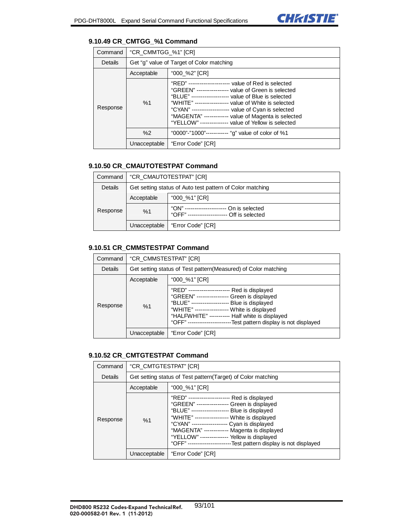## **9.10.49 CR\_CMTGG\_%1 Command**

| Command  | "CR_CMMTGG_%1" [CR]                       |                                                                                                                                                                                                                                                                                                                                                                                                       |
|----------|-------------------------------------------|-------------------------------------------------------------------------------------------------------------------------------------------------------------------------------------------------------------------------------------------------------------------------------------------------------------------------------------------------------------------------------------------------------|
| Details  | Get "g" value of Target of Color matching |                                                                                                                                                                                                                                                                                                                                                                                                       |
|          | Acceptable                                | "000_%2" [CR]                                                                                                                                                                                                                                                                                                                                                                                         |
| Response | %1                                        | "RED" --------------------- value of Red is selected<br>"GREEN" ----------------- value of Green is selected<br>"BLUE" -------------------- value of Blue is selected<br>"WHITE" ------------------ value of White is selected<br>"CYAN" ------------------- value of Cyan is selected<br>"MAGENTA" ------------ value of Magenta is selected<br>"YELLOW" --------------- value of Yellow is selected |
|          | %2                                        | "0000"-"1000"----------- "g" value of color of %1                                                                                                                                                                                                                                                                                                                                                     |
|          | Unacceptable                              | "Error Code" [CR]                                                                                                                                                                                                                                                                                                                                                                                     |

# **9.10.50 CR\_CMAUTOTESTPAT Command**

| Command  | "CR CMAUTOTESTPAT" [CR]                                   |                                                                                             |
|----------|-----------------------------------------------------------|---------------------------------------------------------------------------------------------|
| Details  | Get setting status of Auto test pattern of Color matching |                                                                                             |
| Response | Acceptable                                                | "000_%1" [CR]                                                                               |
|          | %1                                                        | "ON" -----------------<br>On is selected<br>"ОFF" ----------------------<br>Off is selected |
|          |                                                           | Unacceptable   "Error Code" [CR]                                                            |

### **9.10.51 CR\_CMMSTESTPAT Command**

| Command  | "CR CMMSTESTPAT" [CR]                                           |                                                                                                                                                                                                                                                                                                                          |
|----------|-----------------------------------------------------------------|--------------------------------------------------------------------------------------------------------------------------------------------------------------------------------------------------------------------------------------------------------------------------------------------------------------------------|
| Details  | Get setting status of Test pattern (Measured) of Color matching |                                                                                                                                                                                                                                                                                                                          |
|          | Acceptable                                                      | "000_%1" [CR]                                                                                                                                                                                                                                                                                                            |
| Response | %1                                                              | "RED" -----------------<br>-- Red is displayed<br>"GREEN" ----------------- Green is displayed<br>"BLUE" -------------------- Blue is displayed<br>"WHITE" ----------------- White is displayed<br>"HALFWHITE" ----------- Half white is displayed<br>-Test pattern display is not displayed<br>"OFF" ------------------ |
|          | Unacceptable                                                    | "Error Code" [CR]                                                                                                                                                                                                                                                                                                        |

## **9.10.52 CR\_CMTGTESTPAT Command**

| Command  | "CR CMTGTESTPAT" [CR]                                        |                                                                                                                                                                                                                                                                                                                                                                                                          |
|----------|--------------------------------------------------------------|----------------------------------------------------------------------------------------------------------------------------------------------------------------------------------------------------------------------------------------------------------------------------------------------------------------------------------------------------------------------------------------------------------|
| Details  | Get setting status of Test pattern(Target) of Color matching |                                                                                                                                                                                                                                                                                                                                                                                                          |
|          | Acceptable                                                   | "000_%1" [CR]                                                                                                                                                                                                                                                                                                                                                                                            |
| Response | %1                                                           | "RED" ---------------------- Red is displayed<br>"GREEN" ---------------- Green is displayed<br>"BLUE" -------------------- Blue is displayed<br>"WHITE" ----------------- White is displayed<br>"CYAN" ------------------ Cyan is displayed<br>"MAGENTA" ------------ Magenta is displayed<br>"YELLOW" -------------- Yellow is displayed<br>-Test pattern display is not displayed<br>"OFF" ---------- |
|          | Unacceptable                                                 | "Error Code" [CR]                                                                                                                                                                                                                                                                                                                                                                                        |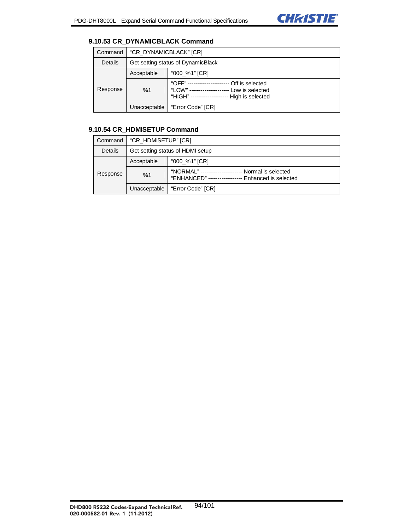

### **9.10.53 CR\_DYNAMICBLACK Command**

| Command  | "CR DYNAMICBLACK" [CR]             |                                                                                                                         |
|----------|------------------------------------|-------------------------------------------------------------------------------------------------------------------------|
| Details  | Get setting status of DynamicBlack |                                                                                                                         |
|          | Acceptable                         | "000 %1" [CR]                                                                                                           |
| Response | %1                                 | "OFF" -----------------<br>Off is selected<br>"LOW" ---<br>Low is selected<br>"HIGH" --------------<br>High is selected |
|          | Unacceptable                       | "Error Code" [CR]                                                                                                       |

## **9.10.54 CR\_HDMISETUP Command**

| Command  | "CR_HDMISETUP" [CR]              |                                                                                                        |
|----------|----------------------------------|--------------------------------------------------------------------------------------------------------|
| Details  | Get setting status of HDMI setup |                                                                                                        |
| Response | Acceptable                       | "000_%1" [CR]                                                                                          |
|          | %1                               | "NORMAL" ------------<br>Normal is selected<br>"ENHANCED" -------------<br><b>Enhanced is selected</b> |
|          | Unacceptable                     | "Error Code" [CR]                                                                                      |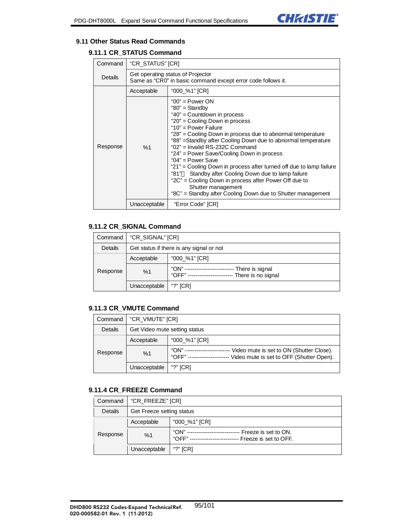

#### **9.11 Other Status Read Commands**

## **9.11.1 CR\_STATUS Command**

| Command  | "CR STATUS" [CR]                                                                                  |                                                                                                                                                                                                                                                                                                                                                                                                                                                                                                                                                                                                                                                            |
|----------|---------------------------------------------------------------------------------------------------|------------------------------------------------------------------------------------------------------------------------------------------------------------------------------------------------------------------------------------------------------------------------------------------------------------------------------------------------------------------------------------------------------------------------------------------------------------------------------------------------------------------------------------------------------------------------------------------------------------------------------------------------------------|
| Details  | Get operating status of Projector<br>Same as "CR0" in basic command except error code follows it. |                                                                                                                                                                                                                                                                                                                                                                                                                                                                                                                                                                                                                                                            |
|          | Acceptable                                                                                        | "000_%1" [CR]                                                                                                                                                                                                                                                                                                                                                                                                                                                                                                                                                                                                                                              |
| Response | %1                                                                                                | " $00"$ = Power ON<br>" $80$ " = Standby<br>"40" = Countdown in process<br>"20" = Cooling Down in process<br>" $10"$ = Power Failure<br>"28" = Cooling Down in process due to abnormal temperature<br>"88" = Standby after Cooling Down due to abnormal temperature<br>"02" = Invalid RS-232C Command<br>"24" = Power Save/Cooling Down in process<br>" $04$ " = Power Save<br>"21" = Cooling Down in process after turned off due to lamp failure<br>Standby after Cooling Down due to lamp failure<br>"81"<br>"2C" = Cooling Down in process after Power Off due to<br>Shutter management<br>"8C" = Standby after Cooling Down due to Shutter management |
|          | Unacceptable                                                                                      | "Error Code" [CR]                                                                                                                                                                                                                                                                                                                                                                                                                                                                                                                                                                                                                                          |

## **9.11.2 CR\_SIGNAL Command**

| Command  | "CR_SIGNAL" [CR]                         |                                                                |
|----------|------------------------------------------|----------------------------------------------------------------|
| Details  | Get status if there is any signal or not |                                                                |
| Response | Acceptable                               | "000_%1" [CR]                                                  |
|          | %1                                       | "ON" ---<br>There is signal<br>"OFF" ---<br>There is no signal |
|          | Unacceptable                             | "?" $[CR]$                                                     |

## **9.11.3 CR\_VMUTE Command**

| Command  | "CR_VMUTE" [CR]               |                                                                                                       |
|----------|-------------------------------|-------------------------------------------------------------------------------------------------------|
| Details  | Get Video mute setting status |                                                                                                       |
| Response | Acceptable                    | "000 %1" [CR]                                                                                         |
|          | %1                            | "ON"<br>Video mute is set to ON (Shutter Close).<br>"OFF"<br>Video mute is set to OFF (Shutter Open). |
|          | Unacceptable                  | "?" $ICRI$                                                                                            |

### **9.11.4 CR\_FREEZE Command**

| Command  | "CR_FREEZE" [CR]          |                                                                |
|----------|---------------------------|----------------------------------------------------------------|
| Details  | Get Freeze setting status |                                                                |
| Response | Acceptable                | "000_%1" [CR]                                                  |
|          | %1                        | "ON"<br>Freeze is set to ON.<br>"OFF"<br>Freeze is set to OFF. |
|          | Unacceptable              | "?" $ICRI$                                                     |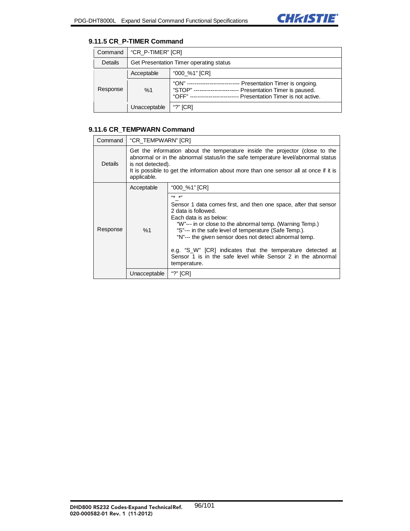

## **9.11.5 CR\_P-TIMER Command**

| Command  | "CR P-TIMER" [CR]                       |                                                                                                                                        |
|----------|-----------------------------------------|----------------------------------------------------------------------------------------------------------------------------------------|
| Details  | Get Presentation Timer operating status |                                                                                                                                        |
| Response | Acceptable                              | "000 %1" [CR]                                                                                                                          |
|          | %1                                      | "ON" --<br>Presentation Timer is ongoing.<br>"STOP"<br>Presentation Timer is paused.<br>Presentation Timer is not active.<br>$"OFF" -$ |
|          | Unacceptable                            | "?" $ICRI$                                                                                                                             |

## **9.11.6 CR\_TEMPWARN Command**

| Command  | "CR_TEMPWARN" [CR]                                                                                                                                                                                                                                                                            |                                                                                                                                                                                                                                                                                                                                                                                                                                                           |
|----------|-----------------------------------------------------------------------------------------------------------------------------------------------------------------------------------------------------------------------------------------------------------------------------------------------|-----------------------------------------------------------------------------------------------------------------------------------------------------------------------------------------------------------------------------------------------------------------------------------------------------------------------------------------------------------------------------------------------------------------------------------------------------------|
| Details  | Get the information about the temperature inside the projector (close to the<br>abnormal or in the abnormal status/in the safe temperature level/abnormal status<br>is not detected).<br>It is possible to get the information about more than one sensor all at once if it is<br>applicable. |                                                                                                                                                                                                                                                                                                                                                                                                                                                           |
|          | Acceptable                                                                                                                                                                                                                                                                                    | "000_%1" [CR]                                                                                                                                                                                                                                                                                                                                                                                                                                             |
| Response | %1                                                                                                                                                                                                                                                                                            | (4大 大))<br>Sensor 1 data comes first, and then one space, after that sensor<br>2 data is followed.<br>Each data is as below:<br>"W"--- in or close to the abnormal temp. (Warning Temp.)<br>"S"--- in the safe level of temperature (Safe Temp.).<br>"N"--- the given sensor does not detect abnormal temp.<br>e.g. "S_W" [CR] indicates that the temperature detected at<br>Sensor 1 is in the safe level while Sensor 2 in the abnormal<br>temperature. |
|          | Unacceptable                                                                                                                                                                                                                                                                                  | "?" [CR]                                                                                                                                                                                                                                                                                                                                                                                                                                                  |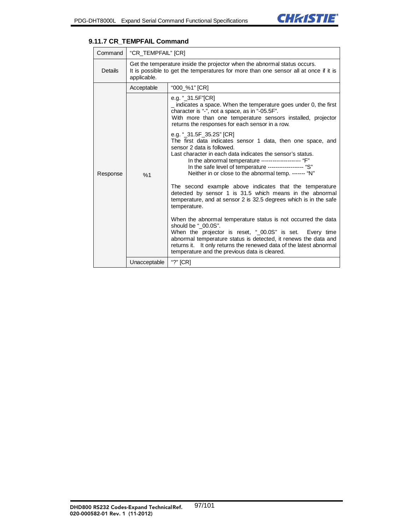

### **9.11.7 CR\_TEMPFAIL Command**

| Command  | "CR_TEMPFAIL" [CR]                                                                                                                                                               |                                                                                                                                                                                                                                                                                                                                                                 |
|----------|----------------------------------------------------------------------------------------------------------------------------------------------------------------------------------|-----------------------------------------------------------------------------------------------------------------------------------------------------------------------------------------------------------------------------------------------------------------------------------------------------------------------------------------------------------------|
| Details  | Get the temperature inside the projector when the abnormal status occurs.<br>It is possible to get the temperatures for more than one sensor all at once if it is<br>applicable. |                                                                                                                                                                                                                                                                                                                                                                 |
|          | Acceptable                                                                                                                                                                       | "000_%1" [CR]                                                                                                                                                                                                                                                                                                                                                   |
| Response |                                                                                                                                                                                  | e.g. "_31.5F"[CR]<br>$\_$ indicates a space. When the temperature goes under 0, the first<br>character is "-", not a space, as in "-05.5F".<br>With more than one temperature sensors installed, projector<br>returns the responses for each sensor in a row.                                                                                                   |
|          | %1                                                                                                                                                                               | e.g. "_31.5F_35.2S" [CR]<br>The first data indicates sensor 1 data, then one space, and<br>sensor 2 data is followed.<br>Last character in each data indicates the sensor's status.<br>In the abnormal temperature -------------------- "F"<br>In the safe level of temperature ------------------ "S"<br>Neither in or close to the abnormal temp. ------- "N" |
|          |                                                                                                                                                                                  | The second example above indicates that the temperature<br>detected by sensor 1 is 31.5 which means in the abnormal<br>temperature, and at sensor 2 is 32.5 degrees which is in the safe<br>temperature.                                                                                                                                                        |
|          |                                                                                                                                                                                  | When the abnormal temperature status is not occurred the data<br>should be "_00.0S".<br>When the projector is reset, "_00.0S" is set. Every time<br>abnormal temperature status is detected, it renews the data and<br>returns it. It only returns the renewed data of the latest abnormal<br>temperature and the previous data is cleared.                     |
|          | Unacceptable                                                                                                                                                                     | "?" [CR]                                                                                                                                                                                                                                                                                                                                                        |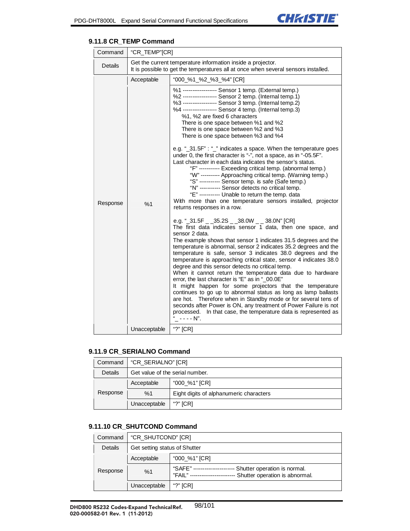┑

| Command        | "CR_TEMP"[CR] |                                                                                                                                                                                                                                                                                                                                                                                                                                                                                                                                                                                                                                                                                                                                                                                                                                                                                                                                                                                                                                                                                                                                                                                                                                                                                                                                                                                                                                                                                                                                                                                                                                                                                                                                                                                                                                                                                                                               |
|----------------|---------------|-------------------------------------------------------------------------------------------------------------------------------------------------------------------------------------------------------------------------------------------------------------------------------------------------------------------------------------------------------------------------------------------------------------------------------------------------------------------------------------------------------------------------------------------------------------------------------------------------------------------------------------------------------------------------------------------------------------------------------------------------------------------------------------------------------------------------------------------------------------------------------------------------------------------------------------------------------------------------------------------------------------------------------------------------------------------------------------------------------------------------------------------------------------------------------------------------------------------------------------------------------------------------------------------------------------------------------------------------------------------------------------------------------------------------------------------------------------------------------------------------------------------------------------------------------------------------------------------------------------------------------------------------------------------------------------------------------------------------------------------------------------------------------------------------------------------------------------------------------------------------------------------------------------------------------|
| <b>Details</b> |               | Get the current temperature information inside a projector.<br>It is possible to get the temperatures all at once when several sensors installed.                                                                                                                                                                                                                                                                                                                                                                                                                                                                                                                                                                                                                                                                                                                                                                                                                                                                                                                                                                                                                                                                                                                                                                                                                                                                                                                                                                                                                                                                                                                                                                                                                                                                                                                                                                             |
|                | Acceptable    | "000_%1_%2_%3_%4" [CR]                                                                                                                                                                                                                                                                                                                                                                                                                                                                                                                                                                                                                                                                                                                                                                                                                                                                                                                                                                                                                                                                                                                                                                                                                                                                                                                                                                                                                                                                                                                                                                                                                                                                                                                                                                                                                                                                                                        |
| Response       | %1            | %1 ----------------- Sensor 1 temp. (External temp.)<br>%2 ----------------- Sensor 2 temp. (Internal temp.1)<br>%3 ----------------- Sensor 3 temp. (Internal temp.2)<br>%4 ----------------- Sensor 4 temp. (Internal temp.3)<br>%1, %2 are fixed 6 characters<br>There is one space between %1 and %2<br>There is one space between %2 and %3<br>There is one space between %3 and %4<br>e.g. "_31.5F" : "_" indicates a space. When the temperature goes<br>under 0, the first character is "-", not a space, as in "-05.5F".<br>Last character in each data indicates the sensor's status.<br>"F" ----------- Exceeding critical temp. (abnormal temp.)<br>"W" ---------- Approaching critical temp. (Warning temp.)<br>"S" ---------- Sensor temp. is safe (Safe temp.)<br>"N" ---------- Sensor detects no critical temp.<br>"E" ---------- Unable to return the temp. data<br>With more than one temperature sensors installed, projector<br>returns responses in a row.<br>e.g. "_31.5F _ _35.2S _ _38.0W _ _ 38.0N" [CR]<br>The first data indicates sensor 1 data, then one space, and<br>sensor 2 data.<br>The example shows that sensor 1 indicates 31.5 degrees and the<br>temperature is abnormal, sensor 2 indicates 35.2 degrees and the<br>temperature is safe, sensor 3 indicates 38.0 degrees and the<br>temperature is approaching critical state, sensor 4 indicates 38.0<br>degree and this sensor detects no critical temp.<br>When it cannot return the temperature data due to hardware<br>error, the last character is "E" as in "_00.0E"<br>It might happen for some projectors that the temperature<br>continues to go up to abnormal status as long as lamp ballasts<br>are hot. Therefore when in Standby mode or for several tens of<br>seconds after Power is ON, any treatment of Power Failure is not<br>processed. In that case, the temperature data is represented as<br>"_ - - - - N". |
|                | Unacceptable  | "?" [CR]                                                                                                                                                                                                                                                                                                                                                                                                                                                                                                                                                                                                                                                                                                                                                                                                                                                                                                                                                                                                                                                                                                                                                                                                                                                                                                                                                                                                                                                                                                                                                                                                                                                                                                                                                                                                                                                                                                                      |

#### **9.11.8 CR\_TEMP Command**

#### **9.11.9 CR\_SERIALNO Command**

| Command  | "CR SERIALNO" [CR]              |                                         |
|----------|---------------------------------|-----------------------------------------|
| Details  | Get value of the serial number. |                                         |
| Response | Acceptable                      | "000_%1" [CR]                           |
|          | %1                              | Eight digits of alphanumeric characters |
|          | Unacceptable                    | "?" $ICRI$                              |

#### **9.11.10 CR\_SHUTCOND Command**

| Command  | "CR_SHUTCOND" [CR]            |                                                                                           |  |
|----------|-------------------------------|-------------------------------------------------------------------------------------------|--|
| Details  | Get setting status of Shutter |                                                                                           |  |
| Response | Acceptable                    | "000 %1" [CR]                                                                             |  |
|          | %1                            | "SAFE" --<br>Shutter operation is normal.<br>Shutter operation is abnormal.<br>"FAII " -- |  |
|          | Unacceptable                  | "?" $ICRI$                                                                                |  |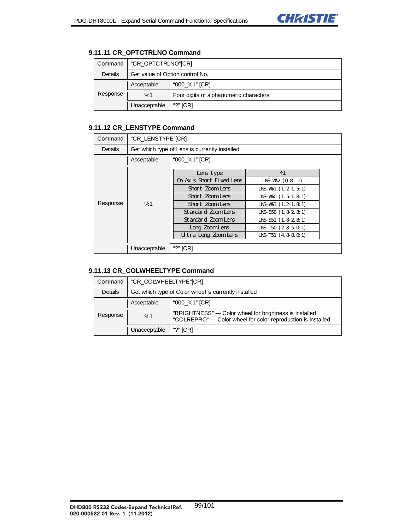# **9.11.11 CR\_OPTCTRLNO Command**

| Command  | "CR OPTCTRLNO" [CR]             |                                        |  |
|----------|---------------------------------|----------------------------------------|--|
| Details  | Get value of Option control No. |                                        |  |
| Response | Acceptable                      | "000 %1" [CR]                          |  |
|          | %1                              | Four digits of alphanumeric characters |  |
|          | Unacceptable                    | "?" $ICRI$                             |  |

## **9.11.12 CR\_LENSTYPE Command**

| Command  | "CR LENSTYPE"[CR]                             |                                                                                                                                                                              |                                                                                                                                                                                           |  |
|----------|-----------------------------------------------|------------------------------------------------------------------------------------------------------------------------------------------------------------------------------|-------------------------------------------------------------------------------------------------------------------------------------------------------------------------------------------|--|
| Details  | Get which type of Lens is currently installed |                                                                                                                                                                              |                                                                                                                                                                                           |  |
|          | Acceptable                                    | "000_%1" [CR]                                                                                                                                                                |                                                                                                                                                                                           |  |
| Response | %1                                            | Lens type<br>On Axis Short Fixed Lens<br>Short ZoomLens<br>Short ZoomLens<br>Short ZoomLens<br>Standard ZoomLens<br>Standard ZoomLens<br>Long ZoomLens<br>Utra Long ZoomLens | %<br>$LNS-W52 (0.8 1)$<br>$LNS-W51$ (1, 2, 1, 5, 1)<br>INS-V50 (1.5-1.8-1)<br>LNS-V\$3 (1.2-1.8 1)<br>LNS-S50 (1, 8-2, 8-1)<br>LNS-S51 (1.8-28)<br>$LNS-T50$ $(28501)$<br>LNS-T51 (48801) |  |
|          |                                               |                                                                                                                                                                              |                                                                                                                                                                                           |  |
|          | Unacceptable                                  | "?" [CR]                                                                                                                                                                     |                                                                                                                                                                                           |  |

# **9.11.13 CR\_COLWHEELTYPE Command**

| Command  | "CR_COLWHEELTYPE"[CR]                                |                                                                                                                            |  |
|----------|------------------------------------------------------|----------------------------------------------------------------------------------------------------------------------------|--|
| Details  | Get which type of Color wheel is currently installed |                                                                                                                            |  |
| Response | Acceptable                                           | "000 %1" [CR]                                                                                                              |  |
|          | %1                                                   | "BRIGHTNESS" --- Color wheel for brightness is installed<br>"COLREPRO" --- Color wheel for color reproduction is installed |  |
|          | Unacceptable                                         | "?" $ICRI$                                                                                                                 |  |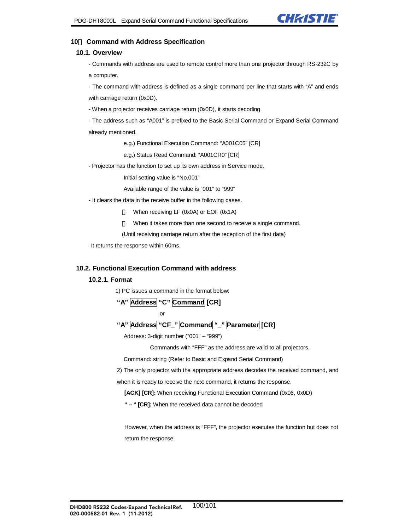

#### **10**. **Command with Address Specification**

#### **10.1. Overview**

- Commands with address are used to remote control more than one projector through RS-232C by a computer.

- The command with address is defined as a single command per line that starts with "A" and ends with carriage return (0x0D).

- When a projector receives carriage return (0x0D), it starts decoding.

- The address such as "A001" is prefixed to the Basic Serial Command or Expand Serial Command

already mentioned.

e.g.) Functional Execution Command: "A001C05" [CR]

e.g.) Status Read Command: "A001CR0" [CR]

- Projector has the function to set up its own address in Service mode.

Initial setting value is "No.001"

Available range of the value is "001" to "999"

- It clears the data in the receive buffer in the following cases.

When receiving LF (0x0A) or EOF (0x1A)

When it takes more than one second to receive a single command.

(Until receiving carriage return after the reception of the first data)

- It returns the response within 60ms.

#### **10.2. Functional Execution Command with address**

#### **10.2.1. Format**

1) PC issues a command in the format below:

**"A" Address "C" Command [CR]** 

$$
\mathsf{or} \hspace{2.5cm} \mathsf{or} \hspace{2.5cm}
$$

"A" **Address "CF\_" Command "** " **Parameter [CR]** 

Address: 3-digit number ("001" – "999")

Commands with "FFF" as the address are valid to all projectors.

Command: string (Refer to Basic and Expand Serial Command)

2) The only projector with the appropriate address decodes the received command, and

when it is ready to receive the next command, it returns the response.

**[ACK] [CR]:** When receiving Functional Execution Command (0x06, 0x0D)

**" – " [CR]:** When the received data cannot be decoded

However, when the address is "FFF", the projector executes the function but does not return the response.